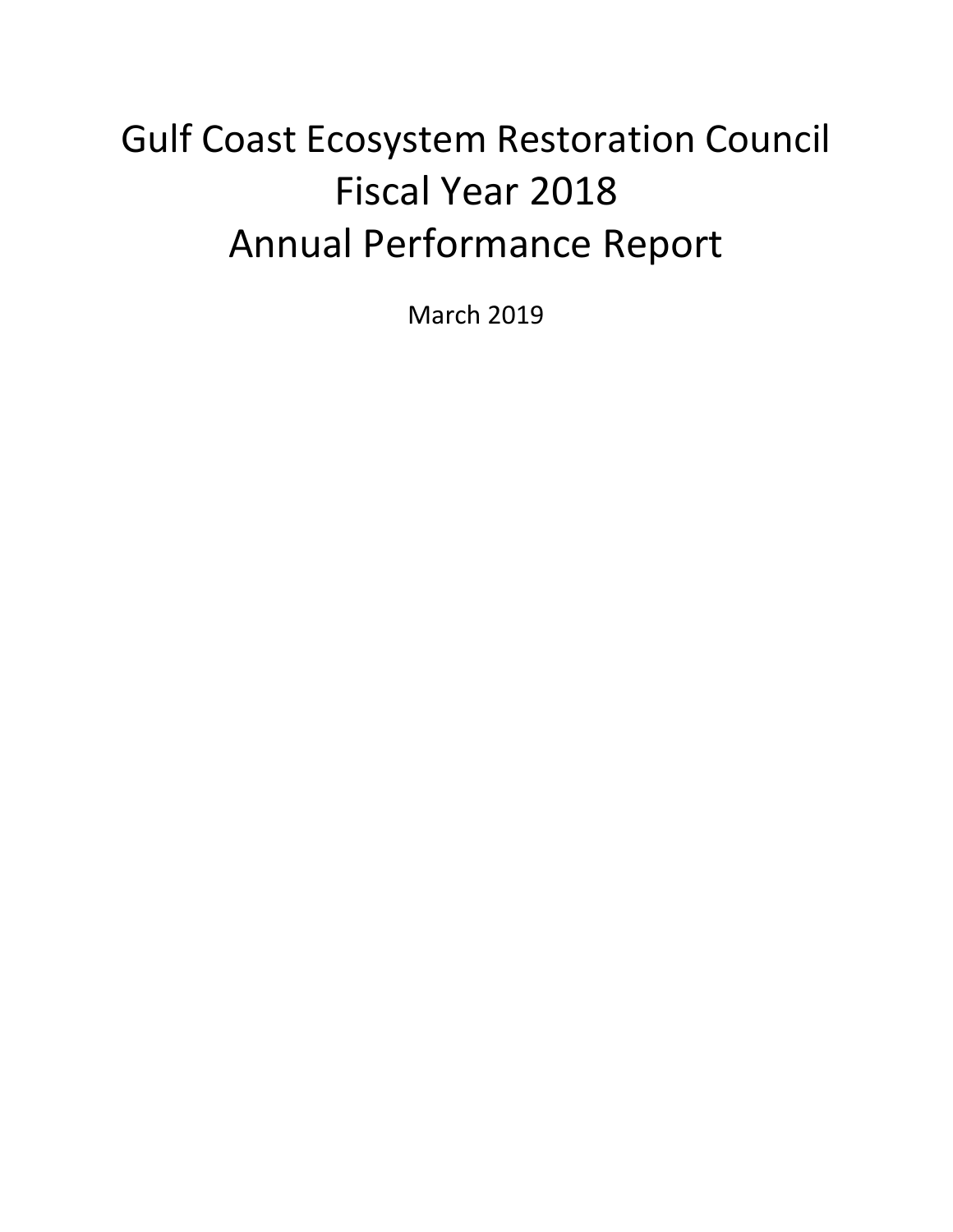# Gulf Coast Ecosystem Restoration Council Fiscal Year 2018 Annual Performance Report

March 2019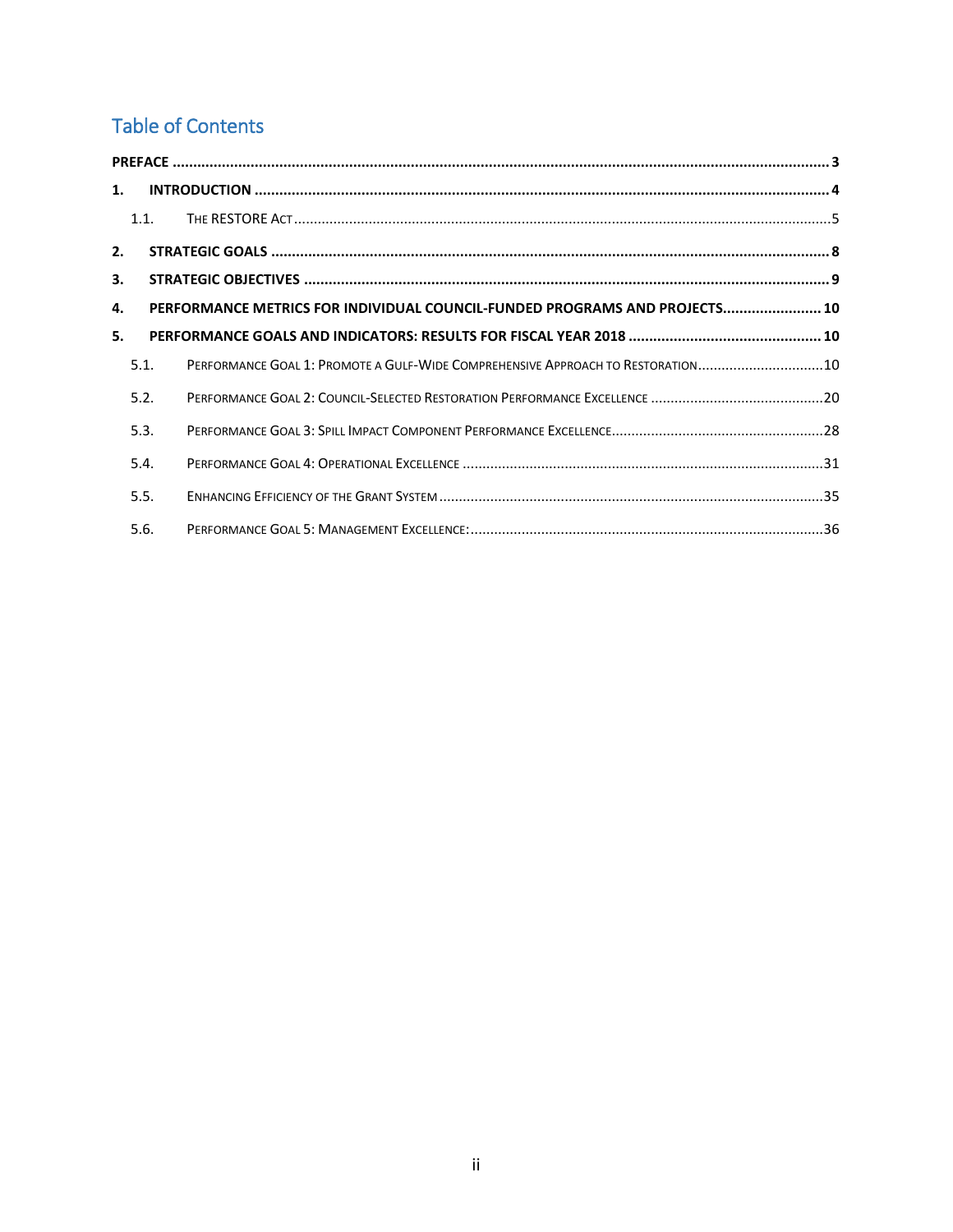## Table of Contents

| 1. |      |                                                                                 |  |  |  |  |  |
|----|------|---------------------------------------------------------------------------------|--|--|--|--|--|
|    | 1.1. |                                                                                 |  |  |  |  |  |
| 2. |      |                                                                                 |  |  |  |  |  |
| 3. |      |                                                                                 |  |  |  |  |  |
| 4. |      | PERFORMANCE METRICS FOR INDIVIDUAL COUNCIL-FUNDED PROGRAMS AND PROJECTS 10      |  |  |  |  |  |
| 5. |      |                                                                                 |  |  |  |  |  |
|    | 5.1. | PERFORMANCE GOAL 1: PROMOTE A GULF-WIDE COMPREHENSIVE APPROACH TO RESTORATION10 |  |  |  |  |  |
|    | 5.2. |                                                                                 |  |  |  |  |  |
|    | 5.3. |                                                                                 |  |  |  |  |  |
|    | 5.4. |                                                                                 |  |  |  |  |  |
|    | 5.5. |                                                                                 |  |  |  |  |  |
|    | 5.6. |                                                                                 |  |  |  |  |  |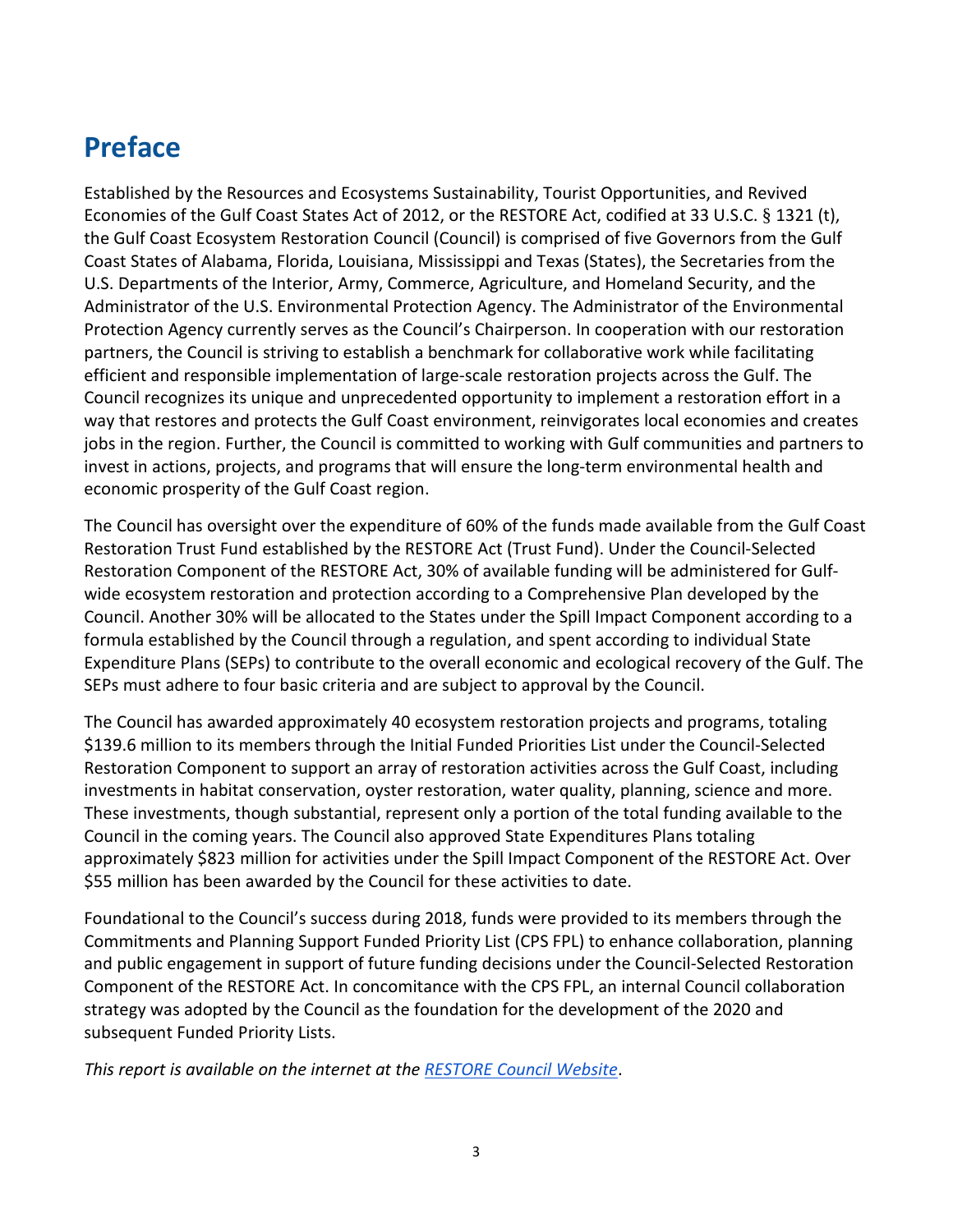## <span id="page-2-0"></span>**Preface**

Established by the Resources and Ecosystems Sustainability, Tourist Opportunities, and Revived Economies of the Gulf Coast States Act of 2012, or the RESTORE Act, codified at 33 U.S.C. § 1321 (t), the Gulf Coast Ecosystem Restoration Council (Council) is comprised of five Governors from the Gulf Coast States of Alabama, Florida, Louisiana, Mississippi and Texas (States), the Secretaries from the U.S. Departments of the Interior, Army, Commerce, Agriculture, and Homeland Security, and the Administrator of the U.S. Environmental Protection Agency. The Administrator of the Environmental Protection Agency currently serves as the Council's Chairperson. In cooperation with our restoration partners, the Council is striving to establish a benchmark for collaborative work while facilitating efficient and responsible implementation of large-scale restoration projects across the Gulf. The Council recognizes its unique and unprecedented opportunity to implement a restoration effort in a way that restores and protects the Gulf Coast environment, reinvigorates local economies and creates jobs in the region. Further, the Council is committed to working with Gulf communities and partners to invest in actions, projects, and programs that will ensure the long-term environmental health and economic prosperity of the Gulf Coast region.

The Council has oversight over the expenditure of 60% of the funds made available from the Gulf Coast Restoration Trust Fund established by the RESTORE Act (Trust Fund). Under the Council-Selected Restoration Component of the RESTORE Act, 30% of available funding will be administered for Gulfwide ecosystem restoration and protection according to a Comprehensive Plan developed by the Council. Another 30% will be allocated to the States under the Spill Impact Component according to a formula established by the Council through a regulation, and spent according to individual State Expenditure Plans (SEPs) to contribute to the overall economic and ecological recovery of the Gulf. The SEPs must adhere to four basic criteria and are subject to approval by the Council.

The Council has awarded approximately 40 ecosystem restoration projects and programs, totaling \$139.6 million to its members through the Initial Funded Priorities List under the Council-Selected Restoration Component to support an array of restoration activities across the Gulf Coast, including investments in habitat conservation, oyster restoration, water quality, planning, science and more. These investments, though substantial, represent only a portion of the total funding available to the Council in the coming years. The Council also approved State Expenditures Plans totaling approximately \$823 million for activities under the Spill Impact Component of the RESTORE Act. Over \$55 million has been awarded by the Council for these activities to date.

Foundational to the Council's success during 2018, funds were provided to its members through the Commitments and Planning Support Funded Priority List (CPS FPL) to enhance collaboration, planning and public engagement in support of future funding decisions under the Council-Selected Restoration Component of the RESTORE Act. In concomitance with the CPS FPL, an internal Council collaboration strategy was adopted by the Council as the foundation for the development of the 2020 and subsequent Funded Priority Lists.

*This report is available on the internet at th[e RESTORE Council Website](http://www.restorethegulf.gov/)*.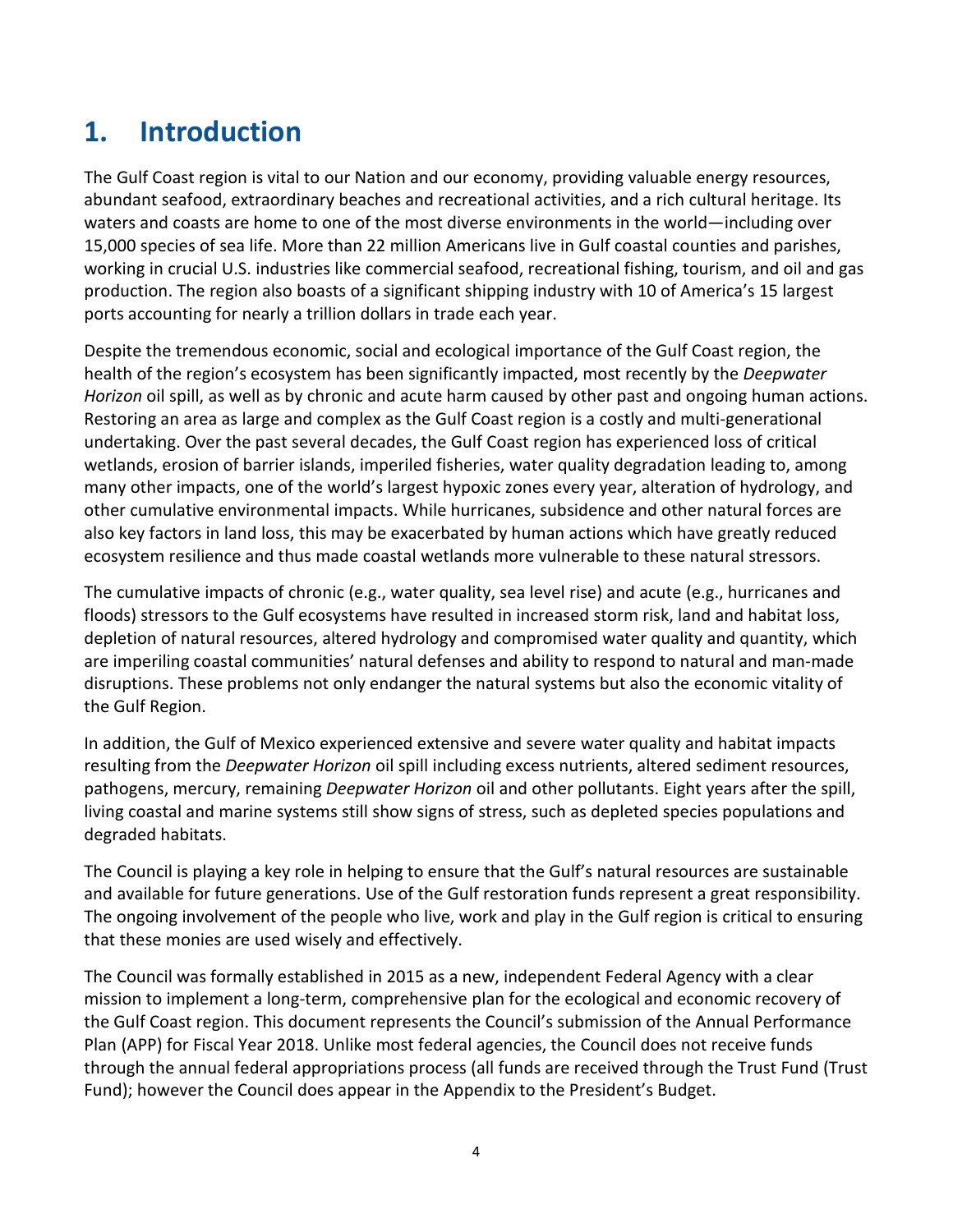## <span id="page-3-0"></span>**1. Introduction**

The Gulf Coast region is vital to our Nation and our economy, providing valuable energy resources, abundant seafood, extraordinary beaches and recreational activities, and a rich cultural heritage. Its waters and coasts are home to one of the most diverse environments in the world—including over 15,000 species of sea life. More than 22 million Americans live in Gulf coastal counties and parishes, working in crucial U.S. industries like commercial seafood, recreational fishing, tourism, and oil and gas production. The region also boasts of a significant shipping industry with 10 of America's 15 largest ports accounting for nearly a trillion dollars in trade each year.

Despite the tremendous economic, social and ecological importance of the Gulf Coast region, the health of the region's ecosystem has been significantly impacted, most recently by the *Deepwater Horizon* oil spill, as well as by chronic and acute harm caused by other past and ongoing human actions. Restoring an area as large and complex as the Gulf Coast region is a costly and multi-generational undertaking. Over the past several decades, the Gulf Coast region has experienced loss of critical wetlands, erosion of barrier islands, imperiled fisheries, water quality degradation leading to, among many other impacts, one of the world's largest hypoxic zones every year, alteration of hydrology, and other cumulative environmental impacts. While hurricanes, subsidence and other natural forces are also key factors in land loss, this may be exacerbated by human actions which have greatly reduced ecosystem resilience and thus made coastal wetlands more vulnerable to these natural stressors.

The cumulative impacts of chronic (e.g., water quality, sea level rise) and acute (e.g., hurricanes and floods) stressors to the Gulf ecosystems have resulted in increased storm risk, land and habitat loss, depletion of natural resources, altered hydrology and compromised water quality and quantity, which are imperiling coastal communities' natural defenses and ability to respond to natural and man-made disruptions. These problems not only endanger the natural systems but also the economic vitality of the Gulf Region.

In addition, the Gulf of Mexico experienced extensive and severe water quality and habitat impacts resulting from the *Deepwater Horizon* oil spill including excess nutrients, altered sediment resources, pathogens, mercury, remaining *Deepwater Horizon* oil and other pollutants. Eight years after the spill, living coastal and marine systems still show signs of stress, such as depleted species populations and degraded habitats.

The Council is playing a key role in helping to ensure that the Gulf's natural resources are sustainable and available for future generations. Use of the Gulf restoration funds represent a great responsibility. The ongoing involvement of the people who live, work and play in the Gulf region is critical to ensuring that these monies are used wisely and effectively.

The Council was formally established in 2015 as a new, independent Federal Agency with a clear mission to implement a long-term, comprehensive plan for the ecological and economic recovery of the Gulf Coast region. This document represents the Council's submission of the Annual Performance Plan (APP) for Fiscal Year 2018. Unlike most federal agencies, the Council does not receive funds through the annual federal appropriations process (all funds are received through the Trust Fund (Trust Fund); however the Council does appear in the Appendix to the President's Budget.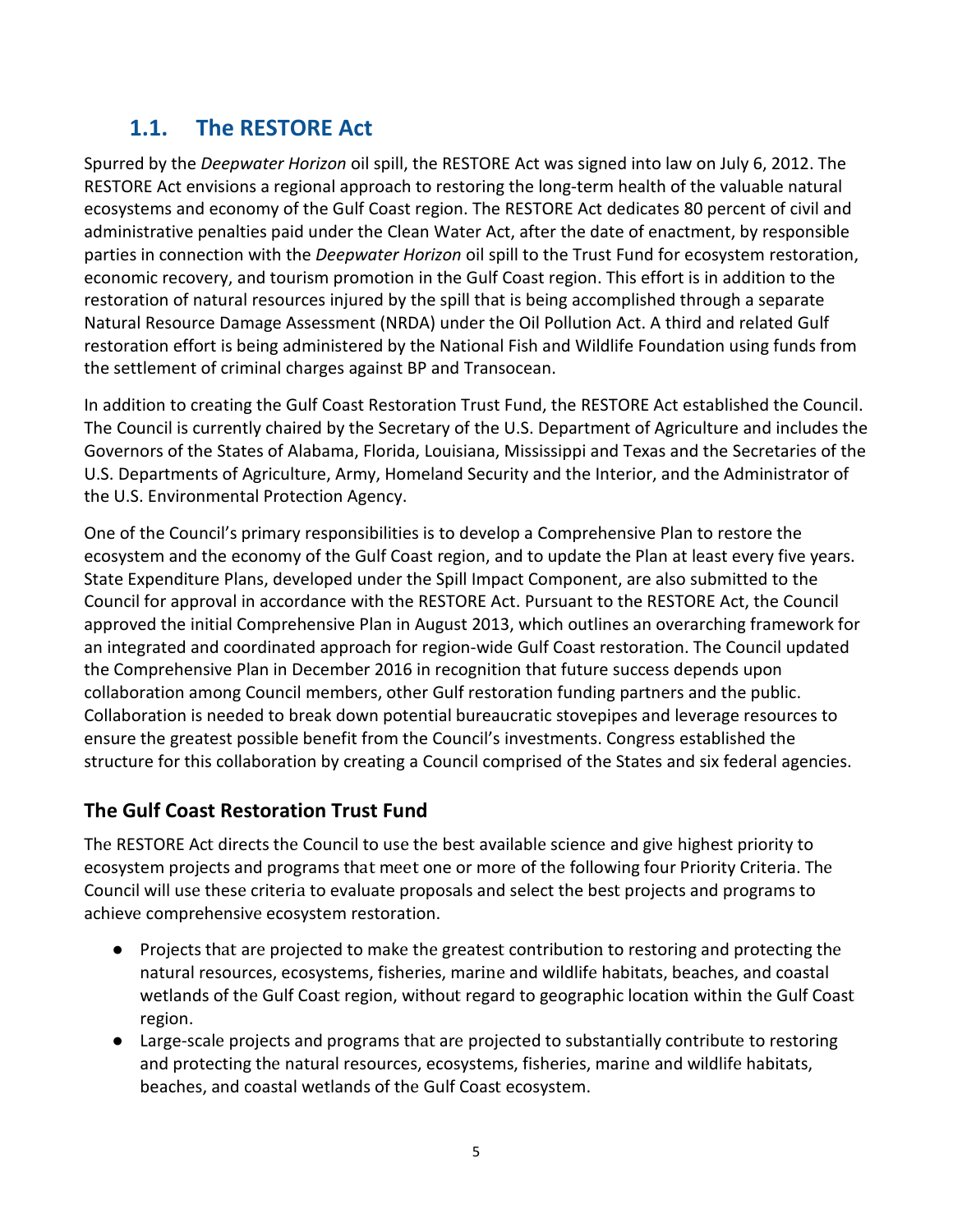## **1.1. The RESTORE Act**

<span id="page-4-0"></span>Spurred by the *Deepwater Horizon* oil spill, the RESTORE Act was signed into law on July 6, 2012. The RESTORE Act envisions a regional approach to restoring the long-term health of the valuable natural ecosystems and economy of the Gulf Coast region. The RESTORE Act dedicates 80 percent of civil and administrative penalties paid under the Clean Water Act, after the date of enactment, by responsible parties in connection with the *Deepwater Horizon* oil spill to the Trust Fund for ecosystem restoration, economic recovery, and tourism promotion in the Gulf Coast region. This effort is in addition to the restoration of natural resources injured by the spill that is being accomplished through a separate Natural Resource Damage Assessment (NRDA) under the Oil Pollution Act. A third and related Gulf restoration effort is being administered by the National Fish and Wildlife Foundation using funds from the settlement of criminal charges against BP and Transocean.

In addition to creating the Gulf Coast Restoration Trust Fund, the RESTORE Act established the Council. The Council is currently chaired by the Secretary of the U.S. Department of Agriculture and includes the Governors of the States of Alabama, Florida, Louisiana, Mississippi and Texas and the Secretaries of the U.S. Departments of Agriculture, Army, Homeland Security and the Interior, and the Administrator of the U.S. Environmental Protection Agency.

One of the Council's primary responsibilities is to develop a Comprehensive Plan to restore the ecosystem and the economy of the Gulf Coast region, and to update the Plan at least every five years. State Expenditure Plans, developed under the Spill Impact Component, are also submitted to the Council for approval in accordance with the RESTORE Act. Pursuant to the RESTORE Act, the Council approved the initial Comprehensive Plan in August 2013, which outlines an overarching framework for an integrated and coordinated approach for region-wide Gulf Coast restoration. The Council updated the Comprehensive Plan in December 2016 in recognition that future success depends upon collaboration among Council members, other Gulf restoration funding partners and the public. Collaboration is needed to break down potential bureaucratic stovepipes and leverage resources to ensure the greatest possible benefit from the Council's investments. Congress established the structure for this collaboration by creating a Council comprised of the States and six federal agencies.

#### **The Gulf Coast Restoration Trust Fund**

The RESTORE Act directs the Council to use the best available science and give highest priority to ecosystem projects and programs that meet one or more of the following four Priority Criteria. The Council will use these criteria to evaluate proposals and select the best projects and programs to achieve comprehensive ecosystem restoration.

- Projects that are projected to make the greatest contribution to restoring and protecting the natural resources, ecosystems, fisheries, marine and wildlife habitats, beaches, and coastal wetlands of the Gulf Coast region, without regard to geographic location within the Gulf Coast region.
- Large-scale projects and programs that are projected to substantially contribute to restoring and protecting the natural resources, ecosystems, fisheries, marine and wildlife habitats, beaches, and coastal wetlands of the Gulf Coast ecosystem.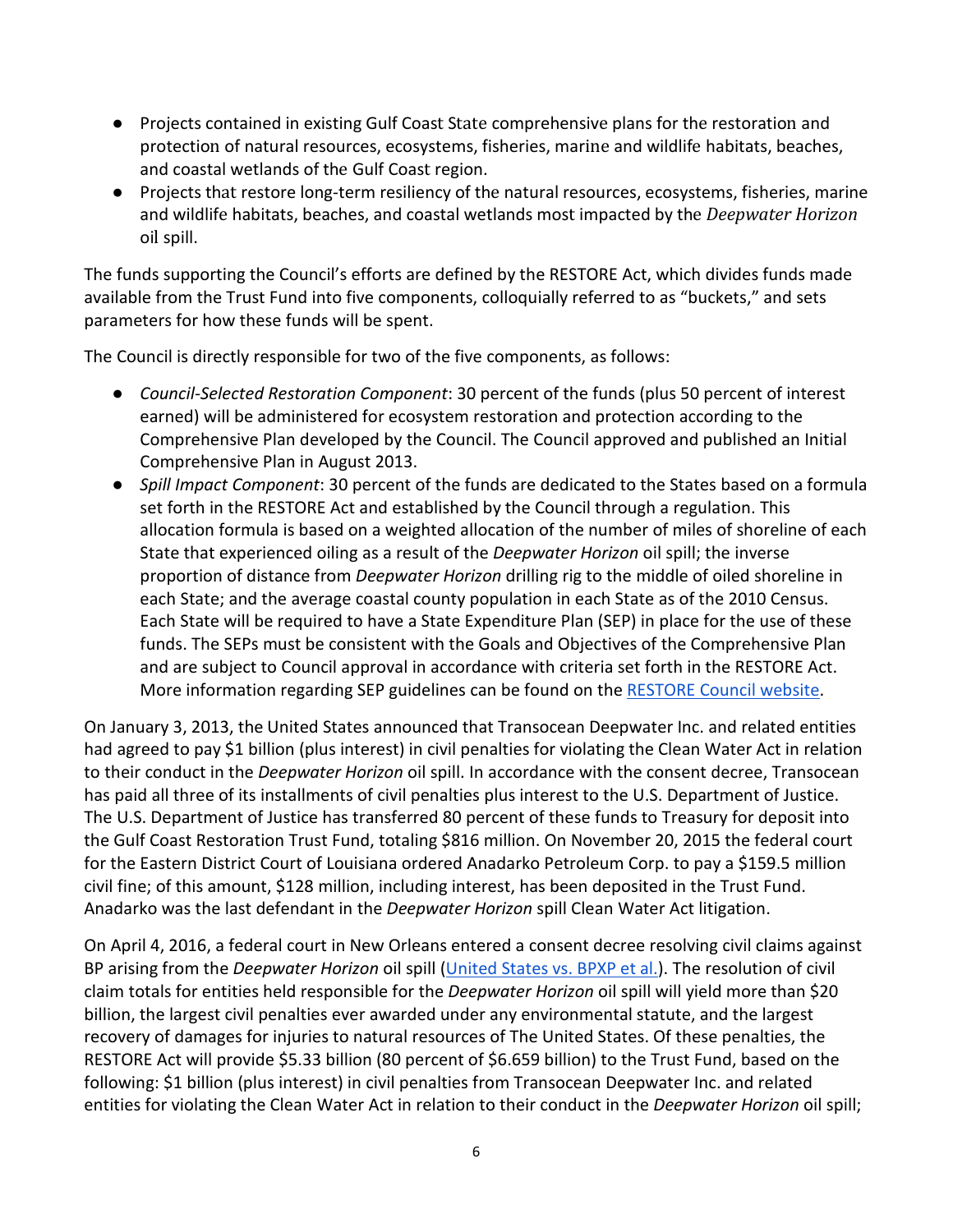- Projects contained in existing Gulf Coast State comprehensive plans for the restoration and protection of natural resources, ecosystems, fisheries, marine and wildlife habitats, beaches, and coastal wetlands of the Gulf Coast region.
- Projects that restore long-term resiliency of the natural resources, ecosystems, fisheries, marine and wildlife habitats, beaches, and coastal wetlands most impacted by the *Deepwater Horizon*  oil spill.

The funds supporting the Council's efforts are defined by the RESTORE Act, which divides funds made available from the Trust Fund into five components, colloquially referred to as "buckets," and sets parameters for how these funds will be spent.

The Council is directly responsible for two of the five components, as follows:

- *Council-Selected Restoration Component*: 30 percent of the funds (plus 50 percent of interest earned) will be administered for ecosystem restoration and protection according to the Comprehensive Plan developed by the Council. The Council approved and published an Initial Comprehensive Plan in August 2013.
- *Spill Impact Component*: 30 percent of the funds are dedicated to the States based on a formula set forth in the RESTORE Act and established by the Council through a regulation. This allocation formula is based on a weighted allocation of the number of miles of shoreline of each State that experienced oiling as a result of the *Deepwater Horizon* oil spill; the inverse proportion of distance from *Deepwater Horizon* drilling rig to the middle of oiled shoreline in each State; and the average coastal county population in each State as of the 2010 Census. Each State will be required to have a State Expenditure Plan (SEP) in place for the use of these funds. The SEPs must be consistent with the Goals and Objectives of the Comprehensive Plan and are subject to Council approval in accordance with criteria set forth in the RESTORE Act. More information regarding SEP guidelines can be found on the [RESTORE Council website.](https://www.restorethegulf.gov/our-work/spill-impact-component)

On January 3, 2013, the United States announced that Transocean Deepwater Inc. and related entities had agreed to pay \$1 billion (plus interest) in civil penalties for violating the Clean Water Act in relation to their conduct in the *Deepwater Horizon* oil spill. In accordance with the consent decree, Transocean has paid all three of its installments of civil penalties plus interest to the U.S. Department of Justice. The U.S. Department of Justice has transferred 80 percent of these funds to Treasury for deposit into the Gulf Coast Restoration Trust Fund, totaling \$816 million. On November 20, 2015 the federal court for the Eastern District Court of Louisiana ordered Anadarko Petroleum Corp. to pay a \$159.5 million civil fine; of this amount, \$128 million, including interest, has been deposited in the Trust Fund. Anadarko was the last defendant in the *Deepwater Horizon* spill Clean Water Act litigation.

On April 4, 2016, a federal court in New Orleans entered a consent decree resolving civil claims against BP arising from the *Deepwater Horizon* oil spill [\(United States vs. BPXP et al.\)](https://www.justice.gov/enrd/file/838066/download). The resolution of civil claim totals for entities held responsible for the *Deepwater Horizon* oil spill will yield more than \$20 billion, the largest civil penalties ever awarded under any environmental statute, and the largest recovery of damages for injuries to natural resources of The United States. Of these penalties, the RESTORE Act will provide \$5.33 billion (80 percent of \$6.659 billion) to the Trust Fund, based on the following: \$1 billion (plus interest) in civil penalties from Transocean Deepwater Inc. and related entities for violating the Clean Water Act in relation to their conduct in the *Deepwater Horizon* oil spill;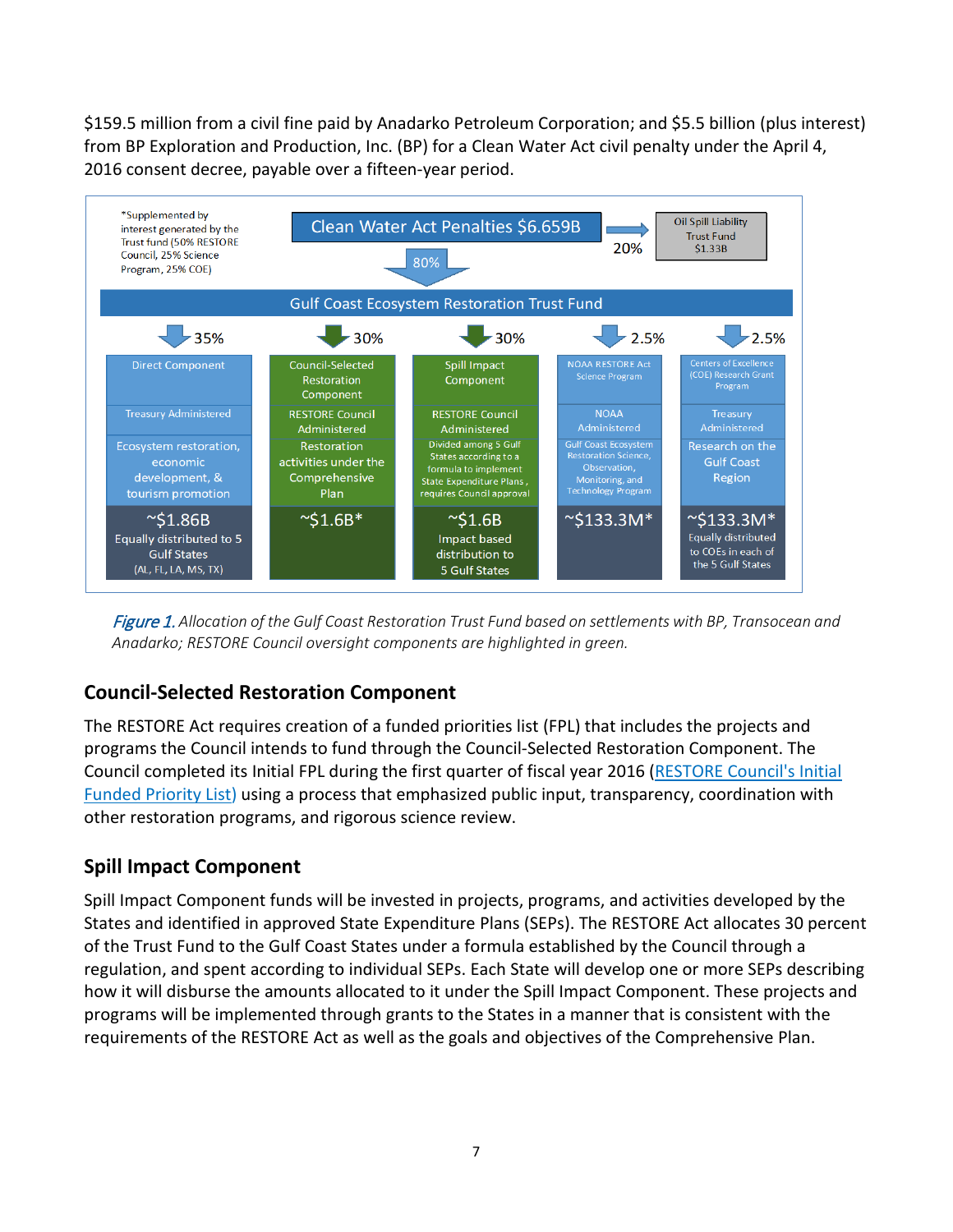\$159.5 million from a civil fine paid by Anadarko Petroleum Corporation; and \$5.5 billion (plus interest) from BP Exploration and Production, Inc. (BP) for a Clean Water Act civil penalty under the April 4, 2016 consent decree, payable over a fifteen-year period.



Figure 1. *Allocation of the Gulf Coast Restoration Trust Fund based on settlements with BP, Transocean and Anadarko; RESTORE Council oversight components are highlighted in green.*

#### **Council-Selected Restoration Component**

The RESTORE Act requires creation of a funded priorities list (FPL) that includes the projects and programs the Council intends to fund through the Council-Selected Restoration Component. The Council completed its Initial FPL during the first quarter of fiscal year 2016 [\(RESTORE Council's Initial](https://www.restorethegulf.gov/council-selected-restoration-component/funded-priorities-list)  [Funded Priority List\)](https://www.restorethegulf.gov/council-selected-restoration-component/funded-priorities-list) using a process that emphasized public input, transparency, coordination with other restoration programs, and rigorous science review.

#### **Spill Impact Component**

Spill Impact Component funds will be invested in projects, programs, and activities developed by the States and identified in approved State Expenditure Plans (SEPs). The RESTORE Act allocates 30 percent of the Trust Fund to the Gulf Coast States under a formula established by the Council through a regulation, and spent according to individual SEPs. Each State will develop one or more SEPs describing how it will disburse the amounts allocated to it under the Spill Impact Component. These projects and programs will be implemented through grants to the States in a manner that is consistent with the requirements of the RESTORE Act as well as the goals and objectives of the Comprehensive Plan.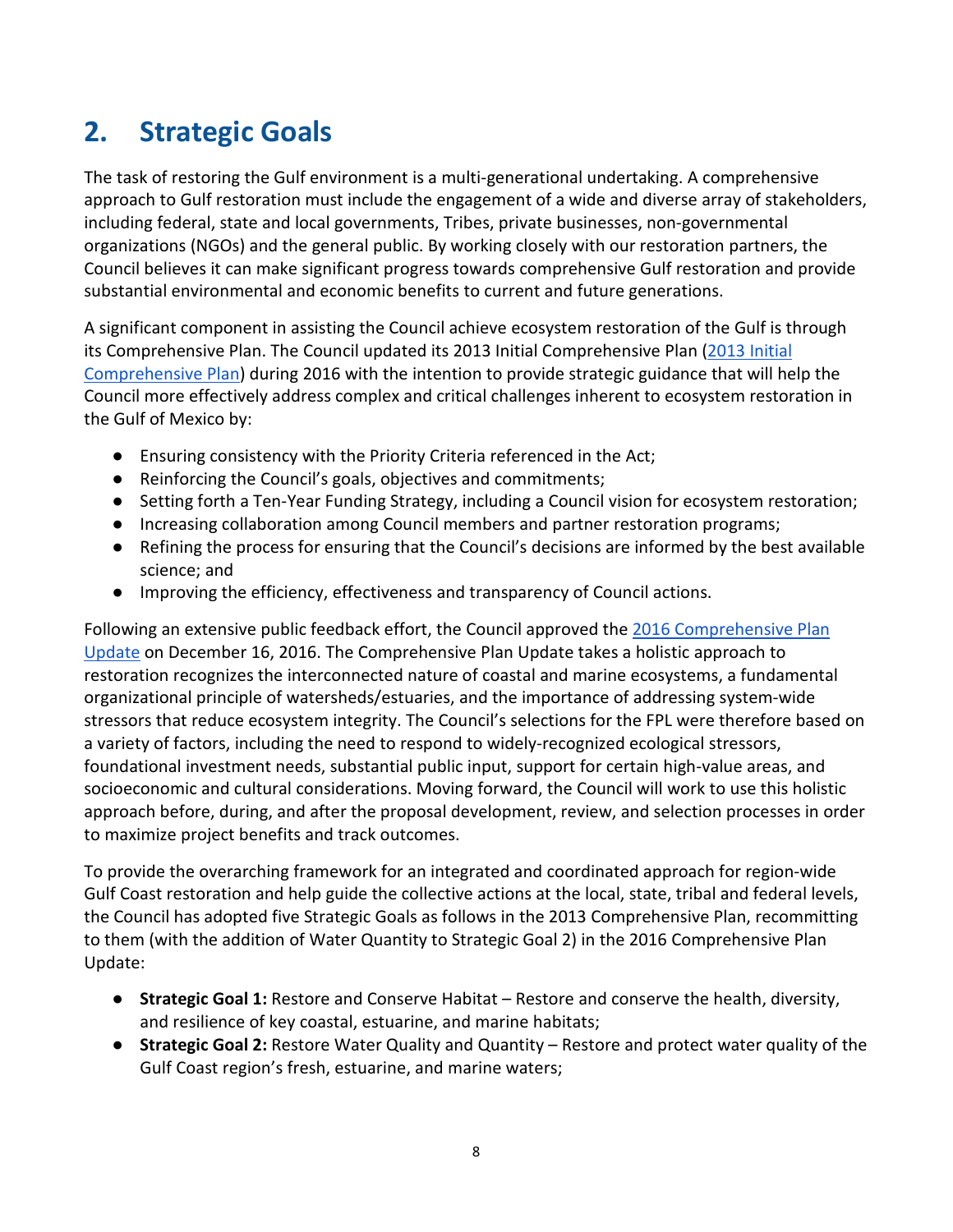## <span id="page-7-0"></span>**2. Strategic Goals**

The task of restoring the Gulf environment is a multi-generational undertaking. A comprehensive approach to Gulf restoration must include the engagement of a wide and diverse array of stakeholders, including federal, state and local governments, Tribes, private businesses, non-governmental organizations (NGOs) and the general public. By working closely with our restoration partners, the Council believes it can make significant progress towards comprehensive Gulf restoration and provide substantial environmental and economic benefits to current and future generations.

A significant component in assisting the Council achieve ecosystem restoration of the Gulf is through its Comprehensive Plan. The Council updated its 2013 Initial Comprehensive Plan [\(2013 Initial](https://www.restorethegulf.gov/sites/default/files/Initial%20Comprehensive%20Plan%20Aug%202013.pdf)  [Comprehensive Plan\)](https://www.restorethegulf.gov/sites/default/files/Initial%20Comprehensive%20Plan%20Aug%202013.pdf) during 2016 with the intention to provide strategic guidance that will help the Council more effectively address complex and critical challenges inherent to ecosystem restoration in the Gulf of Mexico by:

- Ensuring consistency with the Priority Criteria referenced in the Act;
- Reinforcing the Council's goals, objectives and commitments;
- Setting forth a Ten-Year Funding Strategy, including a Council vision for ecosystem restoration;
- Increasing collaboration among Council members and partner restoration programs;
- Refining the process for ensuring that the Council's decisions are informed by the best available science; and
- Improving the efficiency, effectiveness and transparency of Council actions.

Following an extensive public feedback effort, the Council approved the 2016 Comprehensive Plan [Update](https://www.restorethegulf.gov/sites/default/files/CO-PL_20161208_CompPlanUpdate_English.pdf) on December 16, 2016. The Comprehensive Plan Update takes a holistic approach to restoration recognizes the interconnected nature of coastal and marine ecosystems, a fundamental organizational principle of watersheds/estuaries, and the importance of addressing system-wide stressors that reduce ecosystem integrity. The Council's selections for the FPL were therefore based on a variety of factors, including the need to respond to widely-recognized ecological stressors, foundational investment needs, substantial public input, support for certain high-value areas, and socioeconomic and cultural considerations. Moving forward, the Council will work to use this holistic approach before, during, and after the proposal development, review, and selection processes in order to maximize project benefits and track outcomes.

To provide the overarching framework for an integrated and coordinated approach for region-wide Gulf Coast restoration and help guide the collective actions at the local, state, tribal and federal levels, the Council has adopted five Strategic Goals as follows in the 2013 Comprehensive Plan, recommitting to them (with the addition of Water Quantity to Strategic Goal 2) in the 2016 Comprehensive Plan Update:

- **Strategic Goal 1:** Restore and Conserve Habitat Restore and conserve the health, diversity, and resilience of key coastal, estuarine, and marine habitats;
- **Strategic Goal 2:** Restore Water Quality and Quantity Restore and protect water quality of the Gulf Coast region's fresh, estuarine, and marine waters;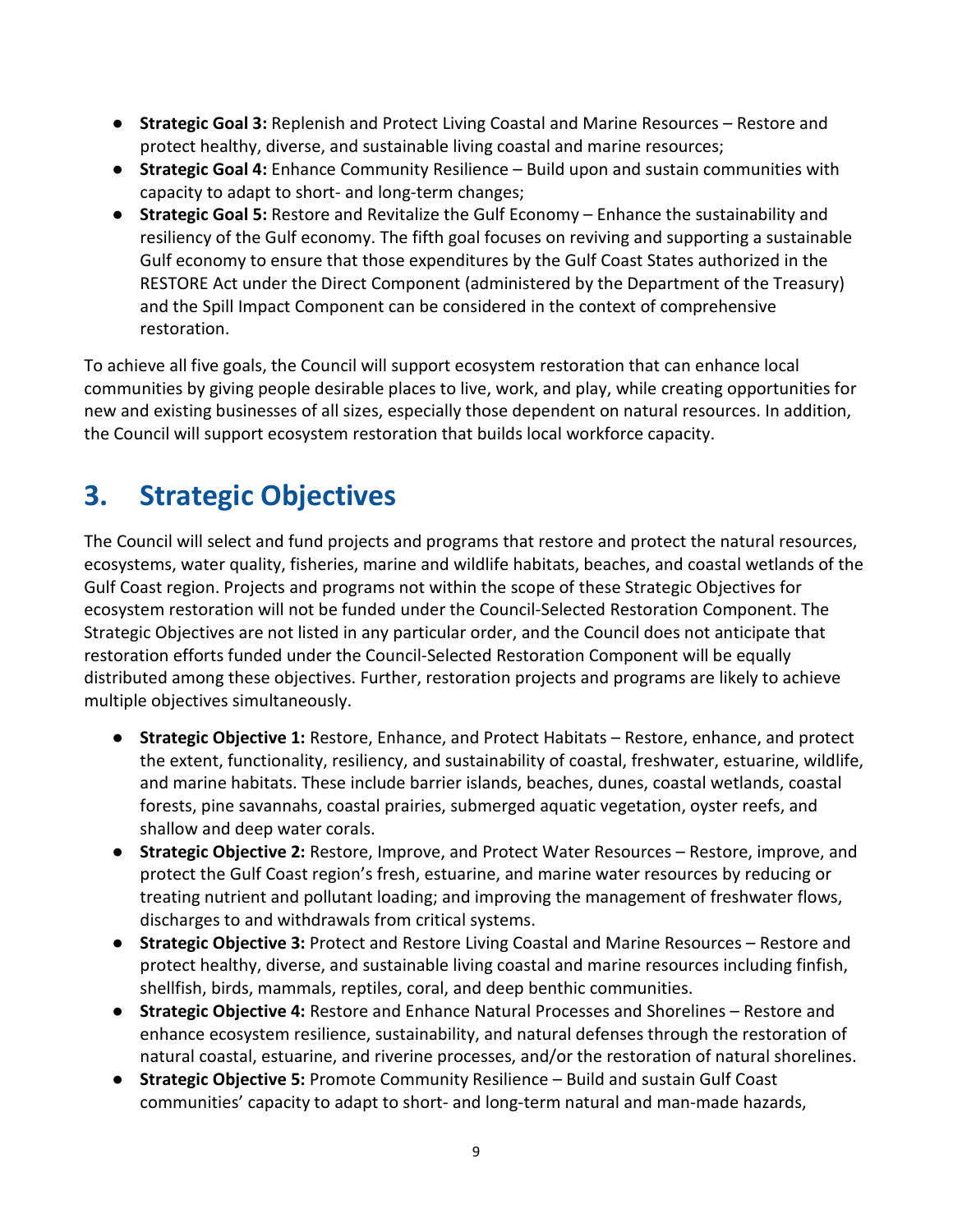- **Strategic Goal 3:** Replenish and Protect Living Coastal and Marine Resources Restore and protect healthy, diverse, and sustainable living coastal and marine resources;
- **Strategic Goal 4:** Enhance Community Resilience Build upon and sustain communities with capacity to adapt to short- and long-term changes;
- **Strategic Goal 5:** Restore and Revitalize the Gulf Economy Enhance the sustainability and resiliency of the Gulf economy. The fifth goal focuses on reviving and supporting a sustainable Gulf economy to ensure that those expenditures by the Gulf Coast States authorized in the RESTORE Act under the Direct Component (administered by the Department of the Treasury) and the Spill Impact Component can be considered in the context of comprehensive restoration.

To achieve all five goals, the Council will support ecosystem restoration that can enhance local communities by giving people desirable places to live, work, and play, while creating opportunities for new and existing businesses of all sizes, especially those dependent on natural resources. In addition, the Council will support ecosystem restoration that builds local workforce capacity.

## <span id="page-8-0"></span>**3. Strategic Objectives**

The Council will select and fund projects and programs that restore and protect the natural resources, ecosystems, water quality, fisheries, marine and wildlife habitats, beaches, and coastal wetlands of the Gulf Coast region. Projects and programs not within the scope of these Strategic Objectives for ecosystem restoration will not be funded under the Council-Selected Restoration Component. The Strategic Objectives are not listed in any particular order, and the Council does not anticipate that restoration efforts funded under the Council-Selected Restoration Component will be equally distributed among these objectives. Further, restoration projects and programs are likely to achieve multiple objectives simultaneously.

- **Strategic Objective 1:** Restore, Enhance, and Protect Habitats Restore, enhance, and protect the extent, functionality, resiliency, and sustainability of coastal, freshwater, estuarine, wildlife, and marine habitats. These include barrier islands, beaches, dunes, coastal wetlands, coastal forests, pine savannahs, coastal prairies, submerged aquatic vegetation, oyster reefs, and shallow and deep water corals.
- **Strategic Objective 2:** Restore, Improve, and Protect Water Resources Restore, improve, and protect the Gulf Coast region's fresh, estuarine, and marine water resources by reducing or treating nutrient and pollutant loading; and improving the management of freshwater flows, discharges to and withdrawals from critical systems.
- **Strategic Objective 3:** Protect and Restore Living Coastal and Marine Resources Restore and protect healthy, diverse, and sustainable living coastal and marine resources including finfish, shellfish, birds, mammals, reptiles, coral, and deep benthic communities.
- **Strategic Objective 4:** Restore and Enhance Natural Processes and Shorelines Restore and enhance ecosystem resilience, sustainability, and natural defenses through the restoration of natural coastal, estuarine, and riverine processes, and/or the restoration of natural shorelines.
- **Strategic Objective 5:** Promote Community Resilience Build and sustain Gulf Coast communities' capacity to adapt to short- and long-term natural and man-made hazards,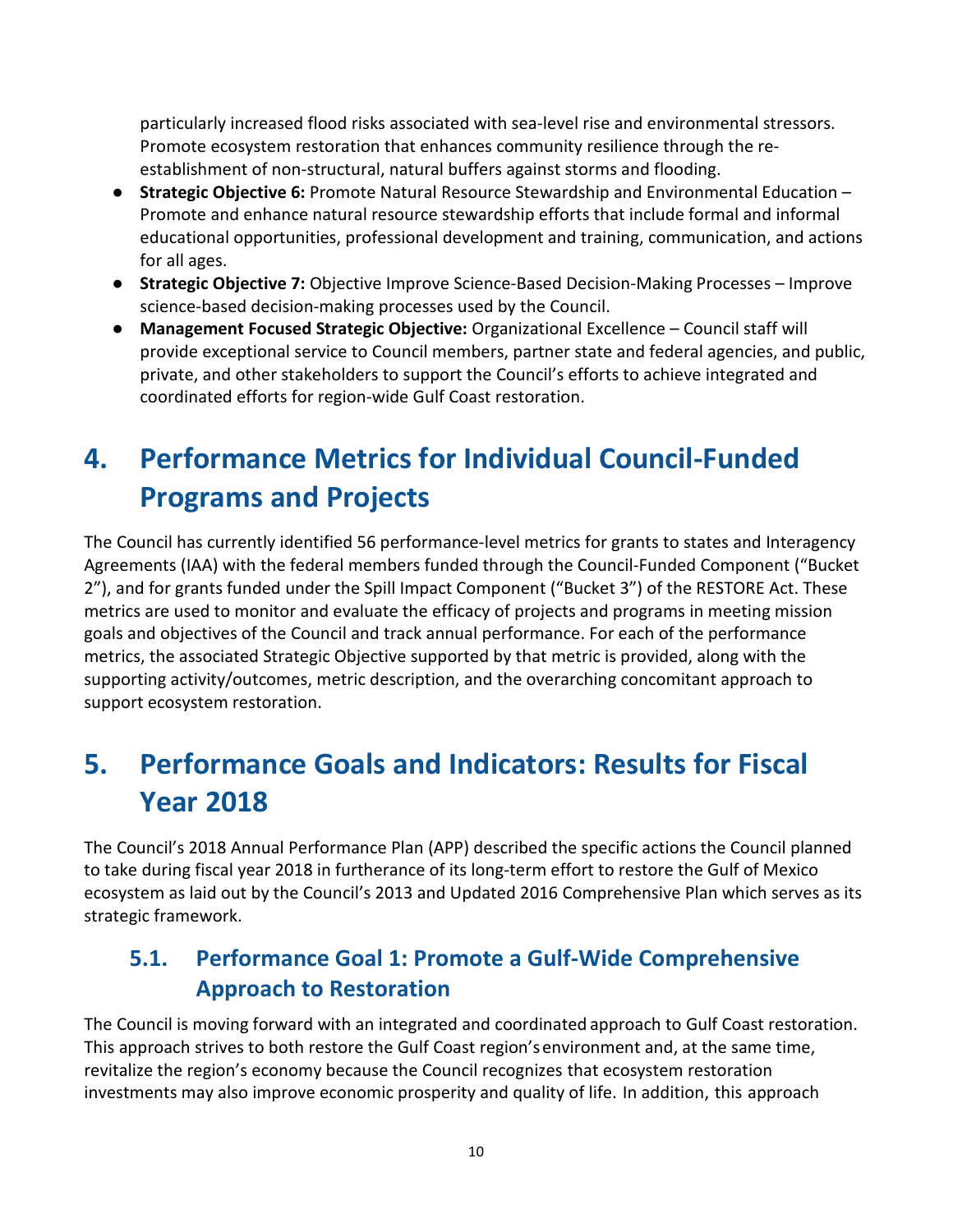particularly increased flood risks associated with sea-level rise and environmental stressors. Promote ecosystem restoration that enhances community resilience through the reestablishment of non-structural, natural buffers against storms and flooding.

- **Strategic Objective 6:** Promote Natural Resource Stewardship and Environmental Education Promote and enhance natural resource stewardship efforts that include formal and informal educational opportunities, professional development and training, communication, and actions for all ages.
- **Strategic Objective 7:** Objective Improve Science-Based Decision-Making Processes Improve science-based decision-making processes used by the Council.
- **Management Focused Strategic Objective:** Organizational Excellence Council staff will provide exceptional service to Council members, partner state and federal agencies, and public, private, and other stakeholders to support the Council's efforts to achieve integrated and coordinated efforts for region-wide Gulf Coast restoration.

## <span id="page-9-0"></span>**4. Performance Metrics for Individual Council-Funded Programs and Projects**

The Council has currently identified 56 performance-level metrics for grants to states and Interagency Agreements (IAA) with the federal members funded through the Council-Funded Component ("Bucket 2"), and for grants funded under the Spill Impact Component ("Bucket 3") of the RESTORE Act. These metrics are used to monitor and evaluate the efficacy of projects and programs in meeting mission goals and objectives of the Council and track annual performance. For each of the performance metrics, the associated Strategic Objective supported by that metric is provided, along with the supporting activity/outcomes, metric description, and the overarching concomitant approach to support ecosystem restoration.

## <span id="page-9-1"></span>**5. Performance Goals and Indicators: Results for Fiscal Year 2018**

The Council's 2018 Annual Performance Plan (APP) described the specific actions the Council planned to take during fiscal year 2018 in furtherance of its long-term effort to restore the Gulf of Mexico ecosystem as laid out by the Council's 2013 and Updated 2016 Comprehensive Plan which serves as its strategic framework.

## <span id="page-9-2"></span>**5.1. Performance Goal 1: Promote a Gulf-Wide Comprehensive Approach to Restoration**

The Council is moving forward with an integrated and coordinated approach to Gulf Coast restoration. This approach strives to both restore the Gulf Coast region'senvironment and, at the same time, revitalize the region's economy because the Council recognizes that ecosystem restoration investments may also improve economic prosperity and quality of life. In addition, this approach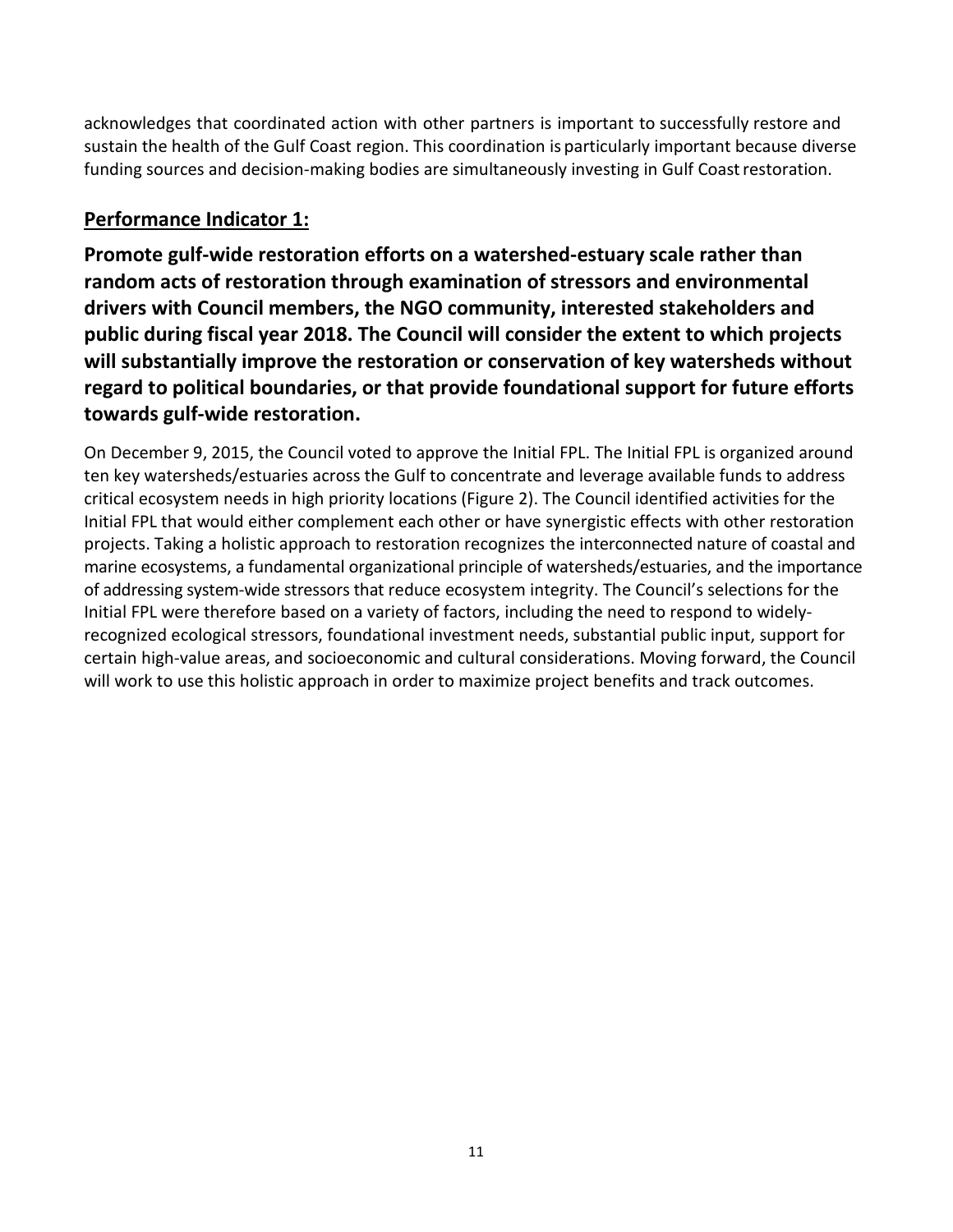acknowledges that coordinated action with other partners is important to successfully restore and sustain the health of the Gulf Coast region. This coordination is particularly important because diverse funding sources and decision-making bodies are simultaneously investing in Gulf Coast restoration.

#### **Performance Indicator 1:**

**Promote gulf-wide restoration efforts on a watershed-estuary scale rather than random acts of restoration through examination of stressors and environmental drivers with Council members, the NGO community, interested stakeholders and public during fiscal year 2018. The Council will consider the extent to which projects will substantially improve the restoration or conservation of key watersheds without regard to political boundaries, or that provide foundational support for future efforts towards gulf-wide restoration.**

On December 9, 2015, the Council voted to approve the Initial FPL. The Initial FPL is organized around ten key watersheds/estuaries across the Gulf to concentrate and leverage available funds to address critical ecosystem needs in high priority locations (Figure 2). The Council identified activities for the Initial FPL that would either complement each other or have synergistic effects with other restoration projects. Taking a holistic approach to restoration recognizes the interconnected nature of coastal and marine ecosystems, a fundamental organizational principle of watersheds/estuaries, and the importance of addressing system-wide stressors that reduce ecosystem integrity. The Council's selections for the Initial FPL were therefore based on a variety of factors, including the need to respond to widelyrecognized ecological stressors, foundational investment needs, substantial public input, support for certain high-value areas, and socioeconomic and cultural considerations. Moving forward, the Council will work to use this holistic approach in order to maximize project benefits and track outcomes.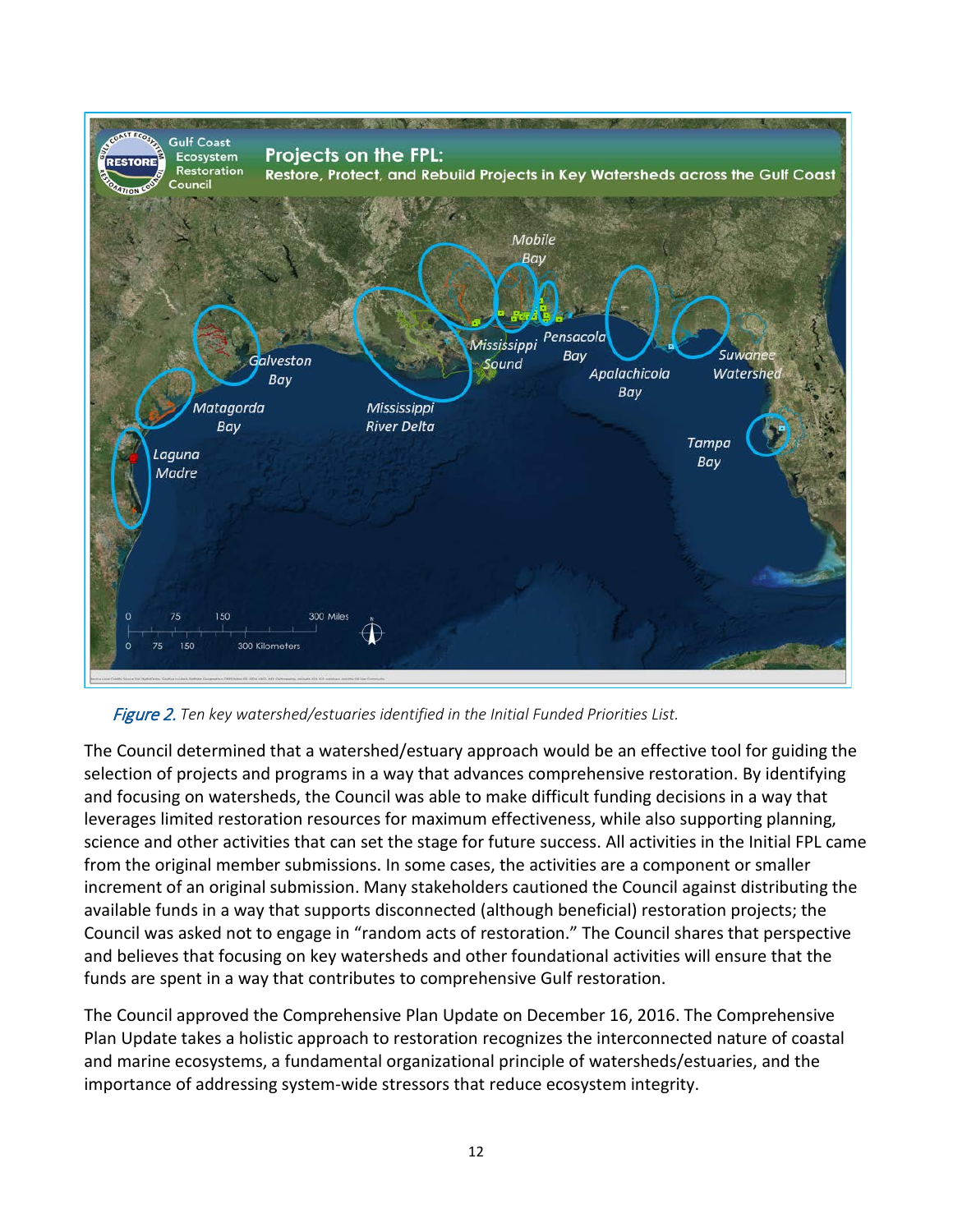

Figure 2. *Ten key watershed/estuaries identified in the Initial Funded Priorities List.*

The Council determined that a watershed/estuary approach would be an effective tool for guiding the selection of projects and programs in a way that advances comprehensive restoration. By identifying and focusing on watersheds, the Council was able to make difficult funding decisions in a way that leverages limited restoration resources for maximum effectiveness, while also supporting planning, science and other activities that can set the stage for future success. All activities in the Initial FPL came from the original member submissions. In some cases, the activities are a component or smaller increment of an original submission. Many stakeholders cautioned the Council against distributing the available funds in a way that supports disconnected (although beneficial) restoration projects; the Council was asked not to engage in "random acts of restoration." The Council shares that perspective and believes that focusing on key watersheds and other foundational activities will ensure that the funds are spent in a way that contributes to comprehensive Gulf restoration.

The Council approved the Comprehensive Plan Update on December 16, 2016. The Comprehensive Plan Update takes a holistic approach to restoration recognizes the interconnected nature of coastal and marine ecosystems, a fundamental organizational principle of watersheds/estuaries, and the importance of addressing system-wide stressors that reduce ecosystem integrity.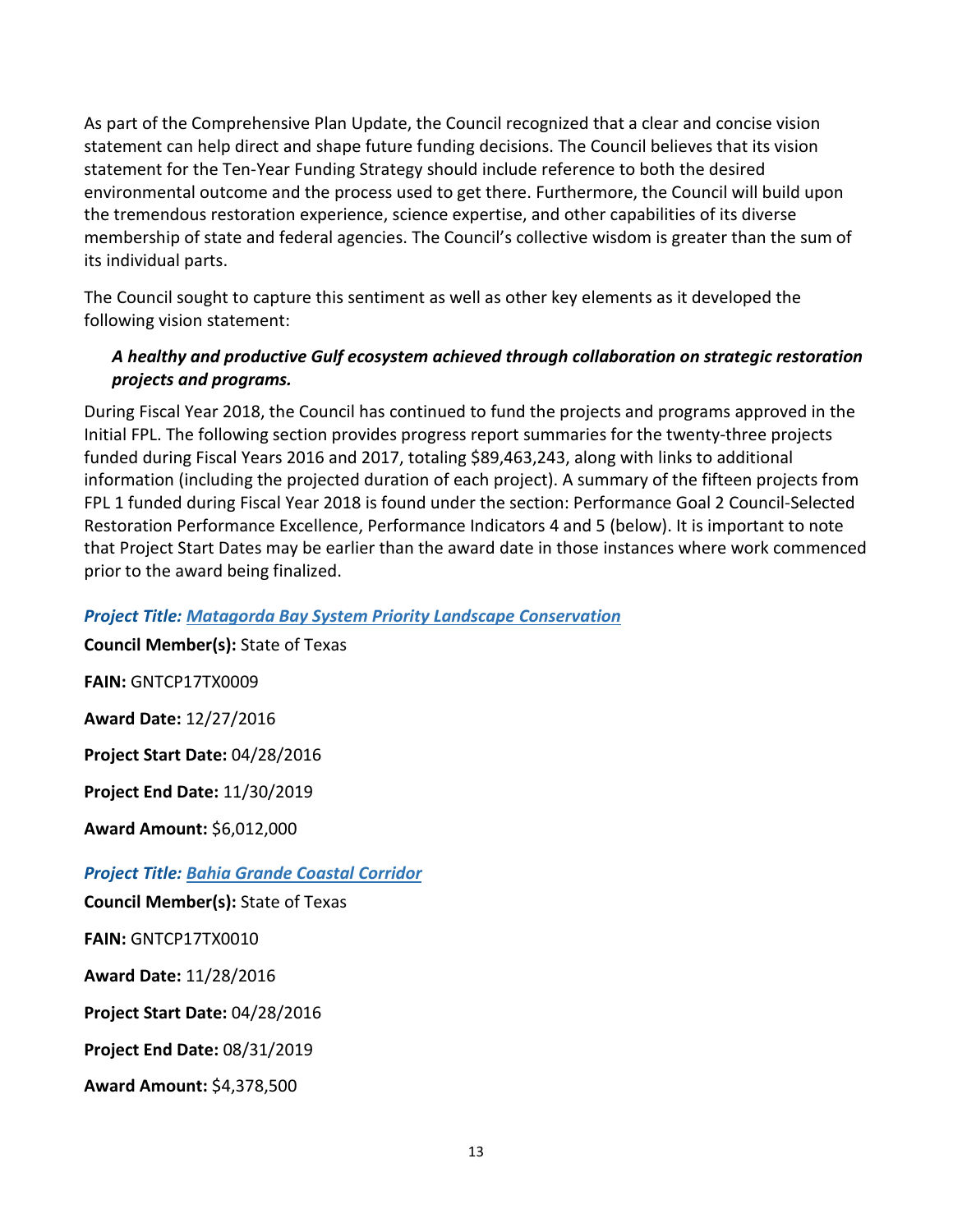As part of the Comprehensive Plan Update, the Council recognized that a clear and concise vision statement can help direct and shape future funding decisions. The Council believes that its vision statement for the Ten-Year Funding Strategy should include reference to both the desired environmental outcome and the process used to get there. Furthermore, the Council will build upon the tremendous restoration experience, science expertise, and other capabilities of its diverse membership of state and federal agencies. The Council's collective wisdom is greater than the sum of its individual parts.

The Council sought to capture this sentiment as well as other key elements as it developed the following vision statement:

#### *A healthy and productive Gulf ecosystem achieved through collaboration on strategic restoration projects and programs.*

During Fiscal Year 2018, the Council has continued to fund the projects and programs approved in the Initial FPL. The following section provides progress report summaries for the twenty-three projects funded during Fiscal Years 2016 and 2017, totaling \$89,463,243, along with links to additional information (including the projected duration of each project). A summary of the fifteen projects from FPL 1 funded during Fiscal Year 2018 is found under the section: Performance Goal 2 Council-Selected Restoration Performance Excellence, Performance Indicators 4 and 5 (below). It is important to note that Project Start Dates may be earlier than the award date in those instances where work commenced prior to the award being finalized.

#### *Project Title: [Matagorda Bay System Priority Landscape Conservation](https://www.restorethegulf.gov/sites/default/files/FPL_forDec9Vote_Errata_04-07-2016.pdf#page=47)*

**Council Member(s):** State of Texas **FAIN:** GNTCP17TX0009 **Award Date:** 12/27/2016 **Project Start Date:** 04/28/2016 **Project End Date:** 11/30/2019 **Award Amount:** \$6,012,000 *Project Title: [Bahia Grande Coastal Corridor](https://www.restorethegulf.gov/sites/default/files/FPL_forDec9Vote_Errata_04-07-2016.pdf#page=31)* **Council Member(s):** State of Texas **FAIN:** GNTCP17TX0010 **Award Date:** 11/28/2016 **Project Start Date:** 04/28/2016 **Project End Date:** 08/31/2019 **Award Amount:** \$4,378,500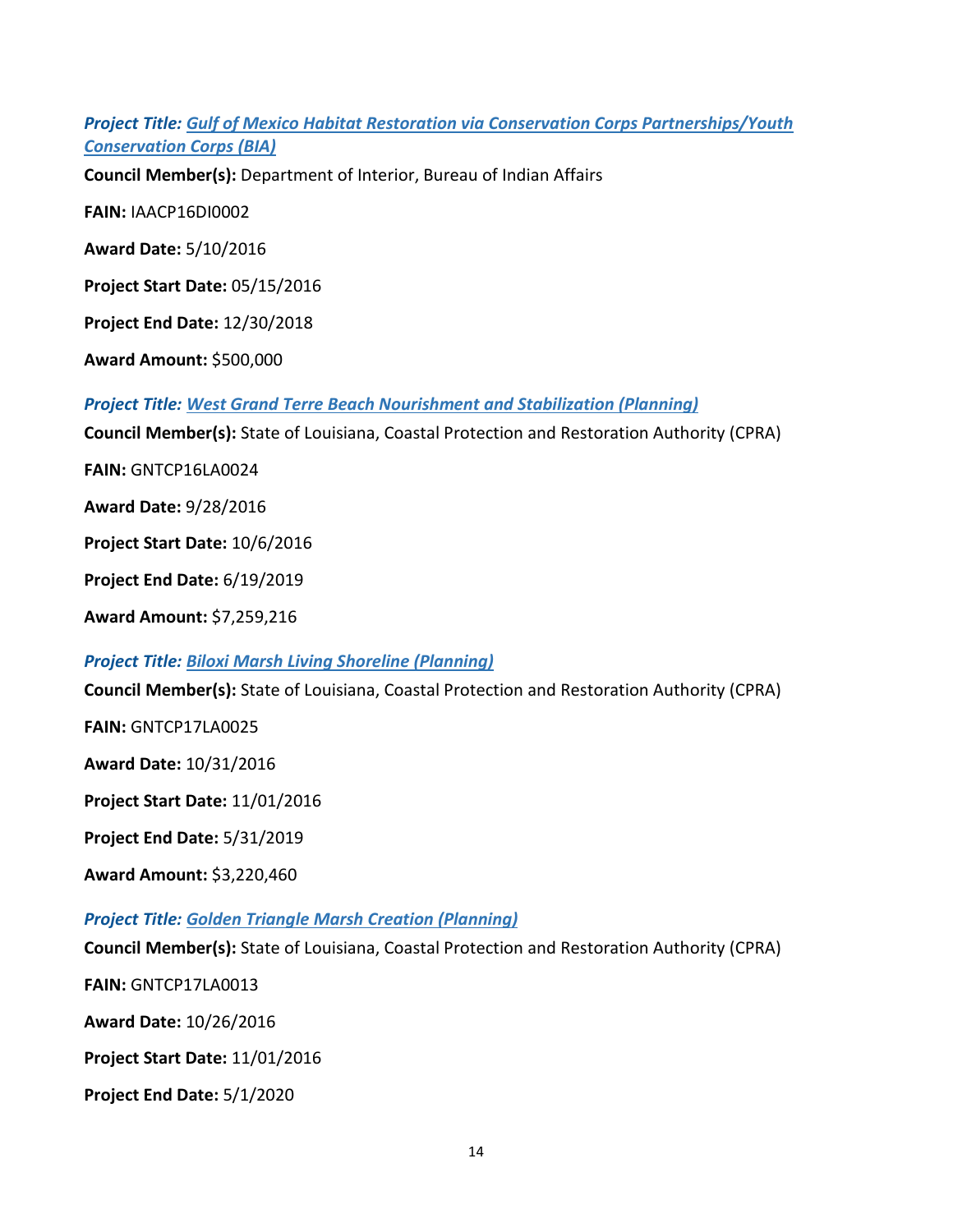*Project Title: [Gulf of Mexico Habitat Restoration via Conservation Corps Partnerships/Youth](https://www.restorethegulf.gov/sites/default/files/FPL_forDec9Vote_Errata_04-07-2016.pdf#page=254)  [Conservation Corps \(BIA\)](https://www.restorethegulf.gov/sites/default/files/FPL_forDec9Vote_Errata_04-07-2016.pdf#page=254)*

**Council Member(s):** Department of Interior, Bureau of Indian Affairs

**FAIN:** IAACP16DI0002

**Award Date:** 5/10/2016

**Project Start Date:** 05/15/2016

**Project End Date:** 12/30/2018

**Award Amount:** \$500,000

*Project Title: [West Grand Terre Beach Nourishment and Stabilization \(Planning\)](https://www.restorethegulf.gov/sites/default/files/FPL_forDec9Vote_Errata_04-07-2016.pdf#page=66)*

**Council Member(s):** State of Louisiana, Coastal Protection and Restoration Authority (CPRA)

**FAIN:** GNTCP16LA0024

**Award Date:** 9/28/2016

**Project Start Date:** 10/6/2016

**Project End Date:** 6/19/2019

**Award Amount:** \$7,259,216

*Project Title: [Biloxi Marsh Living Shoreline \(Planning\)](https://www.restorethegulf.gov/sites/default/files/FPL_forDec9Vote_Errata_04-07-2016.pdf#page=75)*

**Council Member(s):** State of Louisiana, Coastal Protection and Restoration Authority (CPRA)

**FAIN:** GNTCP17LA0025

**Award Date:** 10/31/2016

**Project Start Date:** 11/01/2016

**Project End Date:** 5/31/2019

**Award Amount:** \$3,220,460

*Project Title: [Golden Triangle Marsh Creation \(Planning\)](https://www.restorethegulf.gov/sites/default/files/FPL_forDec9Vote_Errata_04-07-2016.pdf#page=70)*

**Council Member(s):** State of Louisiana, Coastal Protection and Restoration Authority (CPRA)

**FAIN:** GNTCP17LA0013

**Award Date:** 10/26/2016

**Project Start Date:** 11/01/2016

**Project End Date:** 5/1/2020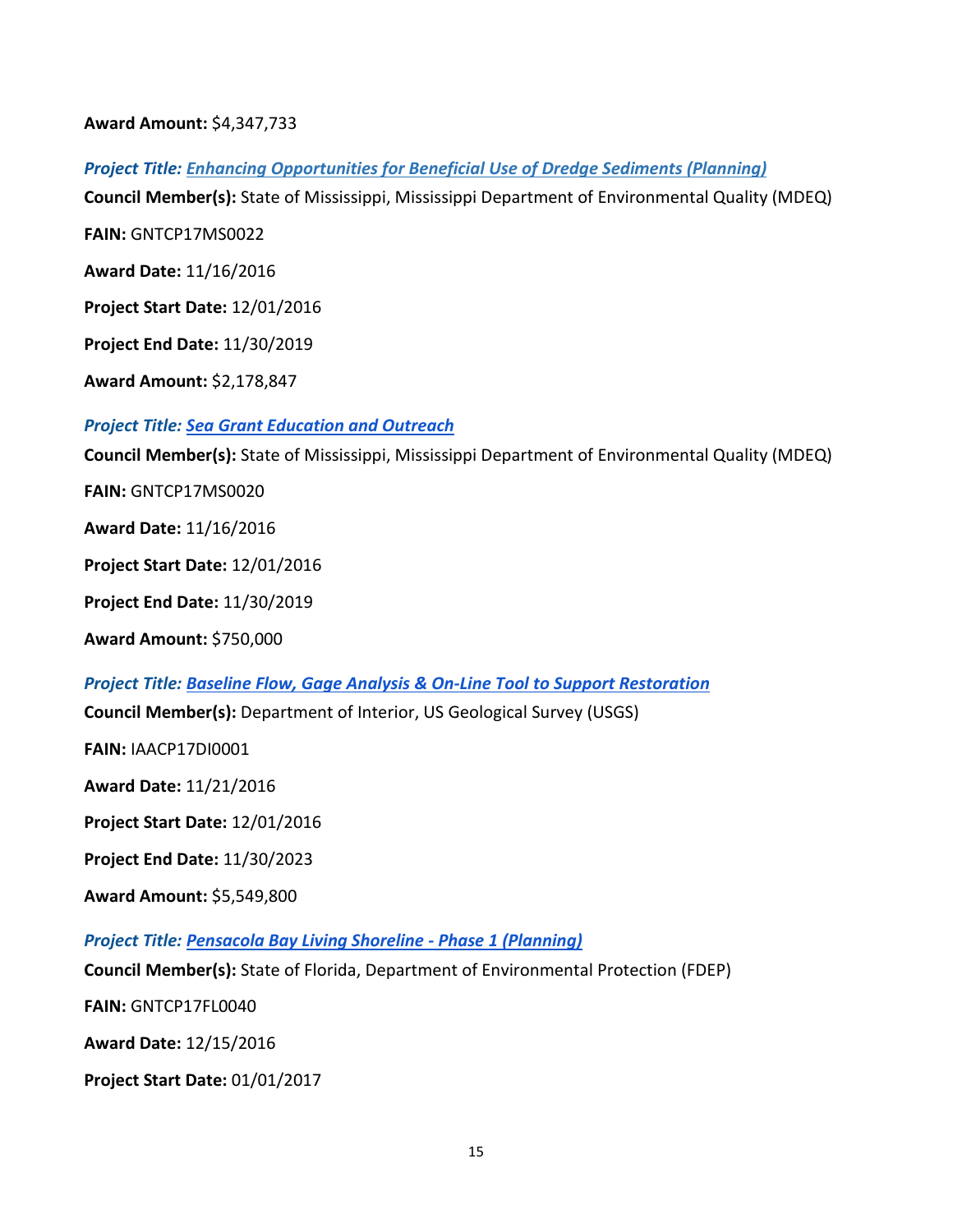**Award Amount:** \$4,347,733

*Project Title: [Enhancing Opportunities for Beneficial Use of Dredge Sediments \(Planning\)](https://www.restorethegulf.gov/sites/default/files/FPL_forDec9Vote_Errata_04-07-2016.pdf#page=254)*

**Council Member(s):** State of Mississippi, Mississippi Department of Environmental Quality (MDEQ)

**FAIN:** GNTCP17MS0022

**Award Date:** 11/16/2016

**Project Start Date:** 12/01/2016

**Project End Date:** 11/30/2019

**Award Amount:** \$2,178,847

#### *Project Title: [Sea Grant Education and Outreach](https://www.restorethegulf.gov/sites/default/files/FPL_forDec9Vote_Errata_04-07-2016.pdf#page=103)*

**Council Member(s):** State of Mississippi, Mississippi Department of Environmental Quality (MDEQ)

**FAIN:** GNTCP17MS0020

**Award Date:** 11/16/2016

**Project Start Date:** 12/01/2016

**Project End Date:** 11/30/2019

**Award Amount:** \$750,000

*Project Title: [Baseline Flow, Gage Analysis & On-Line Tool to Support Restoration](https://www.restorethegulf.gov/sites/default/files/FPL_forDec9Vote_Errata_04-07-2016.pdf#page=240)* **Council Member(s):** Department of Interior, US Geological Survey (USGS) **FAIN:** IAACP17DI0001 **Award Date:** 11/21/2016 **Project Start Date:** 12/01/2016 **Project End Date:** 11/30/2023 **Award Amount:** \$5,549,800 *Project Title: [Pensacola Bay Living Shoreline -](https://www.restorethegulf.gov/sites/default/files/FPL_forDec9Vote_Errata_04-07-2016.pdf#page=165) Phase 1 (Planning)* **Council Member(s):** State of Florida, Department of Environmental Protection (FDEP)

**FAIN:** GNTCP17FL0040

**Award Date:** 12/15/2016

**Project Start Date:** 01/01/2017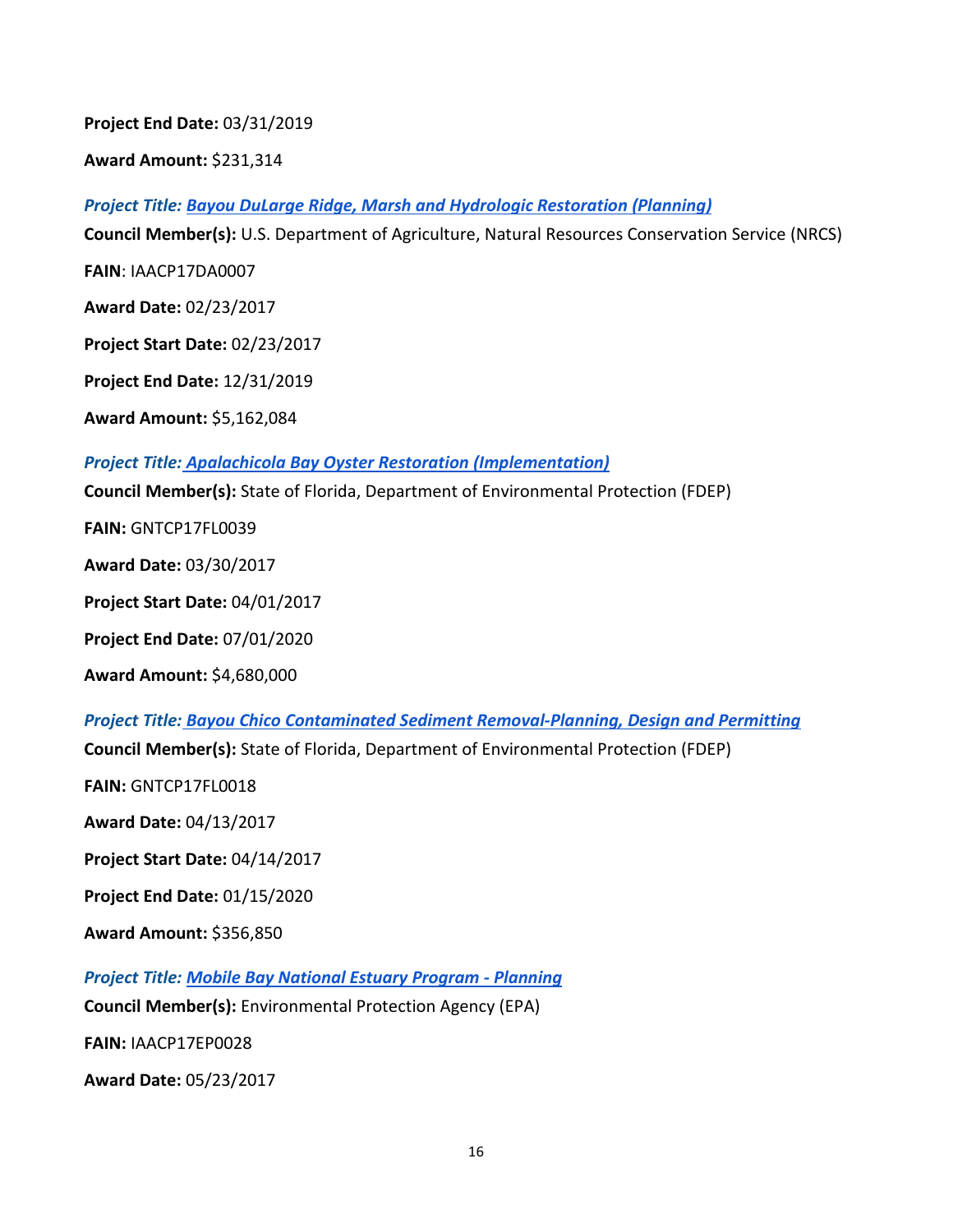**Project End Date:** 03/31/2019

**Award Amount:** \$231,314

*Project Title: [Bayou DuLarge Ridge, Marsh and Hydrologic Restoration \(Planning\)](https://www.restorethegulf.gov/sites/default/files/FPL_forDec9Vote_Errata_04-07-2016.pdf#page=87)*

**Council Member(s):** U.S. Department of Agriculture, Natural Resources Conservation Service (NRCS)

**FAIN**: IAACP17DA0007

**Award Date:** 02/23/2017

**Project Start Date:** 02/23/2017

**Project End Date:** 12/31/2019

**Award Amount:** \$5,162,084

#### *Project Title: [Apalachicola Bay Oyster Restoration \(Implementation\)](https://www.restorethegulf.gov/sites/default/files/FPL_forDec9Vote_Errata_04-07-2016.pdf#page=179)*

**Council Member(s):** State of Florida, Department of Environmental Protection (FDEP)

**FAIN:** GNTCP17FL0039

**Award Date:** 03/30/2017

**Project Start Date:** 04/01/2017

**Project End Date:** 07/01/2020

**Award Amount:** \$4,680,000

*Project Title: [Bayou Chico Contaminated Sediment Removal-Planning, Design and Permitting](https://www.restorethegulf.gov/sites/default/files/FPL_forDec9Vote_Errata_04-07-2016.pdf#page=173)* **Council Member(s):** State of Florida, Department of Environmental Protection (FDEP)

**FAIN:** GNTCP17FL0018

**Award Date:** 04/13/2017

**Project Start Date:** 04/14/2017

**Project End Date:** 01/15/2020

**Award Amount:** \$356,850

*Project Title: [Mobile Bay National Estuary Program -](https://www.restorethegulf.gov/sites/default/files/FPL_forDec9Vote_Errata_04-07-2016.pdf#page=138) Planning*

**Council Member(s):** Environmental Protection Agency (EPA)

**FAIN:** IAACP17EP0028

**Award Date:** 05/23/2017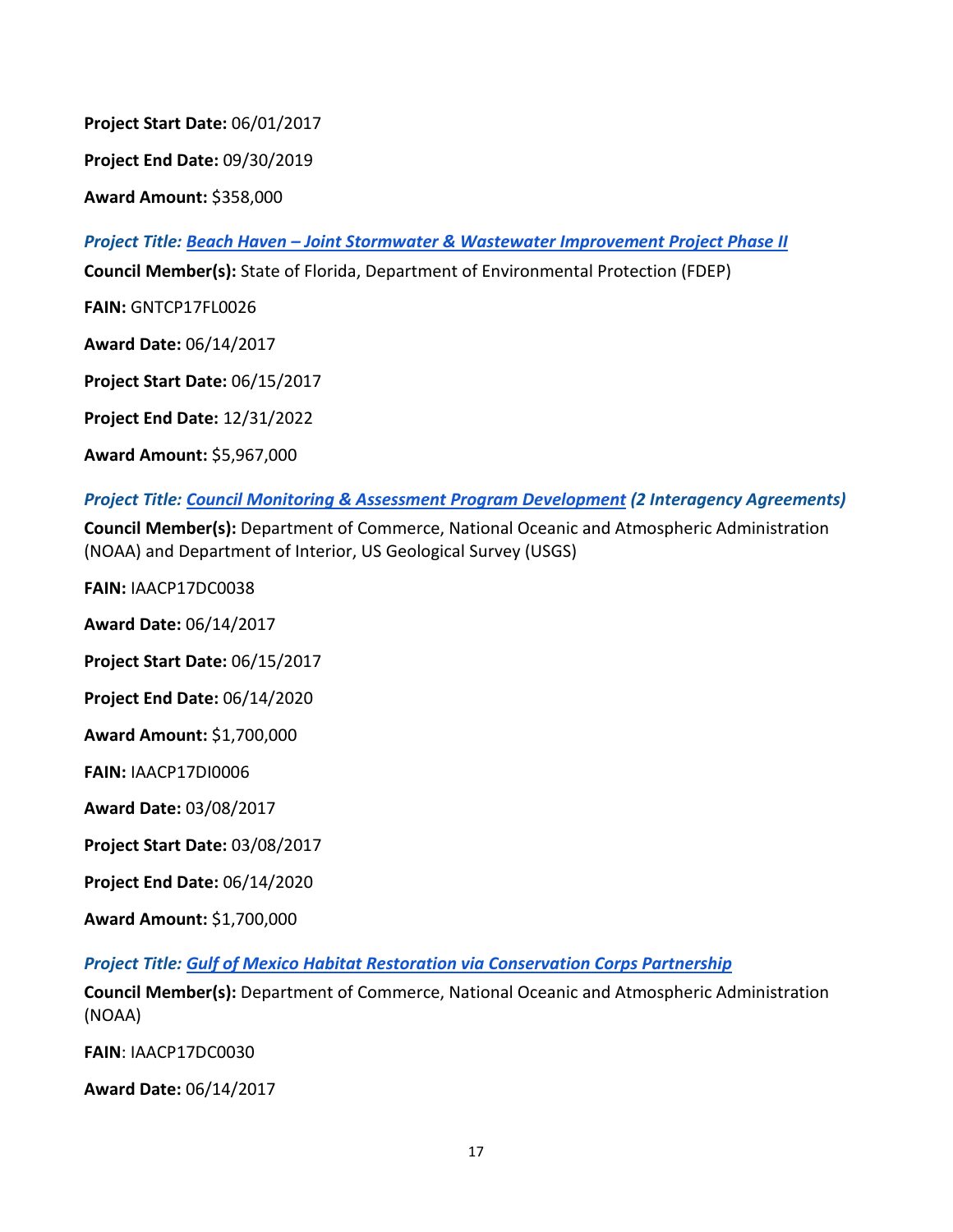**Project Start Date:** 06/01/2017

**Project End Date:** 09/30/2019

**Award Amount:** \$358,000

*Project Title: Beach Haven – [Joint Stormwater & Wastewater Improvement Project Phase II](https://www.restorethegulf.gov/sites/default/files/FPL_forDec9Vote_Errata_04-07-2016.pdf#page=169)*

**Council Member(s):** State of Florida, Department of Environmental Protection (FDEP)

**FAIN:** GNTCP17FL0026

**Award Date:** 06/14/2017

**Project Start Date:** 06/15/2017

**Project End Date:** 12/31/2022

**Award Amount:** \$5,967,000

#### *Project Title: [Council Monitoring & Assessment Program Development](https://www.restorethegulf.gov/sites/default/files/FPL_forDec9Vote_Errata_04-07-2016.pdf#page=228) (2 Interagency Agreements)*

**Council Member(s):** Department of Commerce, National Oceanic and Atmospheric Administration (NOAA) and Department of Interior, US Geological Survey (USGS)

**FAIN:** IAACP17DC0038

**Award Date:** 06/14/2017

**Project Start Date:** 06/15/2017

**Project End Date:** 06/14/2020

**Award Amount:** \$1,700,000

**FAIN:** IAACP17DI0006

**Award Date:** 03/08/2017

**Project Start Date:** 03/08/2017

**Project End Date:** 06/14/2020

**Award Amount:** \$1,700,000

*Project Title: [Gulf of Mexico Habitat Restoration via Conservation Corps Partnership](https://www.restorethegulf.gov/sites/default/files/FPL_forDec9Vote_Errata_04-07-2016.pdf#page=254)*

**Council Member(s):** Department of Commerce, National Oceanic and Atmospheric Administration (NOAA)

**FAIN**: IAACP17DC0030

**Award Date:** 06/14/2017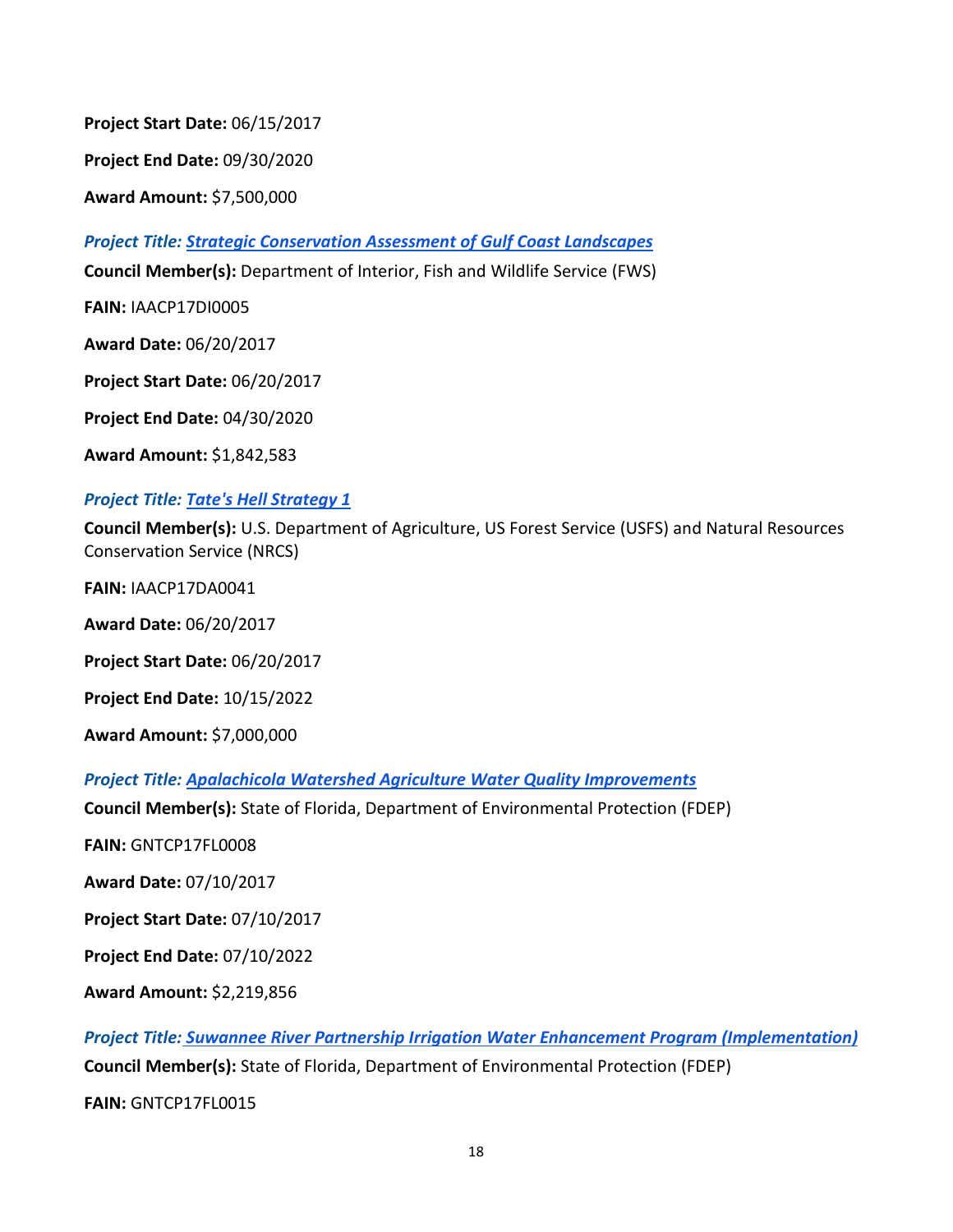**Project Start Date:** 06/15/2017

**Project End Date:** 09/30/2020

**Award Amount:** \$7,500,000

*Project Title: [Strategic Conservation Assessment of Gulf Coast Landscapes](https://www.restorethegulf.gov/sites/default/files/FPL_forDec9Vote_Errata_04-07-2016.pdf#page=237)*

**Council Member(s):** Department of Interior, Fish and Wildlife Service (FWS)

**FAIN:** IAACP17DI0005

**Award Date:** 06/20/2017

**Project Start Date:** 06/20/2017

**Project End Date:** 04/30/2020

**Award Amount:** \$1,842,583

#### *Project Title: [Tate's Hell Strategy 1](https://www.restorethegulf.gov/sites/default/files/FPL_forDec9Vote_Errata_04-07-2016.pdf#page=183)*

**Council Member(s):** U.S. Department of Agriculture, US Forest Service (USFS) and Natural Resources Conservation Service (NRCS)

**FAIN:** IAACP17DA0041

**Award Date:** 06/20/2017

**Project Start Date:** 06/20/2017

**Project End Date:** 10/15/2022

**Award Amount:** \$7,000,000

*Project Title: [Apalachicola Watershed Agriculture Water Quality Improvements](https://www.restorethegulf.gov/sites/default/files/FPL_forDec9Vote_Errata_04-07-2016.pdf#page=179)*

**Council Member(s):** State of Florida, Department of Environmental Protection (FDEP)

**FAIN:** GNTCP17FL0008

**Award Date:** 07/10/2017

**Project Start Date:** 07/10/2017

**Project End Date:** 07/10/2022

**Award Amount:** \$2,219,856

*Project Title: [Suwannee River Partnership Irrigation Water Enhancement Program \(Implementation\)](https://www.restorethegulf.gov/sites/default/files/FPL_forDec9Vote_Errata_04-07-2016.pdf#page=204)* **Council Member(s):** State of Florida, Department of Environmental Protection (FDEP)

**FAIN:** GNTCP17FL0015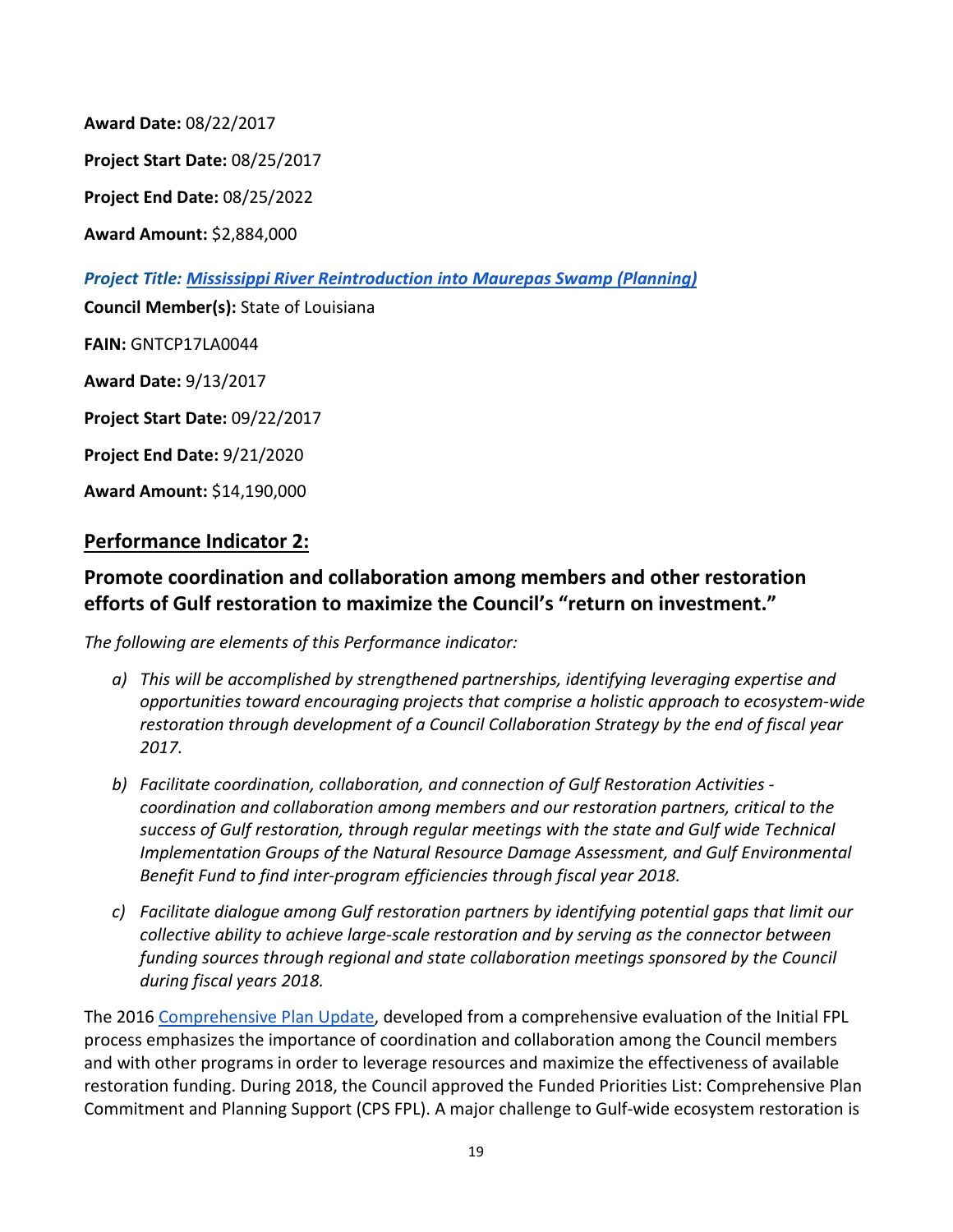**Award Date:** 08/22/2017

**Project Start Date:** 08/25/2017

**Project End Date:** 08/25/2022

**Award Amount:** \$2,884,000

*Project Title: [Mississippi River Reintroduction into Maurepas Swamp \(Planning\)](https://www.restorethegulf.gov/sites/default/files/FPL_forDec9Vote_Errata_04-07-2016.pdf)*

**Council Member(s):** State of Louisiana

**FAIN:** GNTCP17LA0044

**Award Date:** 9/13/2017

**Project Start Date:** 09/22/2017

**Project End Date:** 9/21/2020

**Award Amount:** \$14,190,000

#### **Performance Indicator 2:**

#### **Promote coordination and collaboration among members and other restoration efforts of Gulf restoration to maximize the Council's "return on investment."**

*The following are elements of this Performance indicator:*

- *a) This will be accomplished by strengthened partnerships, identifying leveraging expertise and opportunities toward encouraging projects that comprise a holistic approach to ecosystem-wide restoration through development of a Council Collaboration Strategy by the end of fiscal year 2017.*
- *b) Facilitate coordination, collaboration, and connection of Gulf Restoration Activities coordination and collaboration among members and our restoration partners, critical to the success of Gulf restoration, through regular meetings with the state and Gulf wide Technical Implementation Groups of the Natural Resource Damage Assessment, and Gulf Environmental Benefit Fund to find inter-program efficiencies through fiscal year 2018.*
- *c) Facilitate dialogue among Gulf restoration partners by identifying potential gaps that limit our collective ability to achieve large-scale restoration and by serving as the connector between funding sources through regional and state collaboration meetings sponsored by the Council during fiscal years 2018.*

The 2016 [Comprehensive Plan Update,](https://www.restorethegulf.gov/sites/default/files/CO-PL_20161208_CompPlanUpdate_English.pdf) developed from a comprehensive evaluation of the Initial FPL process emphasizes the importance of coordination and collaboration among the Council members and with other programs in order to leverage resources and maximize the effectiveness of available restoration funding. During 2018, the Council approved the Funded Priorities List: Comprehensive Plan Commitment and Planning Support (CPS FPL). A major challenge to Gulf-wide ecosystem restoration is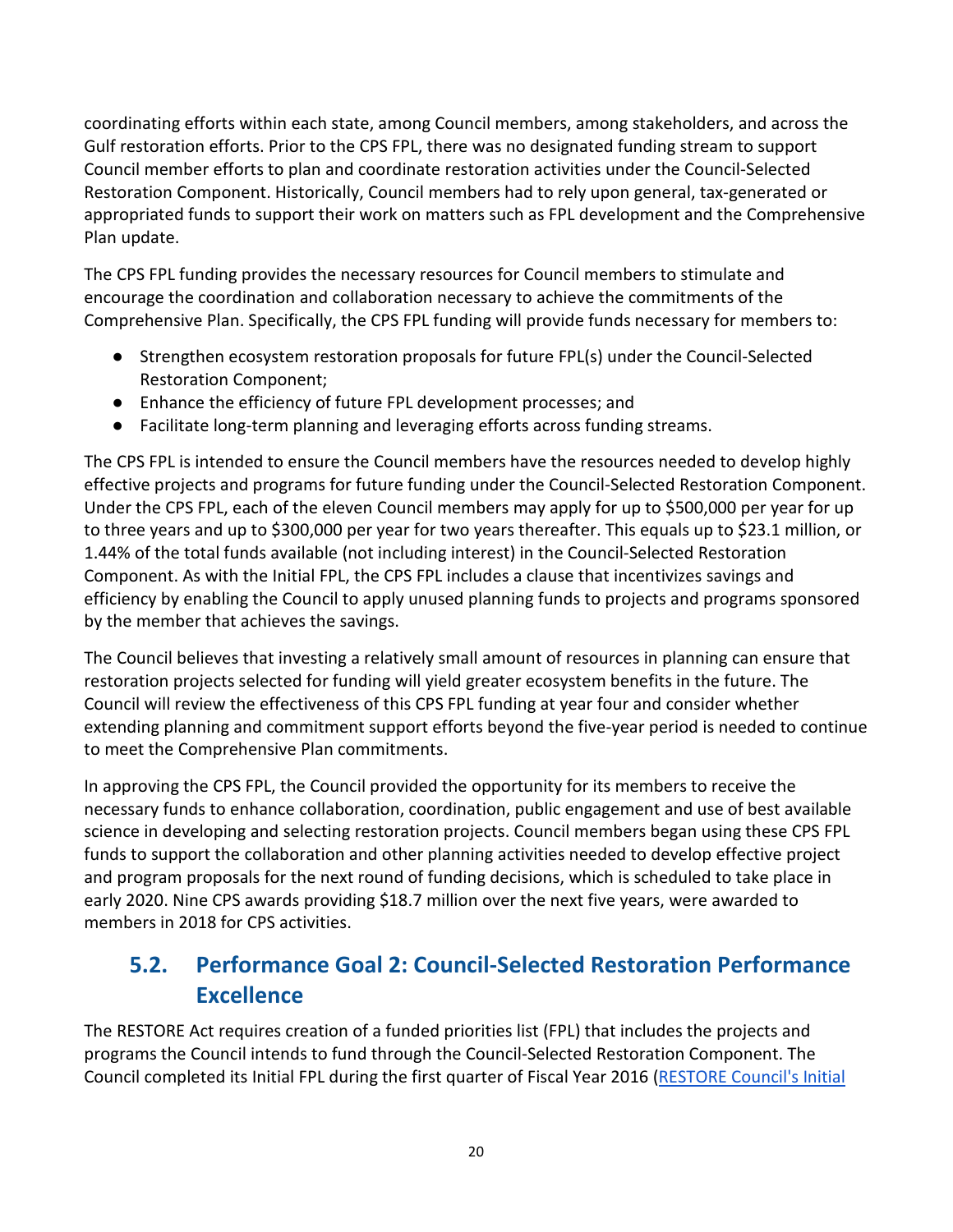coordinating efforts within each state, among Council members, among stakeholders, and across the Gulf restoration efforts. Prior to the CPS FPL, there was no designated funding stream to support Council member efforts to plan and coordinate restoration activities under the Council-Selected Restoration Component. Historically, Council members had to rely upon general, tax-generated or appropriated funds to support their work on matters such as FPL development and the Comprehensive Plan update.

The CPS FPL funding provides the necessary resources for Council members to stimulate and encourage the coordination and collaboration necessary to achieve the commitments of the Comprehensive Plan. Specifically, the CPS FPL funding will provide funds necessary for members to:

- Strengthen ecosystem restoration proposals for future FPL(s) under the Council-Selected Restoration Component;
- Enhance the efficiency of future FPL development processes; and
- Facilitate long-term planning and leveraging efforts across funding streams.

The CPS FPL is intended to ensure the Council members have the resources needed to develop highly effective projects and programs for future funding under the Council-Selected Restoration Component. Under the CPS FPL, each of the eleven Council members may apply for up to \$500,000 per year for up to three years and up to \$300,000 per year for two years thereafter. This equals up to \$23.1 million, or 1.44% of the total funds available (not including interest) in the Council-Selected Restoration Component. As with the Initial FPL, the CPS FPL includes a clause that incentivizes savings and efficiency by enabling the Council to apply unused planning funds to projects and programs sponsored by the member that achieves the savings.

The Council believes that investing a relatively small amount of resources in planning can ensure that restoration projects selected for funding will yield greater ecosystem benefits in the future. The Council will review the effectiveness of this CPS FPL funding at year four and consider whether extending planning and commitment support efforts beyond the five-year period is needed to continue to meet the Comprehensive Plan commitments.

In approving the CPS FPL, the Council provided the opportunity for its members to receive the necessary funds to enhance collaboration, coordination, public engagement and use of best available science in developing and selecting restoration projects. Council members began using these CPS FPL funds to support the collaboration and other planning activities needed to develop effective project and program proposals for the next round of funding decisions, which is scheduled to take place in early 2020. Nine CPS awards providing \$18.7 million over the next five years, were awarded to members in 2018 for CPS activities.

## <span id="page-19-0"></span>**5.2. Performance Goal 2: Council-Selected Restoration Performance Excellence**

The RESTORE Act requires creation of a funded priorities list (FPL) that includes the projects and programs the Council intends to fund through the Council-Selected Restoration Component. The Council completed its Initial FPL during the first quarter of Fiscal Year 2016 [\(RESTORE Council's Initial](https://www.restorethegulf.gov/council-selected-restoration-component/funded-priorities-list)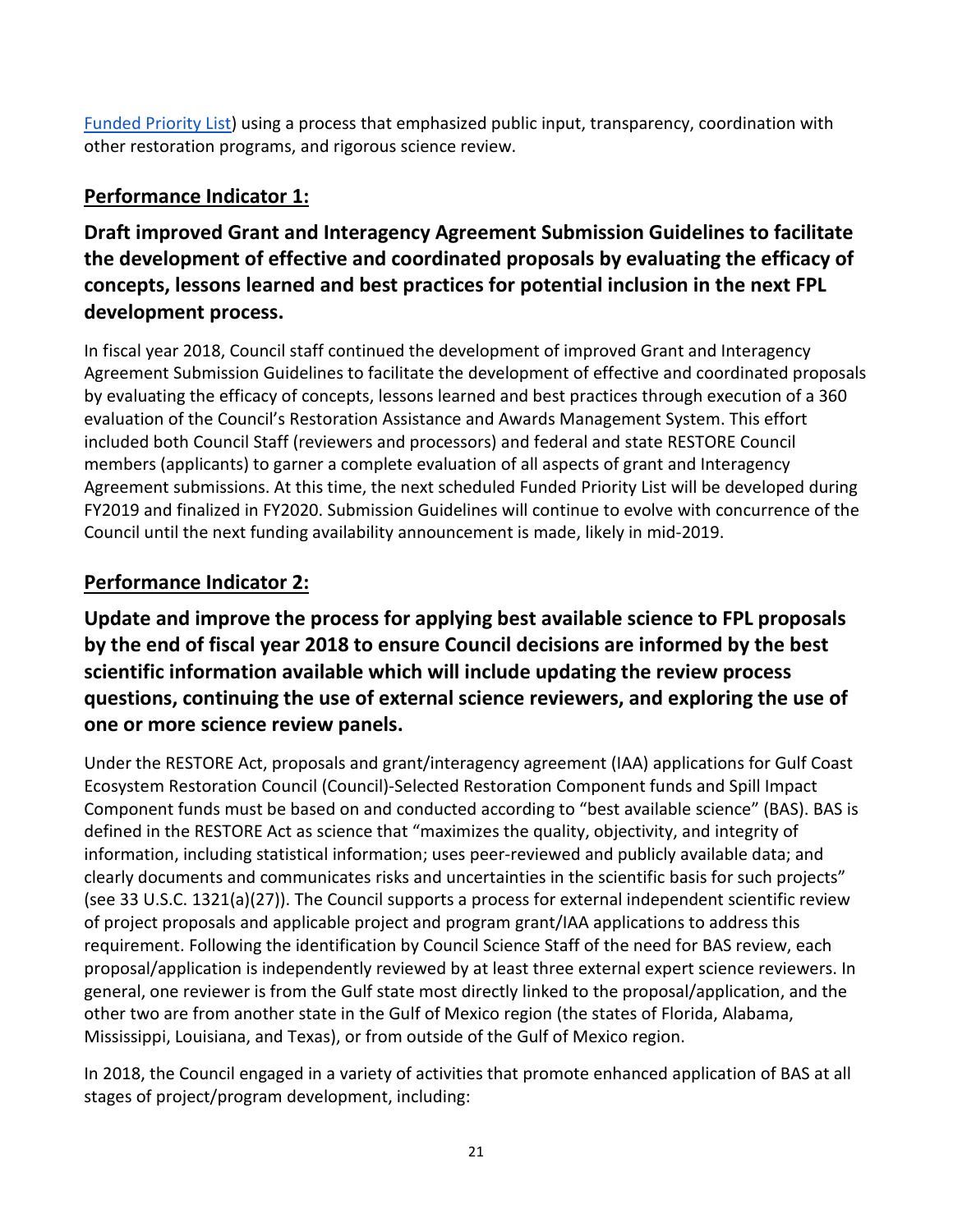[Funded Priority List\)](https://www.restorethegulf.gov/council-selected-restoration-component/funded-priorities-list) using a process that emphasized public input, transparency, coordination with other restoration programs, and rigorous science review.

### **Performance Indicator 1:**

### **Draft improved Grant and Interagency Agreement Submission Guidelines to facilitate the development of effective and coordinated proposals by evaluating the efficacy of concepts, lessons learned and best practices for potential inclusion in the next FPL development process.**

In fiscal year 2018, Council staff continued the development of improved Grant and Interagency Agreement Submission Guidelines to facilitate the development of effective and coordinated proposals by evaluating the efficacy of concepts, lessons learned and best practices through execution of a 360 evaluation of the Council's Restoration Assistance and Awards Management System. This effort included both Council Staff (reviewers and processors) and federal and state RESTORE Council members (applicants) to garner a complete evaluation of all aspects of grant and Interagency Agreement submissions. At this time, the next scheduled Funded Priority List will be developed during FY2019 and finalized in FY2020. Submission Guidelines will continue to evolve with concurrence of the Council until the next funding availability announcement is made, likely in mid-2019.

#### **Performance Indicator 2:**

**Update and improve the process for applying best available science to FPL proposals by the end of fiscal year 2018 to ensure Council decisions are informed by the best scientific information available which will include updating the review process questions, continuing the use of external science reviewers, and exploring the use of one or more science review panels.**

Under the RESTORE Act, proposals and grant/interagency agreement (IAA) applications for Gulf Coast Ecosystem Restoration Council (Council)-Selected Restoration Component funds and Spill Impact Component funds must be based on and conducted according to "best available science" (BAS). BAS is defined in the RESTORE Act as science that "maximizes the quality, objectivity, and integrity of information, including statistical information; uses peer-reviewed and publicly available data; and clearly documents and communicates risks and uncertainties in the scientific basis for such projects" (see 33 U.S.C. 1321(a)(27)). The Council supports a process for external independent scientific review of project proposals and applicable project and program grant/IAA applications to address this requirement. Following the identification by Council Science Staff of the need for BAS review, each proposal/application is independently reviewed by at least three external expert science reviewers. In general, one reviewer is from the Gulf state most directly linked to the proposal/application, and the other two are from another state in the Gulf of Mexico region (the states of Florida, Alabama, Mississippi, Louisiana, and Texas), or from outside of the Gulf of Mexico region.

In 2018, the Council engaged in a variety of activities that promote enhanced application of BAS at all stages of project/program development, including: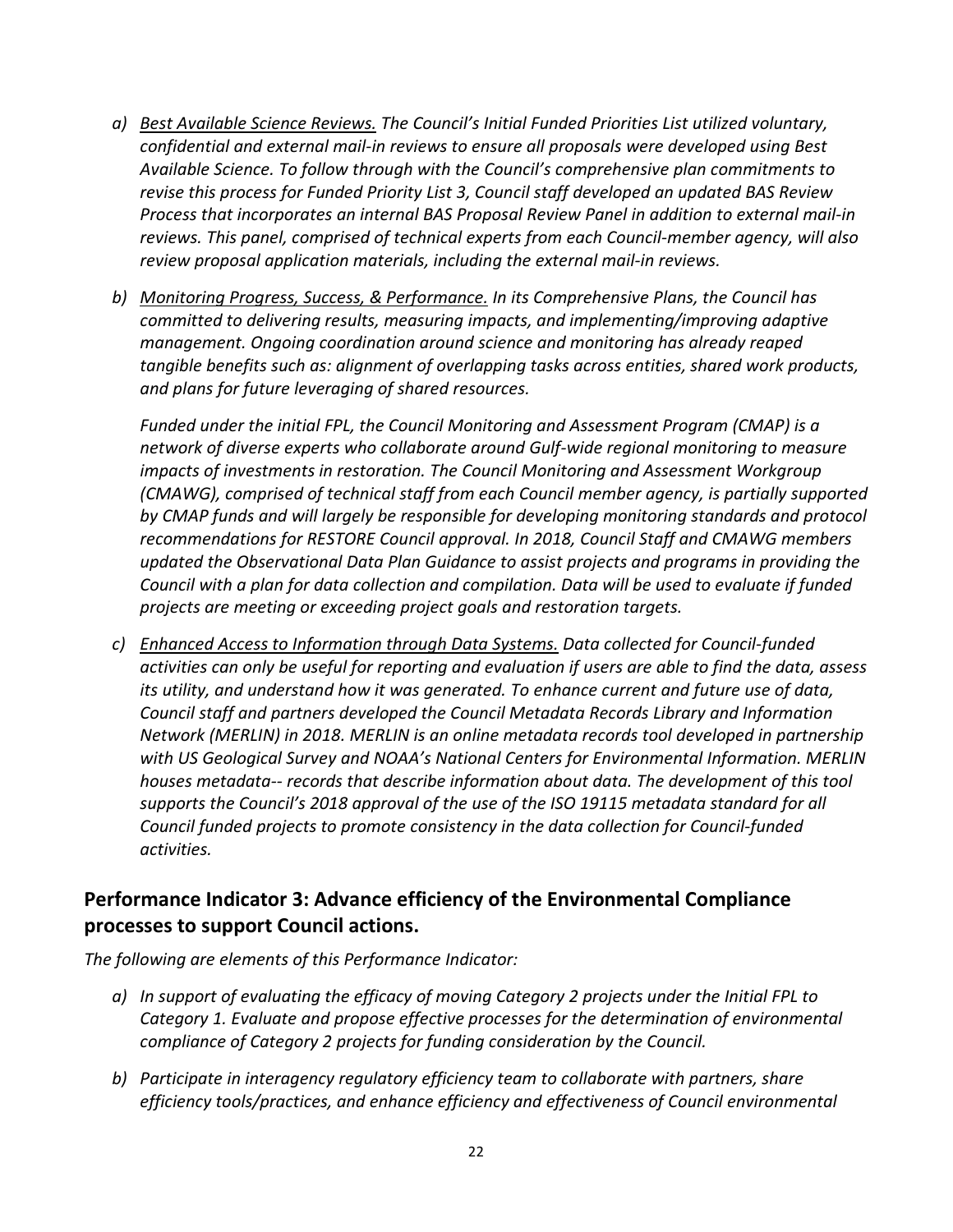- *a) Best Available Science Reviews. The Council's Initial Funded Priorities List utilized voluntary, confidential and external mail-in reviews to ensure all proposals were developed using Best Available Science. To follow through with the Council's comprehensive plan commitments to revise this process for Funded Priority List 3, Council staff developed an updated BAS Review Process that incorporates an internal BAS Proposal Review Panel in addition to external mail-in reviews. This panel, comprised of technical experts from each Council-member agency, will also review proposal application materials, including the external mail-in reviews.*
- *b) Monitoring Progress, Success, & Performance. In its Comprehensive Plans, the Council has committed to delivering results, measuring impacts, and implementing/improving adaptive management. Ongoing coordination around science and monitoring has already reaped tangible benefits such as: alignment of overlapping tasks across entities, shared work products, and plans for future leveraging of shared resources.*

*Funded under the initial FPL, the Council Monitoring and Assessment Program (CMAP) is a network of diverse experts who collaborate around Gulf-wide regional monitoring to measure impacts of investments in restoration. The Council Monitoring and Assessment Workgroup (CMAWG), comprised of technical staff from each Council member agency, is partially supported by CMAP funds and will largely be responsible for developing monitoring standards and protocol recommendations for RESTORE Council approval. In 2018, Council Staff and CMAWG members updated the Observational Data Plan Guidance to assist projects and programs in providing the Council with a plan for data collection and compilation. Data will be used to evaluate if funded projects are meeting or exceeding project goals and restoration targets.*

*c) Enhanced Access to Information through Data Systems. Data collected for Council-funded activities can only be useful for reporting and evaluation if users are able to find the data, assess its utility, and understand how it was generated. To enhance current and future use of data, Council staff and partners developed the Council Metadata Records Library and Information Network (MERLIN) in 2018. MERLIN is an online metadata records tool developed in partnership with US Geological Survey and NOAA's National Centers for Environmental Information. MERLIN houses metadata-- records that describe information about data. The development of this tool supports the Council's 2018 approval of the use of the ISO 19115 metadata standard for all Council funded projects to promote consistency in the data collection for Council-funded activities.*

#### **Performance Indicator 3: Advance efficiency of the Environmental Compliance processes to support Council actions.**

*The following are elements of this Performance Indicator:*

- *a) In support of evaluating the efficacy of moving Category 2 projects under the Initial FPL to Category 1. Evaluate and propose effective processes for the determination of environmental compliance of Category 2 projects for funding consideration by the Council.*
- *b) Participate in interagency regulatory efficiency team to collaborate with partners, share efficiency tools/practices, and enhance efficiency and effectiveness of Council environmental*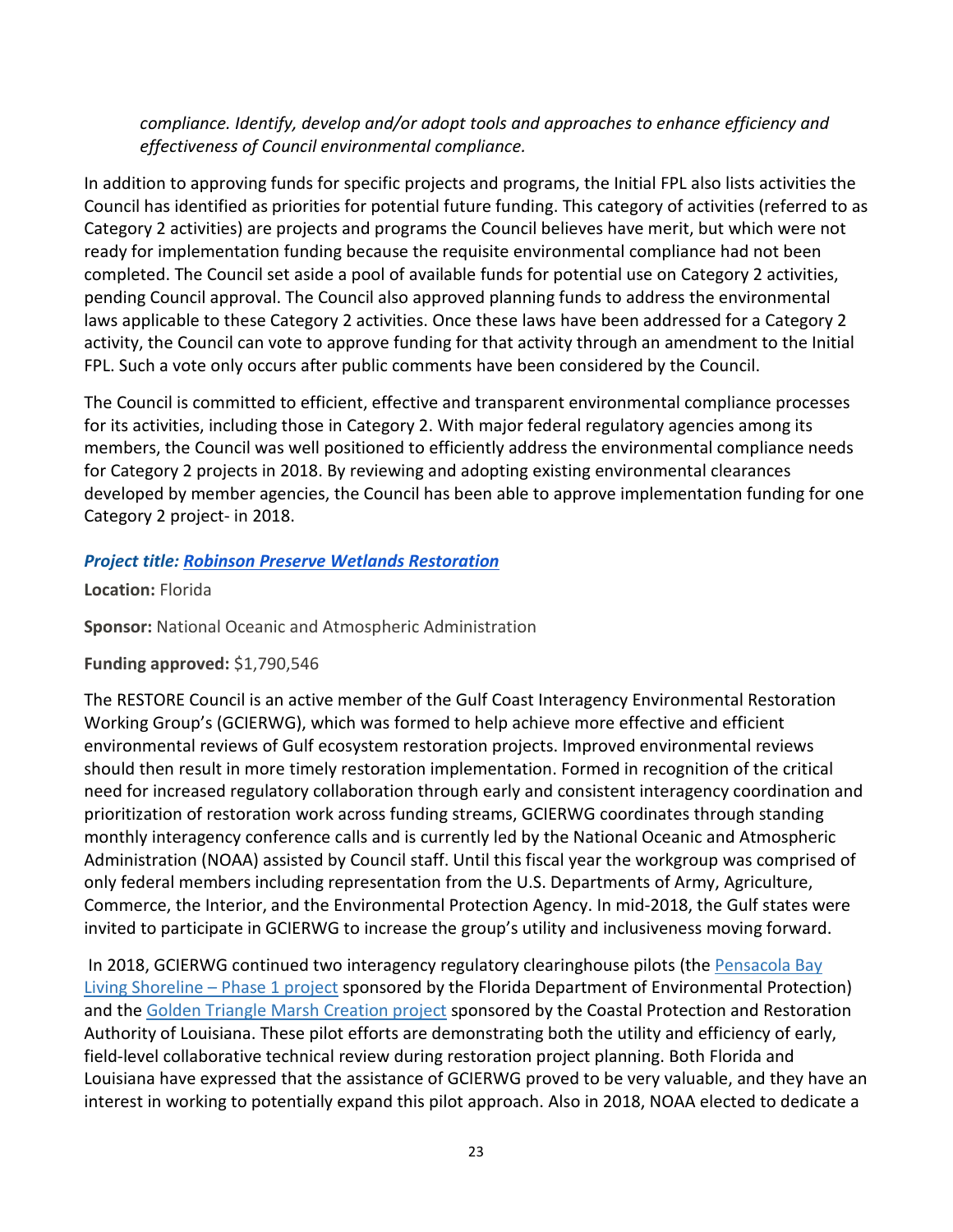*compliance. Identify, develop and/or adopt tools and approaches to enhance efficiency and effectiveness of Council environmental compliance.*

In addition to approving funds for specific projects and programs, the Initial FPL also lists activities the Council has identified as priorities for potential future funding. This category of activities (referred to as Category 2 activities) are projects and programs the Council believes have merit, but which were not ready for implementation funding because the requisite environmental compliance had not been completed. The Council set aside a pool of available funds for potential use on Category 2 activities, pending Council approval. The Council also approved planning funds to address the environmental laws applicable to these Category 2 activities. Once these laws have been addressed for a Category 2 activity, the Council can vote to approve funding for that activity through an amendment to the Initial FPL. Such a vote only occurs after public comments have been considered by the Council.

The Council is committed to efficient, effective and transparent environmental compliance processes for its activities, including those in Category 2. With major federal regulatory agencies among its members, the Council was well positioned to efficiently address the environmental compliance needs for Category 2 projects in 2018. By reviewing and adopting existing environmental clearances developed by member agencies, the Council has been able to approve implementation funding for one Category 2 project- in 2018.

#### *Project title: [Robinson Preserve Wetlands Restoration](https://www.restorethegulf.gov/sites/default/files/Robinson_Preserve_FPL_Appendix_Amended_Approved_Jan_2018.pdf)*

**Location:** Florida

**Sponsor:** National Oceanic and Atmospheric Administration

#### **Funding approved:** \$1,790,546

The RESTORE Council is an active member of the Gulf Coast Interagency Environmental Restoration Working Group's (GCIERWG), which was formed to help achieve more effective and efficient environmental reviews of Gulf ecosystem restoration projects. Improved environmental reviews should then result in more timely restoration implementation. Formed in recognition of the critical need for increased regulatory collaboration through early and consistent interagency coordination and prioritization of restoration work across funding streams, GCIERWG coordinates through standing monthly interagency conference calls and is currently led by the National Oceanic and Atmospheric Administration (NOAA) assisted by Council staff. Until this fiscal year the workgroup was comprised of only federal members including representation from the U.S. Departments of Army, Agriculture, Commerce, the Interior, and the Environmental Protection Agency. In mid-2018, the Gulf states were invited to participate in GCIERWG to increase the group's utility and inclusiveness moving forward.

In 2018, GCIERWG continu[e](https://www.restorethegulf.gov/sites/default/files/FPL_forDec9Vote_Errata_04-07-2016.pdf#page=165)d two interagency regulatory clearinghouse pilots (the Pensacola Bay [Living Shoreline –](https://www.restorethegulf.gov/sites/default/files/FPL_forDec9Vote_Errata_04-07-2016.pdf#page=165) Phase 1 project sponsored by the Florida Department of Environmental Protection) and th[e](https://www.restorethegulf.gov/sites/default/files/FPL_forDec9Vote_Errata_04-07-2016.pdf#page=70) [Golden Triangle Marsh Creation project](https://www.restorethegulf.gov/sites/default/files/FPL_forDec9Vote_Errata_04-07-2016.pdf#page=70) sponsored by the Coastal Protection and Restoration Authority of Louisiana. These pilot efforts are demonstrating both the utility and efficiency of early, field-level collaborative technical review during restoration project planning. Both Florida and Louisiana have expressed that the assistance of GCIERWG proved to be very valuable, and they have an interest in working to potentially expand this pilot approach. Also in 2018, NOAA elected to dedicate a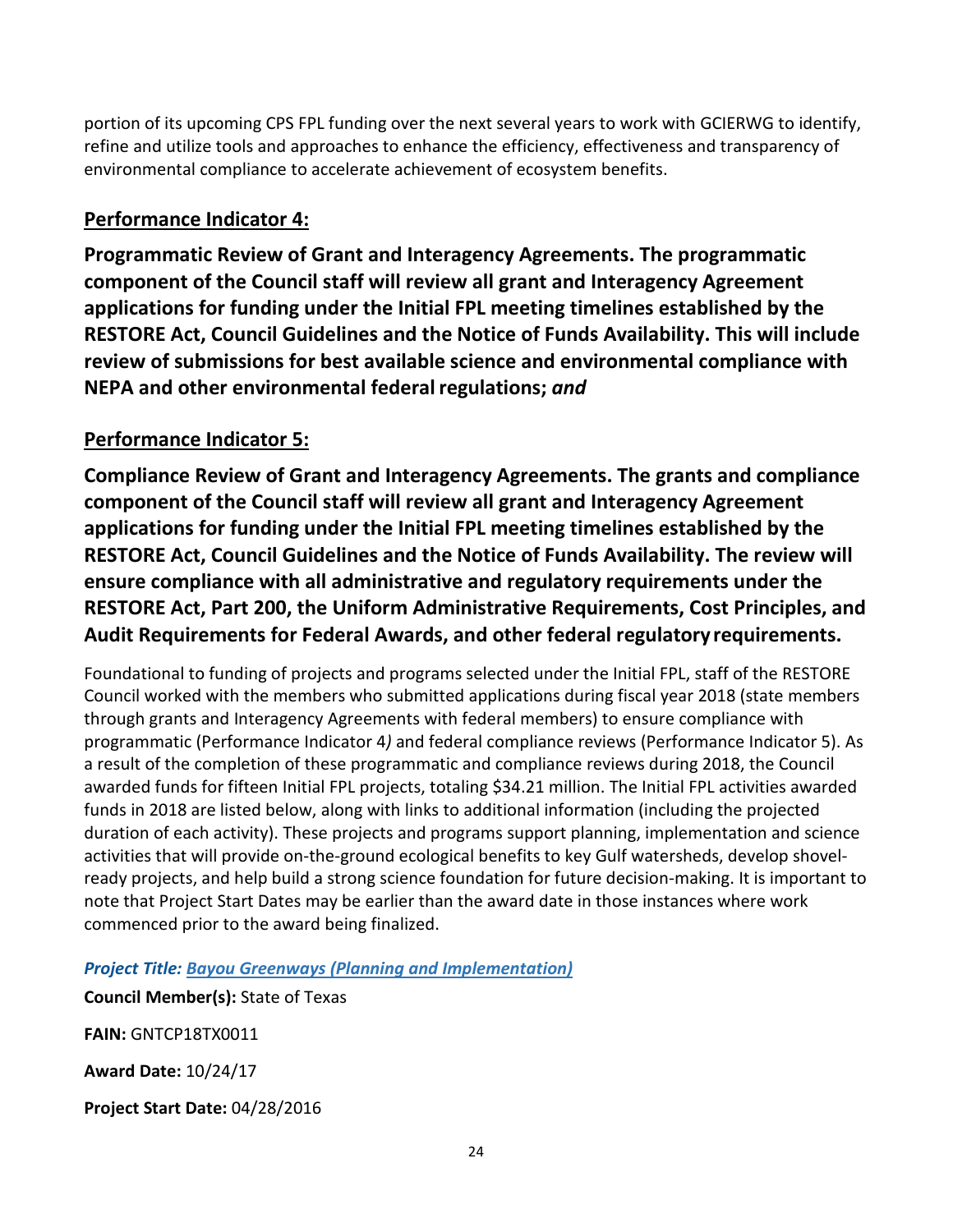portion of its upcoming CPS FPL funding over the next several years to work with GCIERWG to identify, refine and utilize tools and approaches to enhance the efficiency, effectiveness and transparency of environmental compliance to accelerate achievement of ecosystem benefits.

#### **Performance Indicator 4:**

**Programmatic Review of Grant and Interagency Agreements. The programmatic component of the Council staff will review all grant and Interagency Agreement applications for funding under the Initial FPL meeting timelines established by the RESTORE Act, Council Guidelines and the Notice of Funds Availability. This will include review of submissions for best available science and environmental compliance with NEPA and other environmental federalregulations;** *and*

#### **Performance Indicator 5:**

**Compliance Review of Grant and Interagency Agreements. The grants and compliance component of the Council staff will review all grant and Interagency Agreement applications for funding under the Initial FPL meeting timelines established by the RESTORE Act, Council Guidelines and the Notice of Funds Availability. The review will ensure compliance with all administrative and regulatory requirements under the RESTORE Act, Part 200, the Uniform Administrative Requirements, Cost Principles, and Audit Requirements for Federal Awards, and other federal regulatoryrequirements.**

Foundational to funding of projects and programs selected under the Initial FPL, staff of the RESTORE Council worked with the members who submitted applications during fiscal year 2018 (state members through grants and Interagency Agreements with federal members) to ensure compliance with programmatic (Performance Indicator 4*)* and federal compliance reviews (Performance Indicator 5). As a result of the completion of these programmatic and compliance reviews during 2018, the Council awarded funds for fifteen Initial FPL projects, totaling \$34.21 million. The Initial FPL activities awarded funds in 2018 are listed below, along with links to additional information (including the projected duration of each activity). These projects and programs support planning, implementation and science activities that will provide on-the-ground ecological benefits to key Gulf watersheds, develop shovelready projects, and help build a strong science foundation for future decision-making. It is important to note that Project Start Dates may be earlier than the award date in those instances where work commenced prior to the award being finalized.

*Project Title: [Bayou Greenways \(Planning and Implementation\)](https://www.restorethegulf.gov/sites/default/files/FPL_forDec9Vote_Errata_04-07-2016.pdf#page=31)*

**Council Member(s):** State of Texas

**FAIN:** GNTCP18TX0011

**Award Date:** 10/24/17

**Project Start Date:** 04/28/2016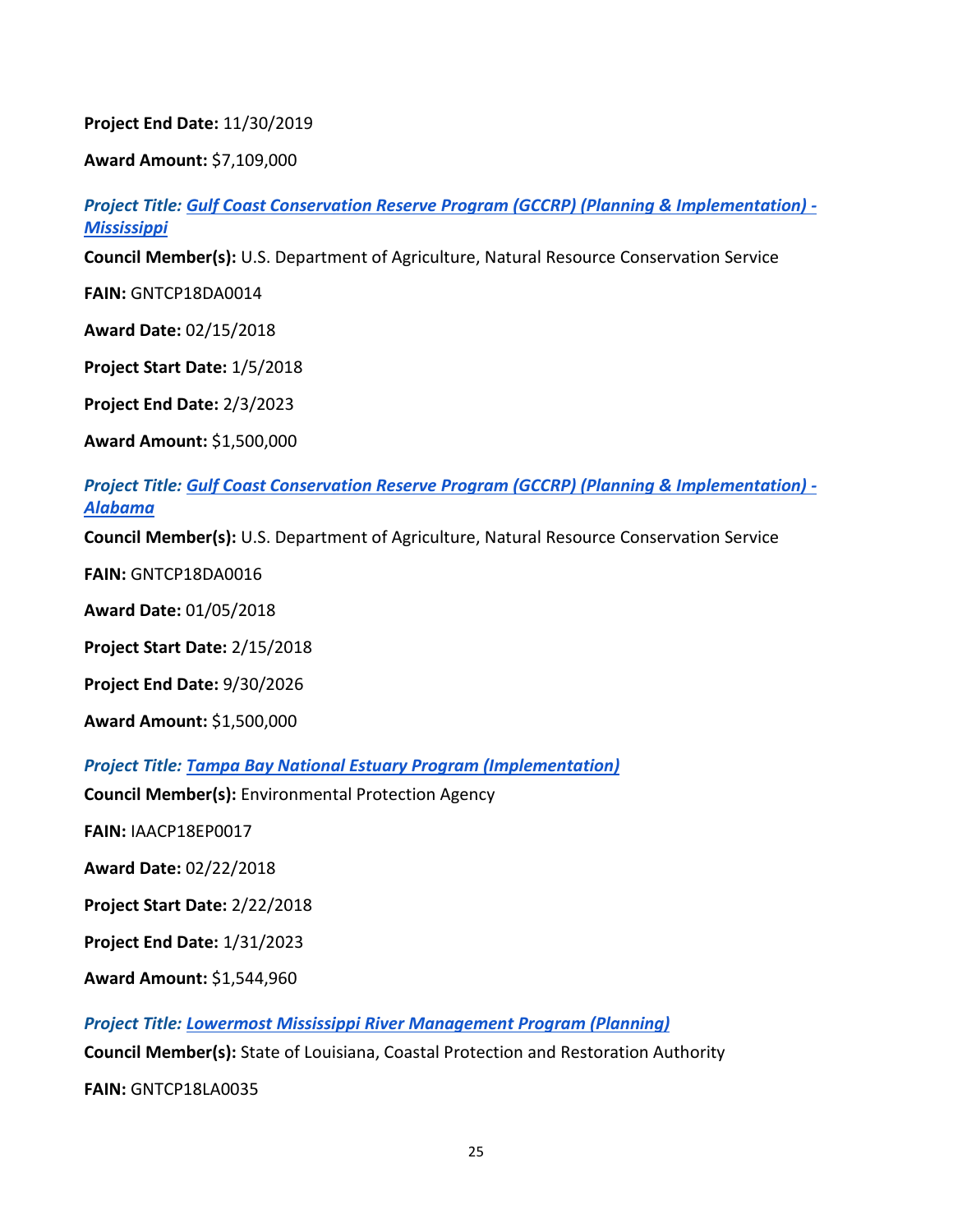#### **Project End Date:** 11/30/2019

**Award Amount:** \$7,109,000

*Project Title: [Gulf Coast Conservation Reserve Program \(GCCRP\) \(Planning & Implementation\) -](https://www.restorethegulf.gov/sites/default/files/FPL_forDec9Vote_Errata_04-07-2016.pdf#page=246) [Mississippi](https://www.restorethegulf.gov/sites/default/files/FPL_forDec9Vote_Errata_04-07-2016.pdf#page=246)*

**Council Member(s):** U.S. Department of Agriculture, Natural Resource Conservation Service

**FAIN:** GNTCP18DA0014

**Award Date:** 02/15/2018

**Project Start Date:** 1/5/2018

**Project End Date:** 2/3/2023

**Award Amount:** \$1,500,000

*Project Title: [Gulf Coast Conservation Reserve Program \(GCCRP\) \(Planning & Implementation\) -](https://www.restorethegulf.gov/sites/default/files/FPL_forDec9Vote_Errata_04-07-2016.pdf#page=246) [Alabama](https://www.restorethegulf.gov/sites/default/files/FPL_forDec9Vote_Errata_04-07-2016.pdf#page=246)*

**Council Member(s):** U.S. Department of Agriculture, Natural Resource Conservation Service

**FAIN:** GNTCP18DA0016

**Award Date:** 01/05/2018

**Project Start Date:** 2/15/2018

**Project End Date:** 9/30/2026

**Award Amount:** \$1,500,000

*Project Title: [Tampa Bay National Estuary Program \(Implementation\)](https://www.restorethegulf.gov/sites/default/files/FPL_forDec9Vote_Errata_04-07-2016.pdf#page=215)*

**Council Member(s):** Environmental Protection Agency

**FAIN:** IAACP18EP0017

**Award Date:** 02/22/2018

**Project Start Date:** 2/22/2018

**Project End Date:** 1/31/2023

**Award Amount:** \$1,544,960

*Project Title: [Lowermost Mississippi River Management Program \(Planning\)](https://www.restorethegulf.gov/sites/default/files/FPL_forDec9Vote_Errata_04-07-2016.pdf#page=83)* **Council Member(s):** State of Louisiana, Coastal Protection and Restoration Authority

**FAIN:** GNTCP18LA0035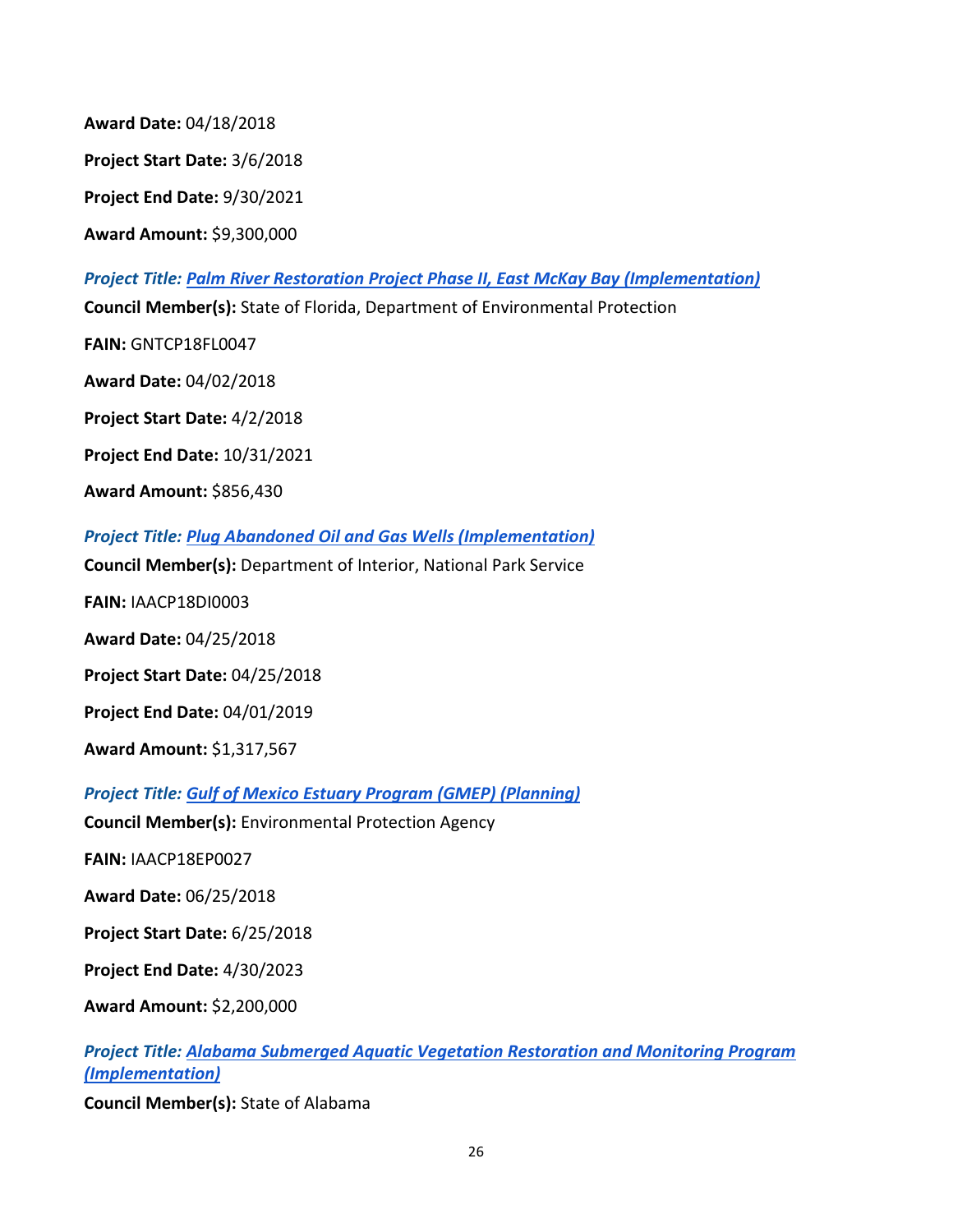**Award Date:** 04/18/2018

**Project Start Date:** 3/6/2018

**Project End Date:** 9/30/2021

**Award Amount:** \$9,300,000

*Project Title: [Palm River Restoration Project Phase II, East McKay Bay \(Implementation\)](https://www.restorethegulf.gov/sites/default/files/FPL_forDec9Vote_Errata_04-07-2016.pdf#page=208)* **Council Member(s):** State of Florida, Department of Environmental Protection **FAIN:** GNTCP18FL0047 **Award Date:** 04/02/2018 **Project Start Date:** 4/2/2018 **Project End Date:** 10/31/2021 **Award Amount:** \$856,430 *Project Title: [Plug Abandoned Oil and Gas Wells \(Implementation\)](https://www.restorethegulf.gov/sites/default/files/FPL_forDec9Vote_Errata_04-07-2016.pdf#page=36)* **Council Member(s):** Department of Interior, National Park Service **FAIN:** IAACP18DI0003 **Award Date:** 04/25/2018 **Project Start Date:** 04/25/2018

**Project End Date:** 04/01/2019

**Award Amount:** \$1,317,567

*Project Title: [Gulf of Mexico Estuary Program \(GMEP\) \(Planning\)](https://www.restorethegulf.gov/sites/default/files/FPL_forDec9Vote_Errata_04-07-2016.pdf#page=260)*

**Council Member(s):** Environmental Protection Agency

**FAIN:** IAACP18EP0027

**Award Date:** 06/25/2018

**Project Start Date:** 6/25/2018

**Project End Date:** 4/30/2023

**Award Amount:** \$2,200,000

*Project Title: [Alabama Submerged Aquatic Vegetation Restoration and Monitoring Program](https://www.restorethegulf.gov/sites/default/files/FPL_forDec9Vote_Errata_04-07-2016.pdf#page=125)  [\(Implementation\)](https://www.restorethegulf.gov/sites/default/files/FPL_forDec9Vote_Errata_04-07-2016.pdf#page=125)*

**Council Member(s):** State of Alabama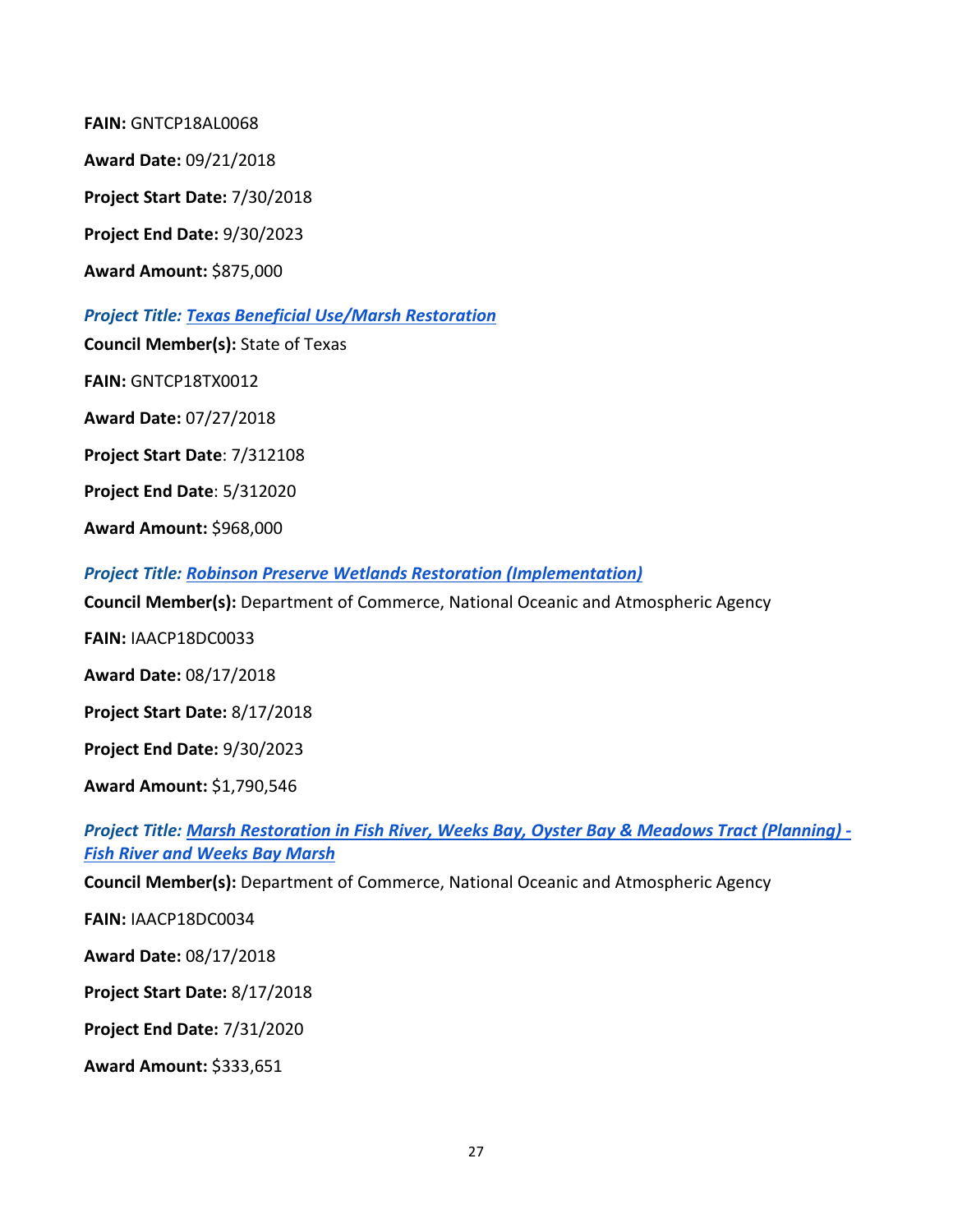**FAIN:** GNTCP18AL0068 **Award Date:** 09/21/2018 **Project Start Date:** 7/30/2018 **Project End Date:** 9/30/2023 **Award Amount:** \$875,000 *Project Title: [Texas Beneficial Use/Marsh](https://www.restorethegulf.gov/sites/default/files/FPL_forDec9Vote_Errata_04-07-2016.pdf#page=58) Restoration*

**Council Member(s):** State of Texas

**FAIN:** GNTCP18TX0012

**Award Date:** 07/27/2018

**Project Start Date**: 7/312108

**Project End Date**: 5/312020

**Award Amount:** \$968,000

*Project Title: [Robinson Preserve Wetlands Restoration \(Implementation\)](https://www.restorethegulf.gov/sites/default/files/FPL_forDec9Vote_Errata_04-07-2016.pdf#page=179)*

**Council Member(s):** Department of Commerce, National Oceanic and Atmospheric Agency

**FAIN:** IAACP18DC0033

**Award Date:** 08/17/2018

**Project Start Date:** 8/17/2018

**Project End Date:** 9/30/2023

**Award Amount:** \$1,790,546

*Project Title: [Marsh Restoration in Fish River, Weeks Bay, Oyster Bay & Meadows Tract \(Planning\) -](https://www.restorethegulf.gov/sites/default/files/FPL_forDec9Vote_Errata_04-07-2016.pdf#page=133) [Fish River and Weeks Bay Marsh](https://www.restorethegulf.gov/sites/default/files/FPL_forDec9Vote_Errata_04-07-2016.pdf#page=133)*

**Council Member(s):** Department of Commerce, National Oceanic and Atmospheric Agency

**FAIN:** IAACP18DC0034

**Award Date:** 08/17/2018

**Project Start Date:** 8/17/2018

**Project End Date:** 7/31/2020

**Award Amount:** \$333,651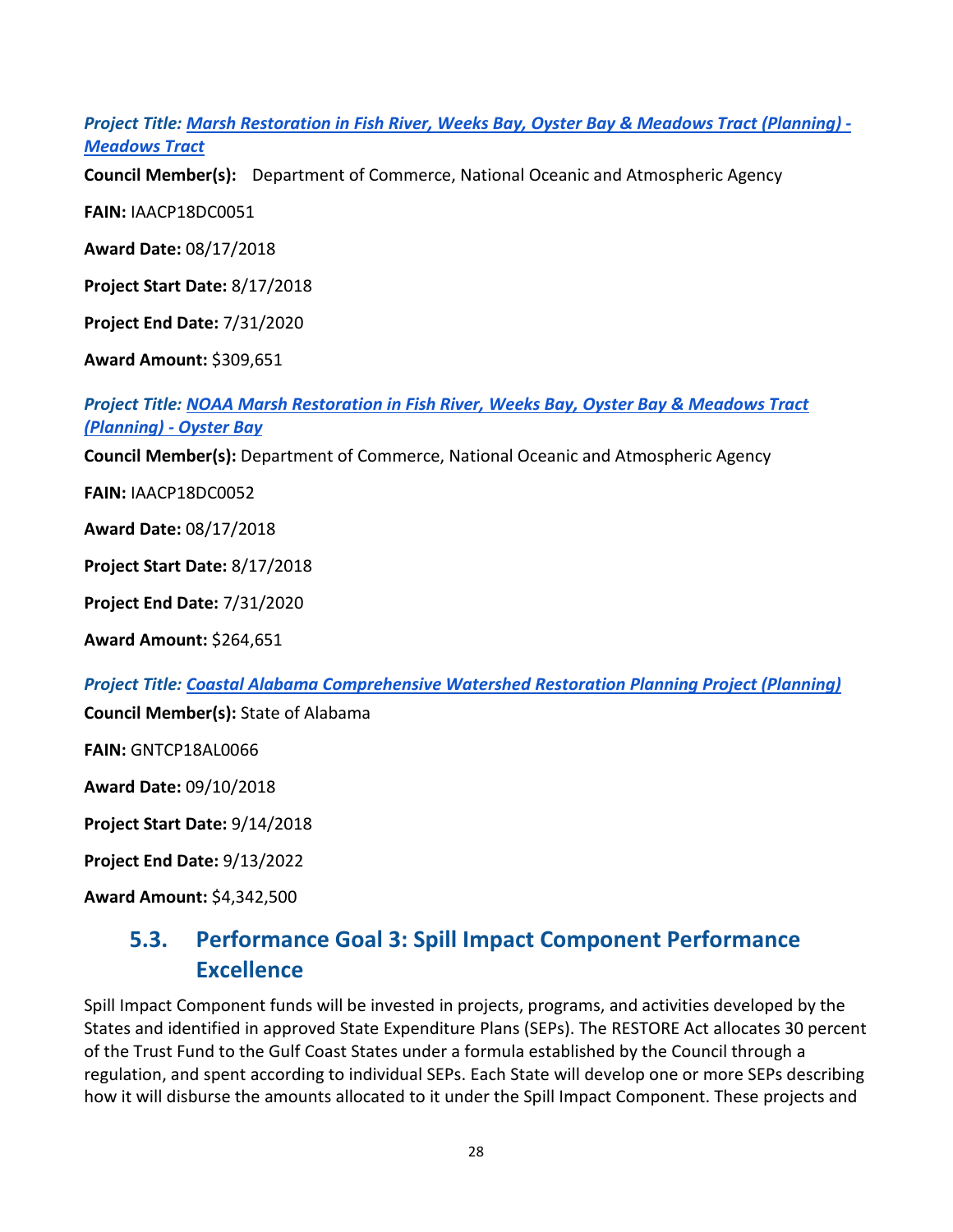*Project Title: [Marsh Restoration in Fish River, Weeks Bay, Oyster Bay & Meadows Tract \(Planning\) -](https://www.restorethegulf.gov/sites/default/files/FPL_forDec9Vote_Errata_04-07-2016.pdf#page=133) [Meadows Tract](https://www.restorethegulf.gov/sites/default/files/FPL_forDec9Vote_Errata_04-07-2016.pdf#page=133)*

**Council Member(s):** Department of Commerce, National Oceanic and Atmospheric Agency

**FAIN:** IAACP18DC0051

**Award Date:** 08/17/2018

**Project Start Date:** 8/17/2018

**Project End Date:** 7/31/2020

**Award Amount:** \$309,651

*Project Title: [NOAA Marsh Restoration in Fish River, Weeks Bay, Oyster Bay & Meadows Tract](https://www.restorethegulf.gov/sites/default/files/FPL_forDec9Vote_Errata_04-07-2016.pdf#page=133)  [\(Planning\) -](https://www.restorethegulf.gov/sites/default/files/FPL_forDec9Vote_Errata_04-07-2016.pdf#page=133) Oyster Bay*

**Council Member(s):** Department of Commerce, National Oceanic and Atmospheric Agency

**FAIN:** IAACP18DC0052

**Award Date:** 08/17/2018

**Project Start Date:** 8/17/2018

**Project End Date:** 7/31/2020

**Award Amount:** \$264,651

*Project Title: [Coastal Alabama Comprehensive Watershed Restoration Planning Project \(Planning\)](https://www.restorethegulf.gov/sites/default/files/FPL_forDec9Vote_Errata_04-07-2016.pdf#page=114)*

**Council Member(s):** State of Alabama

**FAIN:** GNTCP18AL0066

**Award Date:** 09/10/2018

**Project Start Date:** 9/14/2018

**Project End Date:** 9/13/2022

<span id="page-27-0"></span>**Award Amount:** \$4,342,500

### **5.3. Performance Goal 3: Spill Impact Component Performance Excellence**

Spill Impact Component funds will be invested in projects, programs, and activities developed by the States and identified in approved State Expenditure Plans (SEPs). The RESTORE Act allocates 30 percent of the Trust Fund to the Gulf Coast States under a formula established by the Council through a regulation, and spent according to individual SEPs. Each State will develop one or more SEPs describing how it will disburse the amounts allocated to it under the Spill Impact Component. These projects and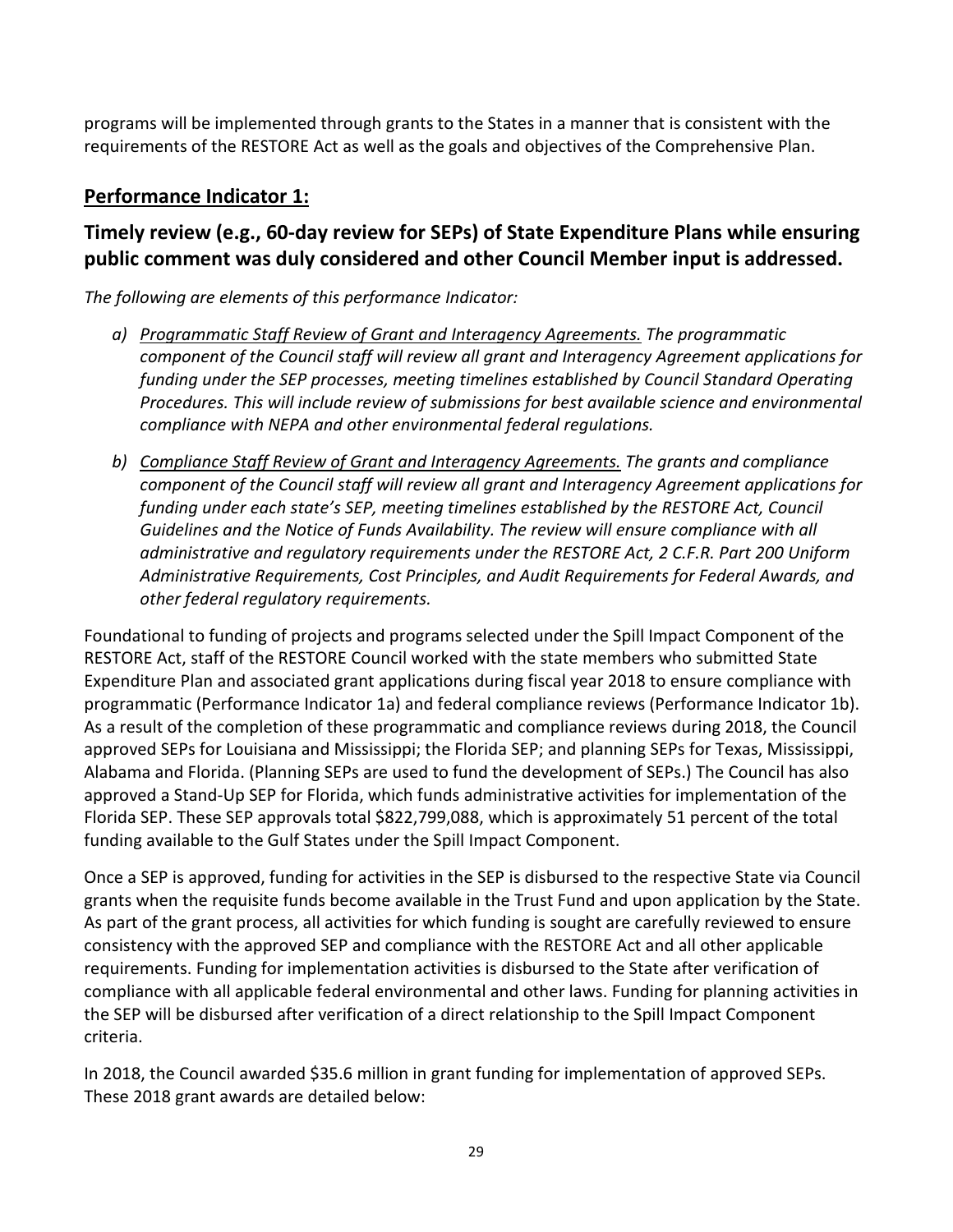programs will be implemented through grants to the States in a manner that is consistent with the requirements of the RESTORE Act as well as the goals and objectives of the Comprehensive Plan.

#### **Performance Indicator 1:**

#### **Timely review (e.g., 60-day review for SEPs) of State Expenditure Plans while ensuring public comment was duly considered and other Council Member input is addressed.**

*The following are elements of this performance Indicator:*

- *a) Programmatic Staff Review of Grant and Interagency Agreements. The programmatic component of the Council staff will review all grant and Interagency Agreement applications for funding under the SEP processes, meeting timelines established by Council Standard Operating Procedures. This will include review of submissions for best available science and environmental compliance with NEPA and other environmental federal regulations.*
- *b) Compliance Staff Review of Grant and Interagency Agreements. The grants and compliance component of the Council staff will review all grant and Interagency Agreement applications for funding under each state's SEP, meeting timelines established by the RESTORE Act, Council Guidelines and the Notice of Funds Availability. The review will ensure compliance with all administrative and regulatory requirements under the RESTORE Act, 2 C.F.R. Part 200 Uniform Administrative Requirements, Cost Principles, and Audit Requirements for Federal Awards, and other federal regulatory requirements.*

Foundational to funding of projects and programs selected under the Spill Impact Component of the RESTORE Act, staff of the RESTORE Council worked with the state members who submitted State Expenditure Plan and associated grant applications during fiscal year 2018 to ensure compliance with programmatic (Performance Indicator 1a) and federal compliance reviews (Performance Indicator 1b). As a result of the completion of these programmatic and compliance reviews during 2018, the Council approved SEPs for Louisiana and Mississippi; the Florida SEP; and planning SEPs for Texas, Mississippi, Alabama and Florida. (Planning SEPs are used to fund the development of SEPs.) The Council has also approved a Stand-Up SEP for Florida, which funds administrative activities for implementation of the Florida SEP. These SEP approvals total \$822,799,088, which is approximately 51 percent of the total funding available to the Gulf States under the Spill Impact Component.

Once a SEP is approved, funding for activities in the SEP is disbursed to the respective State via Council grants when the requisite funds become available in the Trust Fund and upon application by the State. As part of the grant process, all activities for which funding is sought are carefully reviewed to ensure consistency with the approved SEP and compliance with the RESTORE Act and all other applicable requirements. Funding for implementation activities is disbursed to the State after verification of compliance with all applicable federal environmental and other laws. Funding for planning activities in the SEP will be disbursed after verification of a direct relationship to the Spill Impact Component criteria.

In 2018, the Council awarded \$35.6 million in grant funding for implementation of approved SEPs. These 2018 grant awards are detailed below: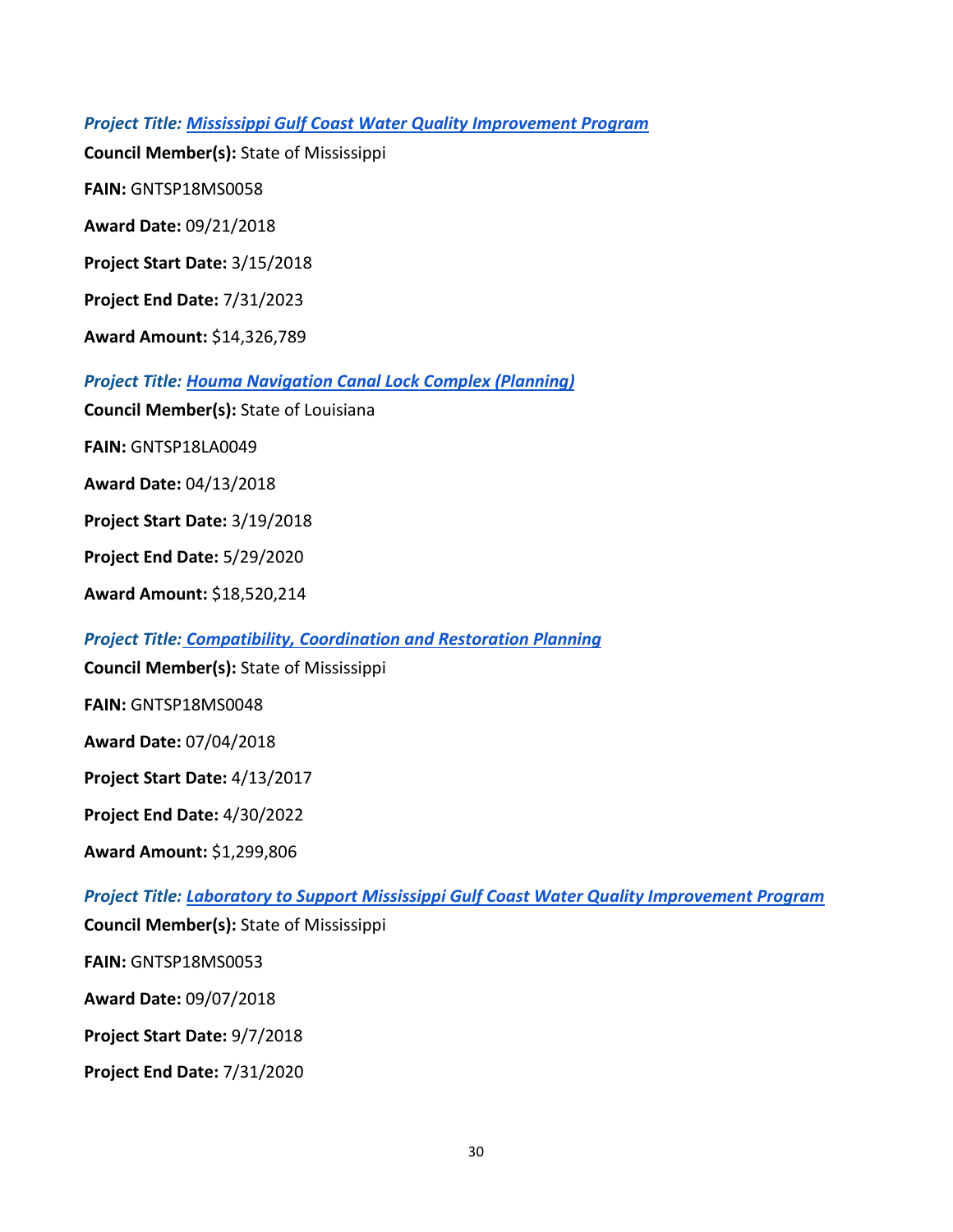*Project Title: [Mississippi Gulf Coast Water Quality Improvement Program](https://restorethegulf.gov/sites/default/files/MS%20State%20Expenditure%20Plan%20Amendment%202017%202.12.18_FINAL_508Compliance.pdf#page=19)*

**Council Member(s):** State of Mississippi

**FAIN:** GNTSP18MS0058

**Award Date:** 09/21/2018

**Project Start Date:** 3/15/2018

**Project End Date:** 7/31/2023

**Award Amount:** \$14,326,789

*Project Title: [Houma Navigation Canal Lock Complex \(Planning\)](https://restorethegulf.gov/sites/default/files/SEP_LA_20170118.pdf#page=38)*

**Council Member(s):** State of Louisiana

**FAIN:** GNTSP18LA0049

**Award Date:** 04/13/2018

**Project Start Date:** 3/19/2018

**Project End Date:** 5/29/2020

**Award Amount:** \$18,520,214

*Project Title: [Compatibility, Coordination and Restoration Planning](https://restorethegulf.gov/sites/default/files/MS%20State%20Expenditure%20Plan%20Amendment%202017%202.12.18_FINAL_508Compliance.pdf#page=19)* 

**Council Member(s):** State of Mississippi

**FAIN:** GNTSP18MS0048

**Award Date:** 07/04/2018

**Project Start Date:** 4/13/2017

**Project End Date:** 4/30/2022

**Award Amount:** \$1,299,806

*Project Title: [Laboratory to Support Mississippi Gulf Coast Water Quality Improvement Program](https://restorethegulf.gov/sites/default/files/MS%20State%20Expenditure%20Plan%20Amendment%202017%202.12.18_FINAL_508Compliance.pdf#page=19)*

**Council Member(s):** State of Mississippi

**FAIN:** GNTSP18MS0053

**Award Date:** 09/07/2018

**Project Start Date:** 9/7/2018

**Project End Date:** 7/31/2020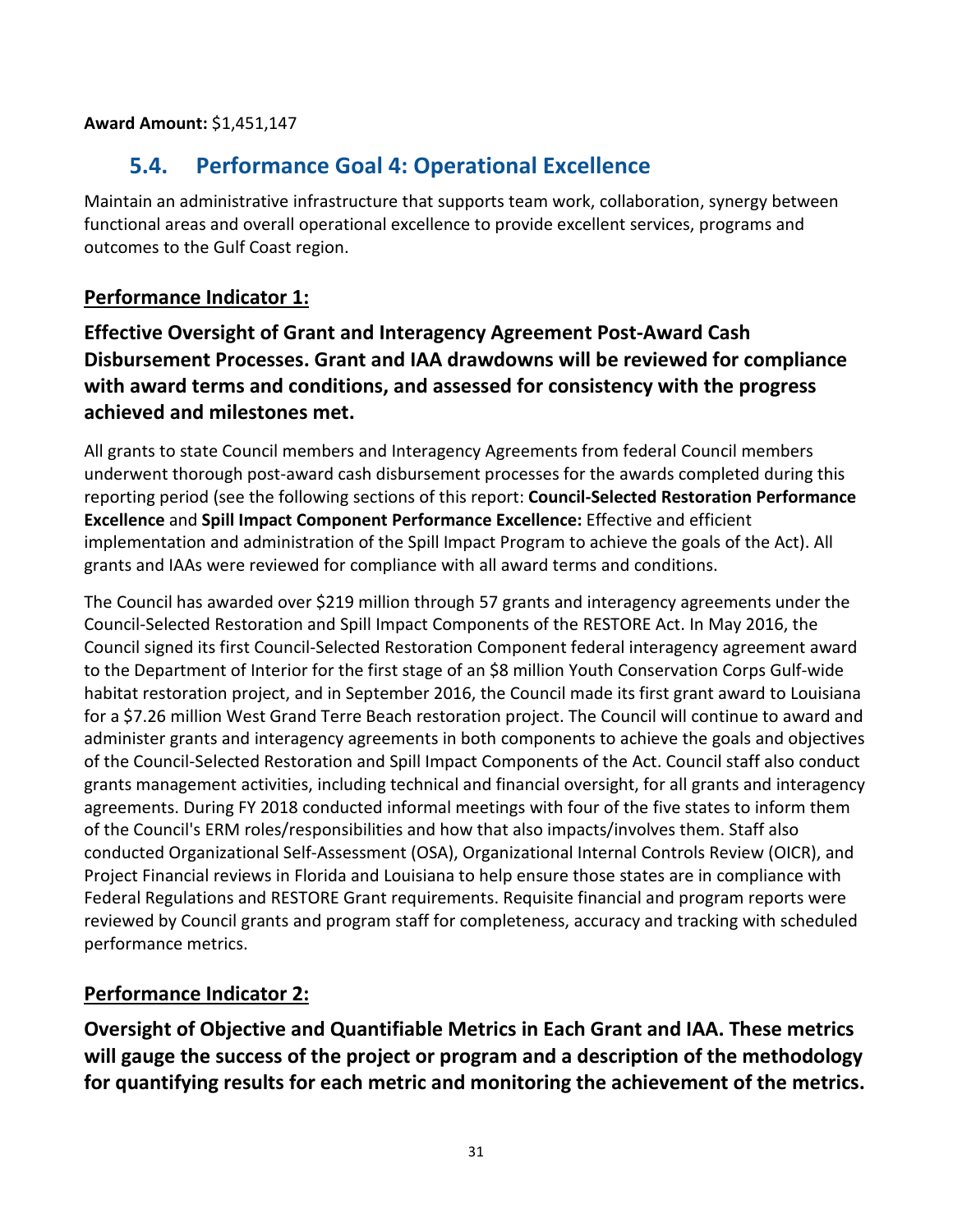<span id="page-30-0"></span>**Award Amount:** \$1,451,147

### **5.4. Performance Goal 4: Operational Excellence**

Maintain an administrative infrastructure that supports team work, collaboration, synergy between functional areas and overall operational excellence to provide excellent services, programs and outcomes to the Gulf Coast region.

#### **Performance Indicator 1:**

**Effective Oversight of Grant and Interagency Agreement Post-Award Cash Disbursement Processes. Grant and IAA drawdowns will be reviewed for compliance with award terms and conditions, and assessed for consistency with the progress achieved and milestones met.** 

All grants to state Council members and Interagency Agreements from federal Council members underwent thorough post-award cash disbursement processes for the awards completed during this reporting period (see the following sections of this report: **Council-Selected Restoration Performance Excellence** and **Spill Impact Component Performance Excellence:** Effective and efficient implementation and administration of the Spill Impact Program to achieve the goals of the Act). All grants and IAAs were reviewed for compliance with all award terms and conditions.

The Council has awarded over \$219 million through 57 grants and interagency agreements under the Council-Selected Restoration and Spill Impact Components of the RESTORE Act. In May 2016, the Council signed its first Council-Selected Restoration Component federal interagency agreement award to the Department of Interior for the first stage of an \$8 million Youth Conservation Corps Gulf-wide habitat restoration project, and in September 2016, the Council made its first grant award to Louisiana for a \$7.26 million West Grand Terre Beach restoration project. The Council will continue to award and administer grants and interagency agreements in both components to achieve the goals and objectives of the Council-Selected Restoration and Spill Impact Components of the Act. Council staff also conduct grants management activities, including technical and financial oversight, for all grants and interagency agreements. During FY 2018 conducted informal meetings with four of the five states to inform them of the Council's ERM roles/responsibilities and how that also impacts/involves them. Staff also conducted Organizational Self-Assessment (OSA), Organizational Internal Controls Review (OICR), and Project Financial reviews in Florida and Louisiana to help ensure those states are in compliance with Federal Regulations and RESTORE Grant requirements. Requisite financial and program reports were reviewed by Council grants and program staff for completeness, accuracy and tracking with scheduled performance metrics.

#### **Performance Indicator 2:**

**Oversight of Objective and Quantifiable Metrics in Each Grant and IAA. These metrics will gauge the success of the project or program and a description of the methodology for quantifying results for each metric and monitoring the achievement of the metrics.**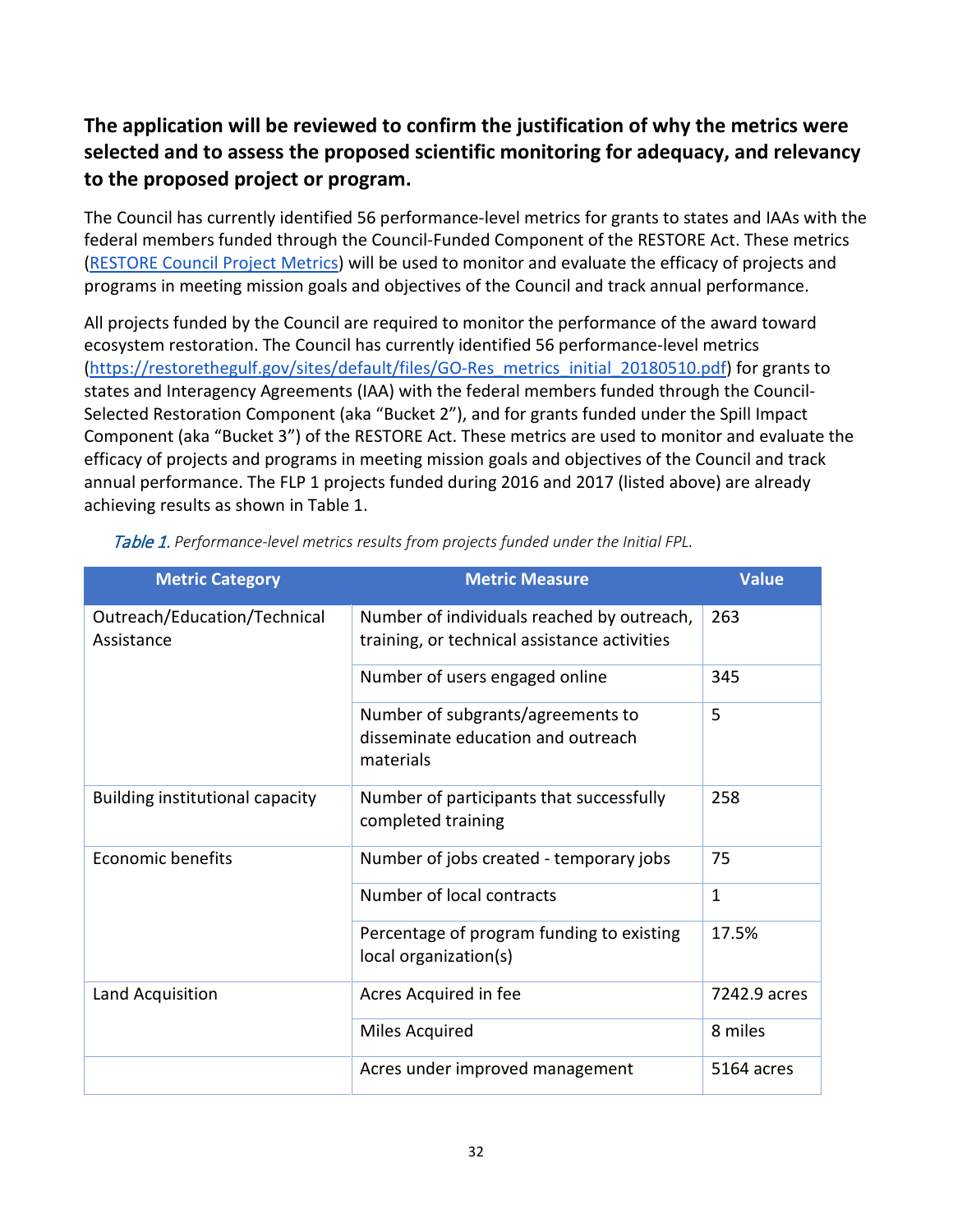#### **The application will be reviewed to confirm the justification of why the metrics were selected and to assess the proposed scientific monitoring for adequacy, and relevancy to the proposed project or program.**

The Council has currently identified 56 performance-level metrics for grants to states and IAAs with the federal members funded through the Council-Funded Component of the RESTORE Act. These metrics [\(RESTORE Council Project Metrics\)](https://www.restorethegulf.gov/sites/default/files/GO-Res_metrics_initial_20170202.pdf) will be used to monitor and evaluate the efficacy of projects and programs in meeting mission goals and objectives of the Council and track annual performance.

All projects funded by the Council are required to monitor the performance of the award toward ecosystem restoration. The Council has currently identified 56 performance-level metrics [\(https://restorethegulf.gov/sites/default/files/GO-Res\\_metrics\\_initial\\_20180510.pdf\)](https://restorethegulf.gov/sites/default/files/GO-Res_metrics_initial_20180510.pdf) for grants to states and Interagency Agreements (IAA) with the federal members funded through the Council-Selected Restoration Component (aka "Bucket 2"), and for grants funded under the Spill Impact Component (aka "Bucket 3") of the RESTORE Act. These metrics are used to monitor and evaluate the efficacy of projects and programs in meeting mission goals and objectives of the Council and track annual performance. The FLP 1 projects funded during 2016 and 2017 (listed above) are already achieving results as shown in Table 1.

| <b>Metric Category</b>                     | <b>Metric Measure</b>                                                                      | <b>Value</b> |
|--------------------------------------------|--------------------------------------------------------------------------------------------|--------------|
| Outreach/Education/Technical<br>Assistance | Number of individuals reached by outreach,<br>training, or technical assistance activities | 263          |
|                                            | Number of users engaged online                                                             | 345          |
|                                            | Number of subgrants/agreements to<br>disseminate education and outreach<br>materials       | 5            |
| Building institutional capacity            | Number of participants that successfully<br>completed training                             | 258          |
| <b>Economic benefits</b>                   | Number of jobs created - temporary jobs                                                    | 75           |
|                                            | Number of local contracts                                                                  | $\mathbf{1}$ |
|                                            | Percentage of program funding to existing<br>local organization(s)                         | 17.5%        |
| Land Acquisition                           | Acres Acquired in fee                                                                      | 7242.9 acres |
|                                            | Miles Acquired                                                                             | 8 miles      |
|                                            | Acres under improved management                                                            | 5164 acres   |

Table 1. *Performance-level metrics results from projects funded under the Initial FPL.*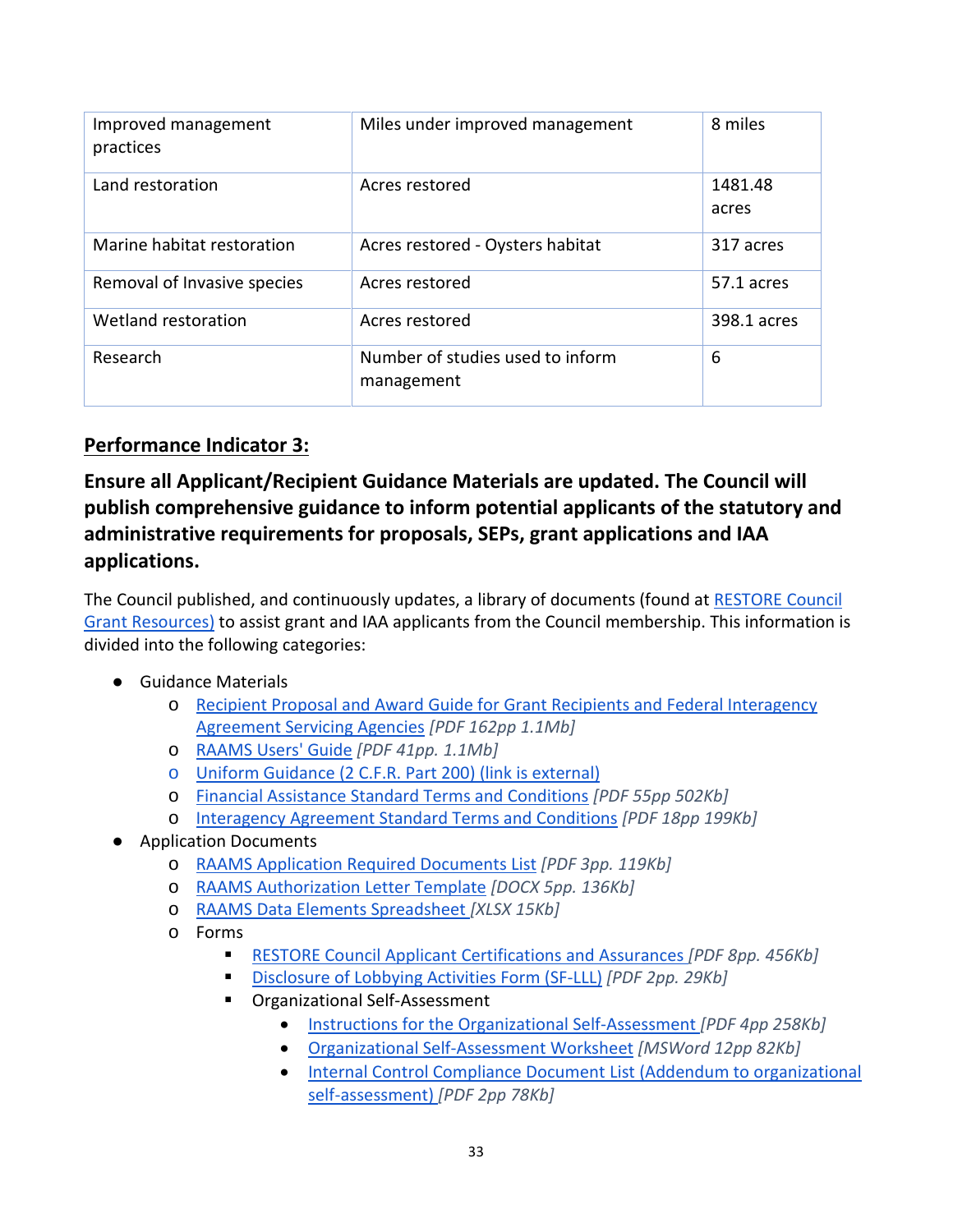| Improved management<br>practices | Miles under improved management                | 8 miles          |
|----------------------------------|------------------------------------------------|------------------|
| Land restoration                 | Acres restored                                 | 1481.48<br>acres |
| Marine habitat restoration       | Acres restored - Oysters habitat               | 317 acres        |
| Removal of Invasive species      | Acres restored                                 | 57.1 acres       |
| Wetland restoration              | Acres restored                                 | 398.1 acres      |
| Research                         | Number of studies used to inform<br>management | 6                |

#### **Performance Indicator 3:**

### **Ensure all Applicant/Recipient Guidance Materials are updated. The Council will publish comprehensive guidance to inform potential applicants of the statutory and administrative requirements for proposals, SEPs, grant applications and IAA applications.**

The Council published, and continuously updates, a library of documents (found at [RESTORE Council](https://www.restorethegulf.gov/gcerc-grants-office/gcerc-grants-resources)  [Grant Resources\)](https://www.restorethegulf.gov/gcerc-grants-office/gcerc-grants-resources) to assist grant and IAA applicants from the Council membership. This information is divided into the following categories:

- Guidance Materials
	- o [Recipient Proposal and Award Guide for Grant Recipients and Federal Interagency](https://www.restorethegulf.gov/sites/default/files/GO-RES%20RPAG%201-01%2012-21-2015.pdf)  [Agreement Servicing Agencies](https://www.restorethegulf.gov/sites/default/files/GO-RES%20RPAG%201-01%2012-21-2015.pdf) *[PDF 162pp 1.1Mb]*
	- o [RAAMS Users' Guide](https://www.restorethegulf.gov/sites/default/files/GO-RES_RAAMS_v1.1_ApplicationTask_ver20160216.pdf) *[PDF 41pp. 1.1Mb]*
	- o [Uniform Guidance \(2 C.F.R. Part 200\) \(link is external\)](http://www.ecfr.gov/cgi-bin/text-idx?SID=07c3e4682e1256b8727cc2ea0824d769&mc=true&tpl=/ecfrbrowse/Title02/2cfrv1_02.tpl#200)
	- o [Financial Assistance Standard Terms and Conditions](https://restorethegulf.gov/sites/default/files/RESTORE%20Council%20STCs%20Final%208-18-2015.pdf) *[PDF 55pp 502Kb]*
	- o [Interagency Agreement Standard Terms](https://www.restorethegulf.gov/sites/default/files/GO-RES_20160505_Council_IAA_STCs.pdf) and Conditions *[PDF 18pp 199Kb]*
- Application Documents
	- o [RAAMS Application Required Documents List](https://www.restorethegulf.gov/sites/default/files/GO-RES_RAAMS_RequiredDocumentList_2-29-2016.pdf) *[PDF 3pp. 119Kb]*
	- o [RAAMS Authorization Letter Template](https://www.restorethegulf.gov/sites/default/files/GO-RES_RAAMS%20Role%20Authorizations%20Letter%20Template%20_rev_2-21-2016.docx) *[DOCX 5pp. 136Kb]*
	- o [RAAMS Data Elements Spreadsheet](https://www.restorethegulf.gov/sites/default/files/Go-RES_RAAMS_Application_DataElements.xlsx) *[XLSX 15Kb]*
	- o Forms
		- [RESTORE Council Applicant Certifications and Assurances](https://www.restorethegulf.gov/sites/default/files/GO-RES_RAAMS_certifications_assurances.pdf) *[PDF 8pp. 456Kb]*
		- [Disclosure of Lobbying Activities Form](https://www.restorethegulf.gov/sites/default/files/GO-RES_RAAMS_SF-LLL.pdf) (SF-LLL) *[PDF 2pp. 29Kb]*
		- **C**rganizational Self-Assessment
			- [Instructions for the Organizational Self-Assessment](https://www.restorethegulf.gov/sites/default/files/GO-RES_self_assessment_instructions_w_addendum_20160311.pdf) *[PDF 4pp 258Kb]*
			- [Organizational Self-Assessment Worksheet](https://www.restorethegulf.gov/sites/default/files/GO-RES_OrgSelfAssessment_04012016.docx) *[MSWord 12pp 82Kb]*
			- [Internal Control Compliance Document](https://www.restorethegulf.gov/sites/default/files/GO-RES_Internal_Control_Document_List_20160225.pdf) List (Addendum to organizational [self-assessment\)](https://www.restorethegulf.gov/sites/default/files/GO-RES_Internal_Control_Document_List_20160225.pdf) *[PDF 2pp 78Kb]*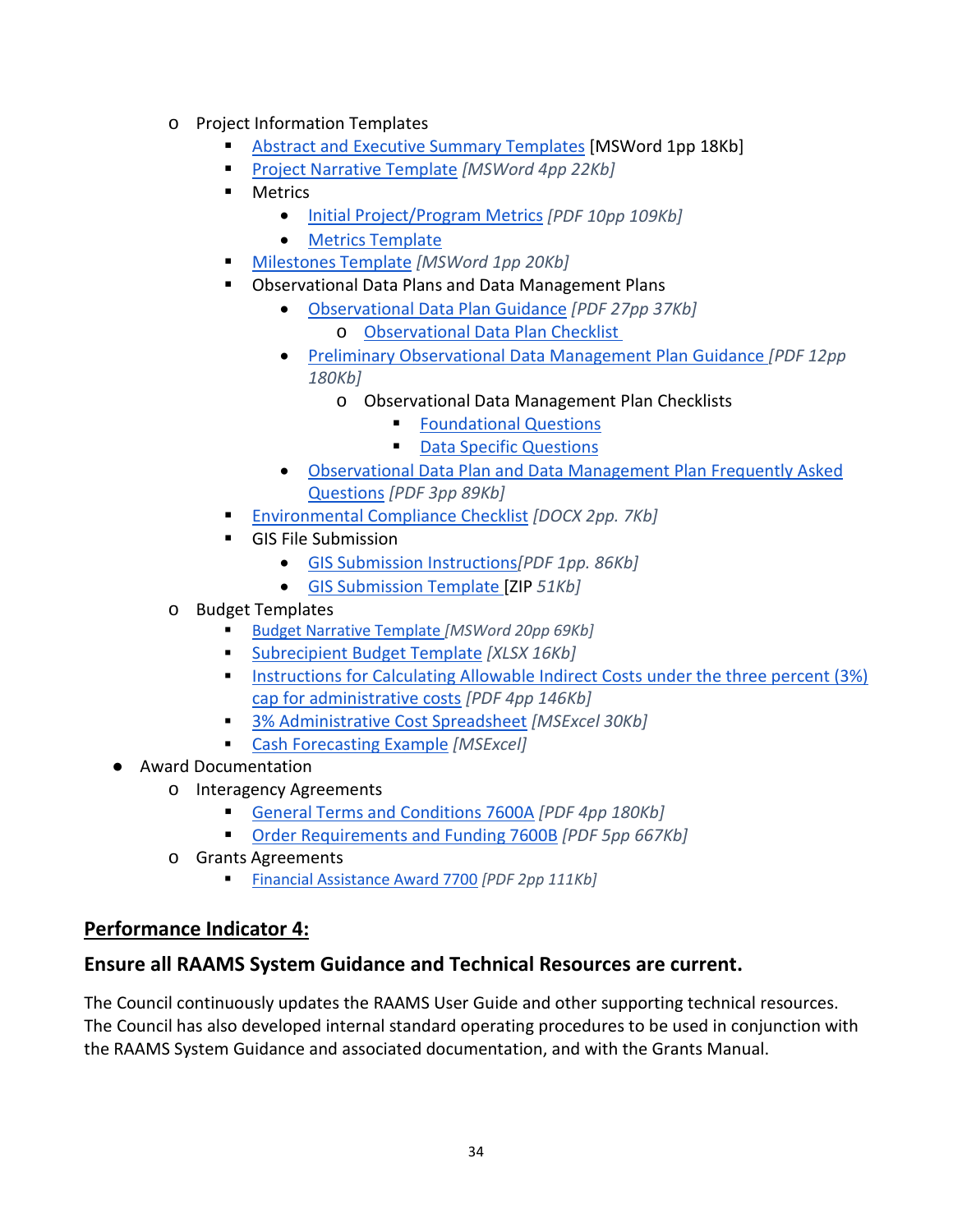- o Project Information Templates
	- [Abstract and Executive Summary Templates](https://www.restorethegulf.gov/sites/default/files/GO-RES_Draft_Abstract_Executive_Summary_20161031.docx) [MSWord 1pp 18Kb]
	- [Project Narrative Template](https://www.restorethegulf.gov/sites/default/files/GO-RES_Draft_Project_Narrative_08082016.docx) *[MSWord 4pp 22Kb]*
	- **Metrics** 
		- [Initial Project/Program Metrics](https://www.restorethegulf.gov/sites/default/files/GO-Res_metrics_initial_20170202.pdf) *[PDF 10pp 109Kb]*
		- [Metrics Template](https://www.restorethegulf.gov/sites/default/files/GO-RES_Metrics_Template_Draft_080116.docx)
	- [Milestones Template](https://www.restorethegulf.gov/sites/default/files/GO-RES_Milestone_Template_Draft_08082016.docx) *[MSWord 1pp 20Kb]*
	- Observational Data Plans and Data Management Plans
		- [Observational Data Plan Guidance](https://www.restorethegulf.gov/sites/default/files/GO-RES_RAAMS_20160828_DraftInterimGuidanceObservationalDataPlan.pdf) *[PDF 27pp 37Kb]*
			- o [Observational Data Plan Checklist](https://www.restorethegulf.gov/sites/default/files/GO-RES_RAAMS_ODPReviewandApprovalChecklist.pdf)
		- [Preliminary Observational Data Management Plan Guidance](https://www.restorethegulf.gov/sites/default/files/GO-RES_RAAMS_20160825_DraftDataManamementGuidancePlan.pdf) *[PDF 12pp 180Kb]*
			- o Observational Data Management Plan Checklists
				- **[Foundational Questions](https://www.restorethegulf.gov/sites/default/files/DMP_FoundationalChecklist_03172016.pdf)**
				- [Data Specific Questions](https://www.restorethegulf.gov/sites/default/files/DMP_Data_Specific_Questions_Checklist_03172016.pdf)
		- [Observational Data Plan and Data Management Plan Frequently Asked](https://www.restorethegulf.gov/sites/default/files/ODP_DMP_FAQs_04252016.pdf)  [Questions](https://www.restorethegulf.gov/sites/default/files/ODP_DMP_FAQs_04252016.pdf) *[PDF 3pp 89Kb]*
	- [Environmental Compliance Checklist](https://www.restorethegulf.gov/sites/default/files/GO-RES_RAAMS_EnvironmentalComplianceChecklist-InitialFPL_2-3-16.docx) *[DOCX 2pp. 7Kb]*
	- **GIS File Submission** 
		- [GIS Submission Instructions](https://www.restorethegulf.gov/sites/default/files/GIS_Instructions_20160428.pdf)*[PDF 1pp. 86Kb]*
		- [GIS Submission Template \[](https://www.restorethegulf.gov/sites/default/files/RESTORE_GIS_Submission_Template.zip)ZIP *51Kb]*
- o Budget Templates
	- [Budget Narrative Template](https://www.restorethegulf.gov/sites/default/files/GO-RES_20160811_Draft_Budget_Narrative_.docx) *[MSWord 20pp 69Kb]*
	- [Subrecipient Budget Template](https://www.restorethegulf.gov/sites/default/files/GO-RES_RAAMS_subrecipient_budget_template_07192016.xlsx) *[XLSX 16Kb]*
	- Instructions for Calculating Allowable Indirect Costs under the three percent (3%) [cap for administrative costs](https://www.restorethegulf.gov/sites/default/files/GO-RES_20160811_Instructions_for_Calculating_Allowable_Indirect_Costs.pdf) *[PDF 4pp 146Kb]*
	- [3% Administrative Cost Spreadsheet](https://www.restorethegulf.gov/sites/default/files/GO-RES_20160811_3percent_%20admin_cap_final_rule_.xlsx) *[MSExcel 30Kb]*
	- [Cash Forecasting Example](https://www.restorethegulf.gov/sites/default/files/Cash_forecasting_example_20160808.xlsx) *[MSExcel]*
- Award Documentation
	- o Interagency Agreements
		- [General Terms and Conditions 7600A](https://www.restorethegulf.gov/sites/default/files/GO-RES%20IAACP-7600A%20template%2020160426.pdf) *[PDF 4pp 180Kb]*
		- [Order Requirements and Funding 7600B](https://www.restorethegulf.gov/sites/default/files/GO-RES%20IAACP-7600B%20template%2020160426.pdf) *[PDF 5pp 667Kb]*
	- o Grants Agreements
		- [Financial Assistance Award 7700](https://www.restorethegulf.gov/sites/default/files/GO-RES_Grant_Award_Doc_20160426.pdf) *[PDF 2pp 111Kb]*

#### **Performance Indicator 4:**

#### **Ensure all RAAMS System Guidance and Technical Resources are current.**

The Council continuously updates the RAAMS User Guide and other supporting technical resources. The Council has also developed internal standard operating procedures to be used in conjunction with the RAAMS System Guidance and associated documentation, and with the Grants Manual.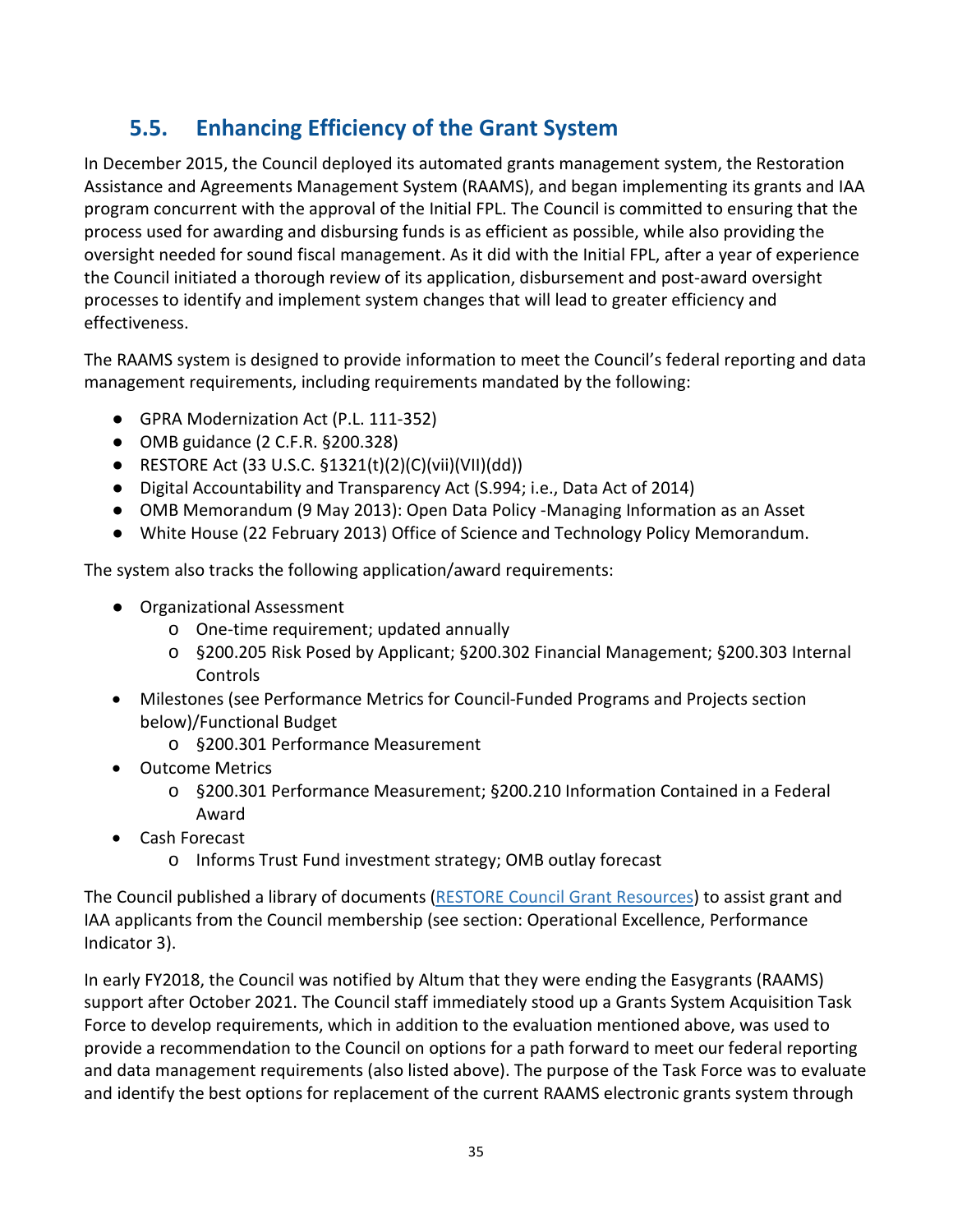## **5.5. Enhancing Efficiency of the Grant System**

<span id="page-34-0"></span>In December 2015, the Council deployed its automated grants management system, the Restoration Assistance and Agreements Management System (RAAMS), and began implementing its grants and IAA program concurrent with the approval of the Initial FPL. The Council is committed to ensuring that the process used for awarding and disbursing funds is as efficient as possible, while also providing the oversight needed for sound fiscal management. As it did with the Initial FPL, after a year of experience the Council initiated a thorough review of its application, disbursement and post-award oversight processes to identify and implement system changes that will lead to greater efficiency and effectiveness.

The RAAMS system is designed to provide information to meet the Council's federal reporting and data management requirements, including requirements mandated by the following:

- GPRA Modernization Act (P.L. 111-352)
- OMB guidance (2 C.F.R. §200.328)
- RESTORE Act (33 U.S.C.  $$1321(t)(2)(C)(vii)(VII)(dd))$
- Digital Accountability and Transparency Act (S.994; i.e., Data Act of 2014)
- OMB Memorandum (9 May 2013): Open Data Policy -Managing Information as an Asset
- White House (22 February 2013) Office of Science and Technology Policy Memorandum.

The system also tracks the following application/award requirements:

- Organizational Assessment
	- o One-time requirement; updated annually
	- o §200.205 Risk Posed by Applicant; §200.302 Financial Management; §200.303 Internal Controls
- Milestones (see Performance Metrics for Council-Funded Programs and Projects section below)/Functional Budget
	- o §200.301 Performance Measurement
- Outcome Metrics
	- o §200.301 Performance Measurement; §200.210 Information Contained in a Federal Award
- Cash Forecast
	- o Informs Trust Fund investment strategy; OMB outlay forecast

The Council published a library of documents [\(RESTORE Council Grant Resources\)](https://www.restorethegulf.gov/gcerc-grants-office/gcerc-grants-resources) to assist grant and IAA applicants from the Council membership (see section: Operational Excellence, Performance Indicator 3).

In early FY2018, the Council was notified by Altum that they were ending the Easygrants (RAAMS) support after October 2021. The Council staff immediately stood up a Grants System Acquisition Task Force to develop requirements, which in addition to the evaluation mentioned above, was used to provide a recommendation to the Council on options for a path forward to meet our federal reporting and data management requirements (also listed above). The purpose of the Task Force was to evaluate and identify the best options for replacement of the current RAAMS electronic grants system through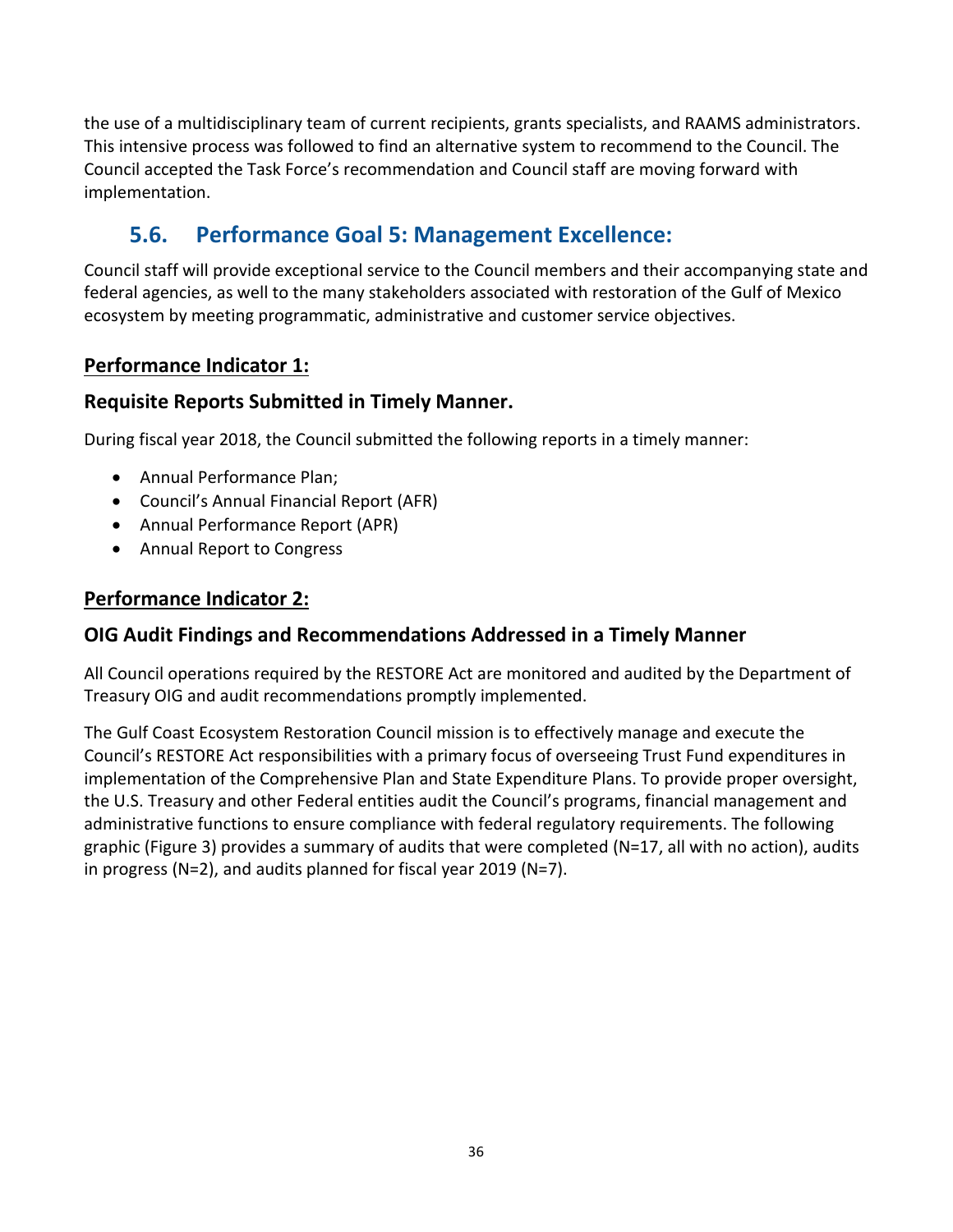the use of a multidisciplinary team of current recipients, grants specialists, and RAAMS administrators. This intensive process was followed to find an alternative system to recommend to the Council. The Council accepted the Task Force's recommendation and Council staff are moving forward with implementation.

### **5.6. Performance Goal 5: Management Excellence:**

<span id="page-35-0"></span>Council staff will provide exceptional service to the Council members and their accompanying state and federal agencies, as well to the many stakeholders associated with restoration of the Gulf of Mexico ecosystem by meeting programmatic, administrative and customer service objectives.

#### **Performance Indicator 1:**

#### **Requisite Reports Submitted in Timely Manner.**

During fiscal year 2018, the Council submitted the following reports in a timely manner:

- Annual Performance Plan;
- Council's Annual Financial Report (AFR)
- Annual Performance Report (APR)
- Annual Report to Congress

#### **Performance Indicator 2:**

#### **OIG Audit Findings and Recommendations Addressed in a Timely Manner**

All Council operations required by the RESTORE Act are monitored and audited by the Department of Treasury OIG and audit recommendations promptly implemented.

The Gulf Coast Ecosystem Restoration Council mission is to effectively manage and execute the Council's RESTORE Act responsibilities with a primary focus of overseeing Trust Fund expenditures in implementation of the Comprehensive Plan and State Expenditure Plans. To provide proper oversight, the U.S. Treasury and other Federal entities audit the Council's programs, financial management and administrative functions to ensure compliance with federal regulatory requirements. The following graphic (Figure 3) provides a summary of audits that were completed (N=17, all with no action), audits in progress (N=2), and audits planned for fiscal year 2019 (N=7).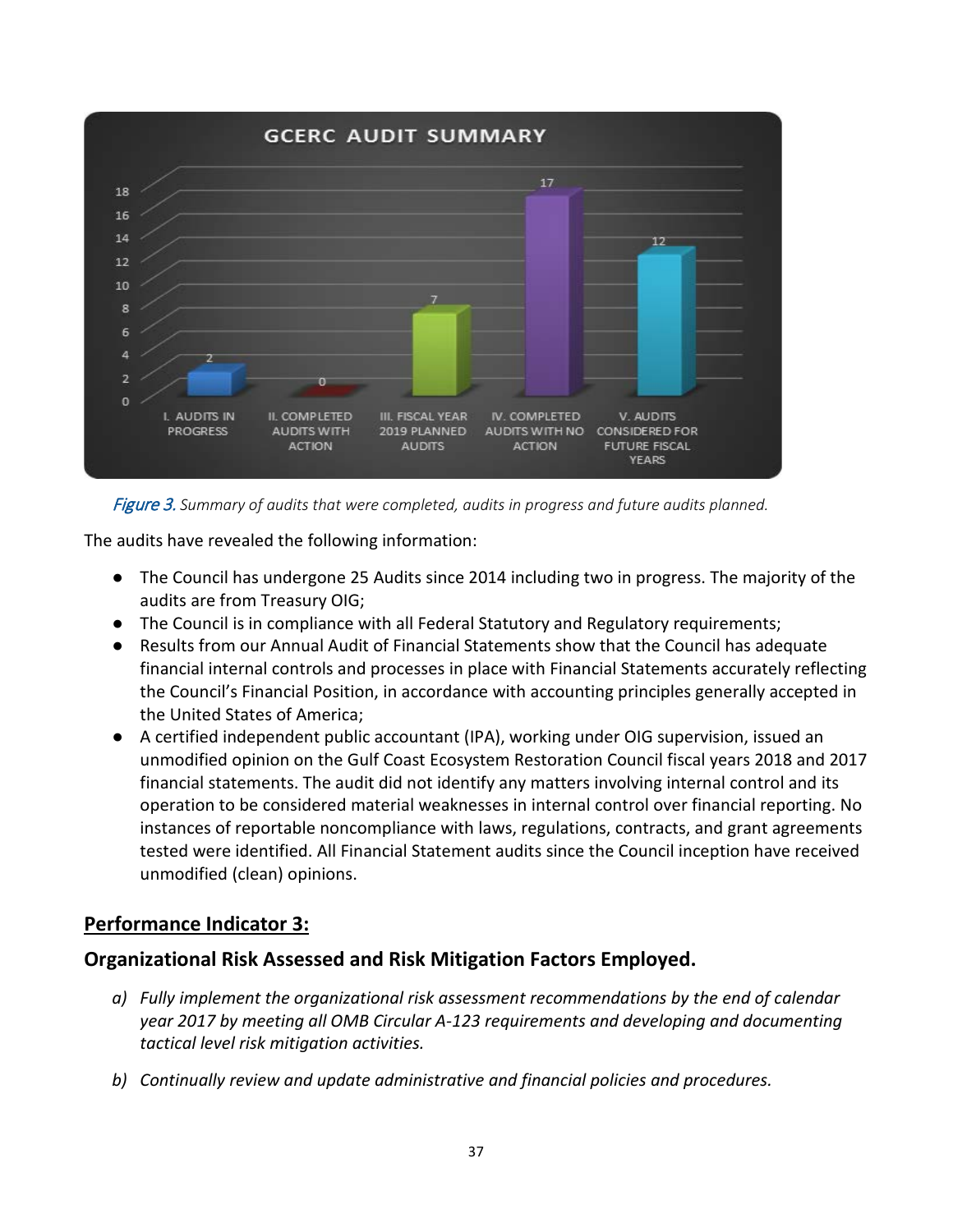

Figure 3. *Summary of audits that were completed, audits in progress and future audits planned.*

The audits have revealed the following information:

- The Council has undergone 25 Audits since 2014 including two in progress. The majority of the audits are from Treasury OIG;
- The Council is in compliance with all Federal Statutory and Regulatory requirements;
- Results from our Annual Audit of Financial Statements show that the Council has adequate financial internal controls and processes in place with Financial Statements accurately reflecting the Council's Financial Position, in accordance with accounting principles generally accepted in the United States of America;
- A certified independent public accountant (IPA), working under OIG supervision, issued an unmodified opinion on the Gulf Coast Ecosystem Restoration Council fiscal years 2018 and 2017 financial statements. The audit did not identify any matters involving internal control and its operation to be considered material weaknesses in internal control over financial reporting. No instances of reportable noncompliance with laws, regulations, contracts, and grant agreements tested were identified. All Financial Statement audits since the Council inception have received unmodified (clean) opinions.

#### **Performance Indicator 3:**

#### **Organizational Risk Assessed and Risk Mitigation Factors Employed.**

- *a) Fully implement the organizational risk assessment recommendations by the end of calendar year 2017 by meeting all OMB Circular A-123 requirements and developing and documenting tactical level risk mitigation activities.*
- *b) Continually review and update administrative and financial policies and procedures.*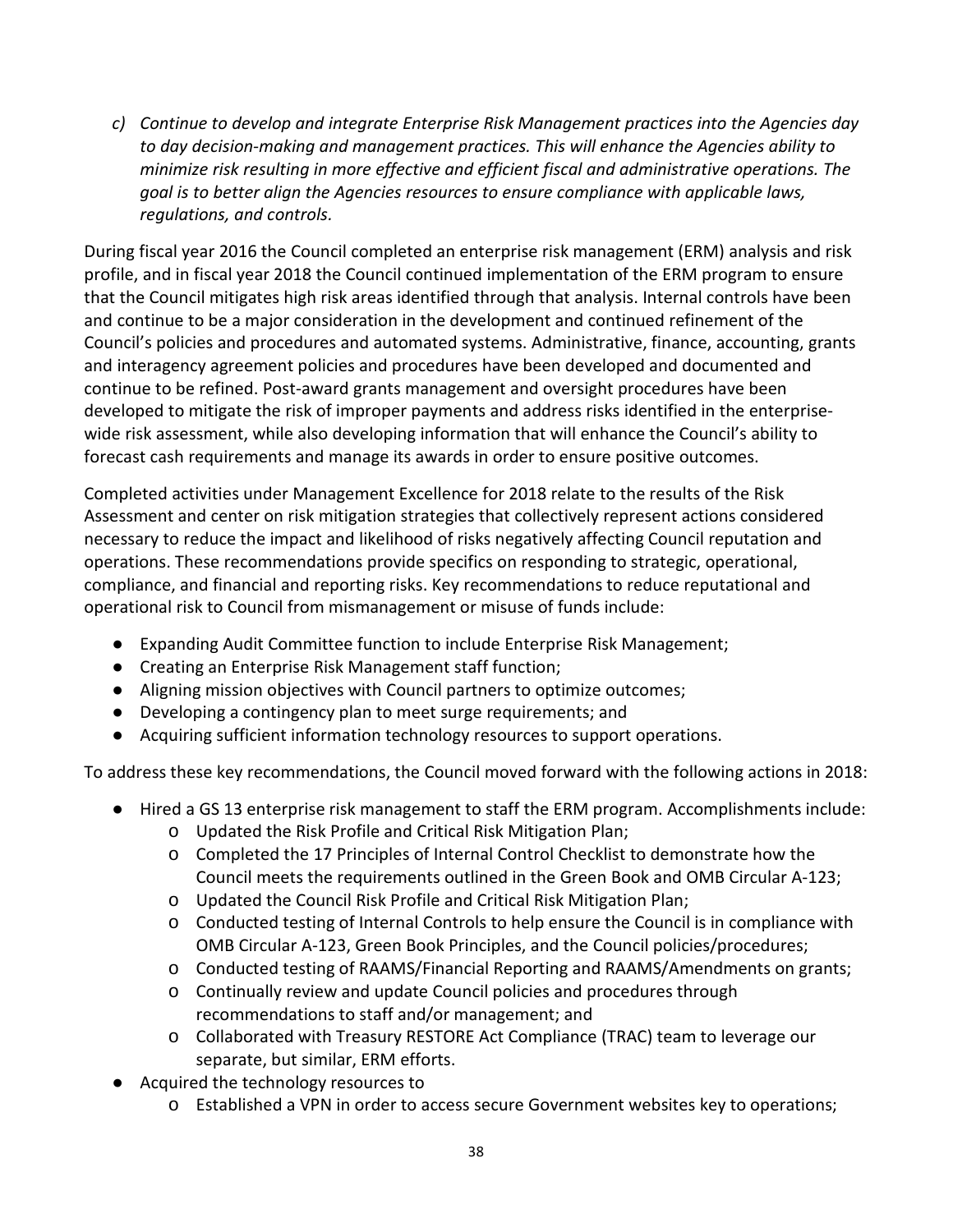*c) Continue to develop and integrate Enterprise Risk Management practices into the Agencies day to day decision-making and management practices. This will enhance the Agencies ability to minimize risk resulting in more effective and efficient fiscal and administrative operations. The goal is to better align the Agencies resources to ensure compliance with applicable laws, regulations, and controls.*

During fiscal year 2016 the Council completed an enterprise risk management (ERM) analysis and risk profile, and in fiscal year 2018 the Council continued implementation of the ERM program to ensure that the Council mitigates high risk areas identified through that analysis. Internal controls have been and continue to be a major consideration in the development and continued refinement of the Council's policies and procedures and automated systems. Administrative, finance, accounting, grants and interagency agreement policies and procedures have been developed and documented and continue to be refined. Post-award grants management and oversight procedures have been developed to mitigate the risk of improper payments and address risks identified in the enterprisewide risk assessment, while also developing information that will enhance the Council's ability to forecast cash requirements and manage its awards in order to ensure positive outcomes.

Completed activities under Management Excellence for 2018 relate to the results of the Risk Assessment and center on risk mitigation strategies that collectively represent actions considered necessary to reduce the impact and likelihood of risks negatively affecting Council reputation and operations. These recommendations provide specifics on responding to strategic, operational, compliance, and financial and reporting risks. Key recommendations to reduce reputational and operational risk to Council from mismanagement or misuse of funds include:

- Expanding Audit Committee function to include Enterprise Risk Management;
- Creating an Enterprise Risk Management staff function;
- Aligning mission objectives with Council partners to optimize outcomes;
- Developing a contingency plan to meet surge requirements; and
- Acquiring sufficient information technology resources to support operations.

To address these key recommendations, the Council moved forward with the following actions in 2018:

- Hired a GS 13 enterprise risk management to staff the ERM program. Accomplishments include:
	- o Updated the Risk Profile and Critical Risk Mitigation Plan;
	- o Completed the 17 Principles of Internal Control Checklist to demonstrate how the Council meets the requirements outlined in the Green Book and OMB Circular A-123;
	- o Updated the Council Risk Profile and Critical Risk Mitigation Plan;
	- o Conducted testing of Internal Controls to help ensure the Council is in compliance with OMB Circular A-123, Green Book Principles, and the Council policies/procedures;
	- o Conducted testing of RAAMS/Financial Reporting and RAAMS/Amendments on grants;
	- o Continually review and update Council policies and procedures through recommendations to staff and/or management; and
	- o Collaborated with Treasury RESTORE Act Compliance (TRAC) team to leverage our separate, but similar, ERM efforts.
- Acquired the technology resources to
	- o Established a VPN in order to access secure Government websites key to operations;